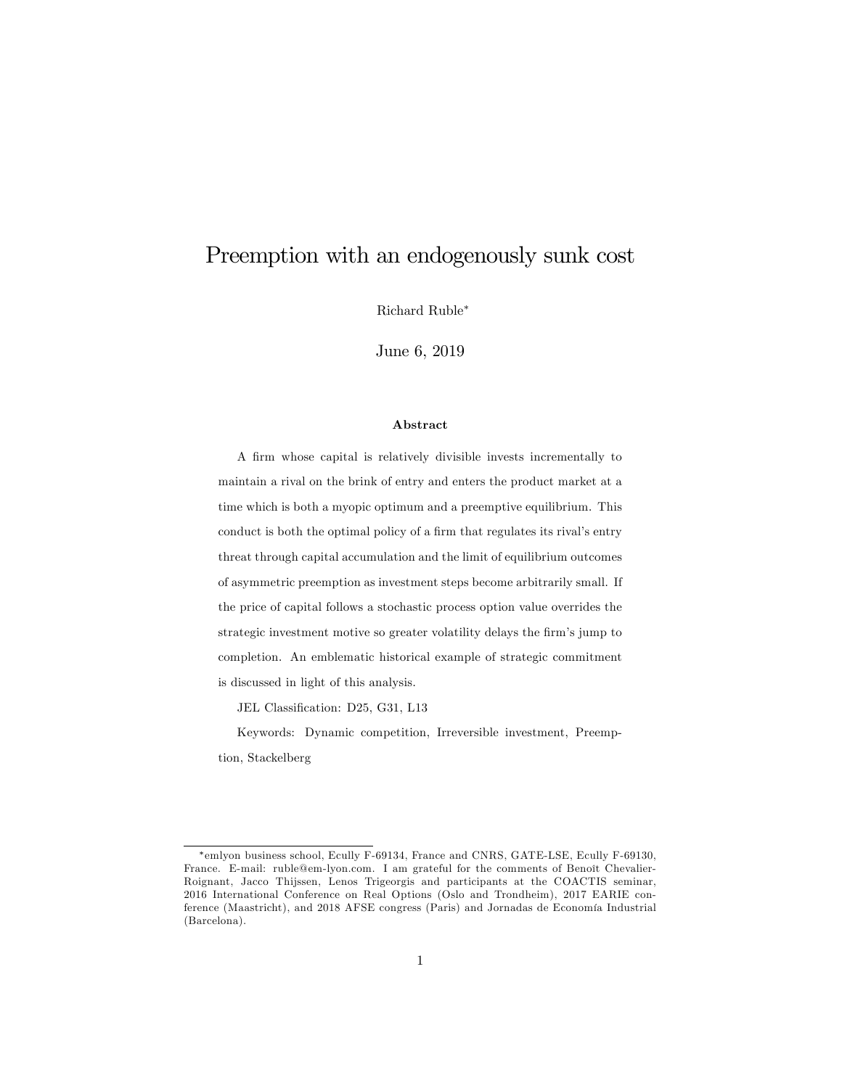# Preemption with an endogenously sunk cost

Richard Ruble

June 6, 2019

#### Abstract

A firm whose capital is relatively divisible invests incrementally to maintain a rival on the brink of entry and enters the product market at a time which is both a myopic optimum and a preemptive equilibrium. This conduct is both the optimal policy of a firm that regulates its rival's entry threat through capital accumulation and the limit of equilibrium outcomes of asymmetric preemption as investment steps become arbitrarily small. If the price of capital follows a stochastic process option value overrides the strategic investment motive so greater volatility delays the firm's jump to completion. An emblematic historical example of strategic commitment is discussed in light of this analysis.

JEL Classification: D25, G31, L13

Keywords: Dynamic competition, Irreversible investment, Preemption, Stackelberg

emlyon business school, Ecully F-69134, France and CNRS, GATE-LSE, Ecully F-69130, France. E-mail: ruble@em-lyon.com. I am grateful for the comments of Benoît Chevalier-Roignant, Jacco Thijssen, Lenos Trigeorgis and participants at the COACTIS seminar, 2016 International Conference on Real Options (Oslo and Trondheim), 2017 EARIE conference (Maastricht), and 2018 AFSE congress (Paris) and Jornadas de Economía Industrial (Barcelona).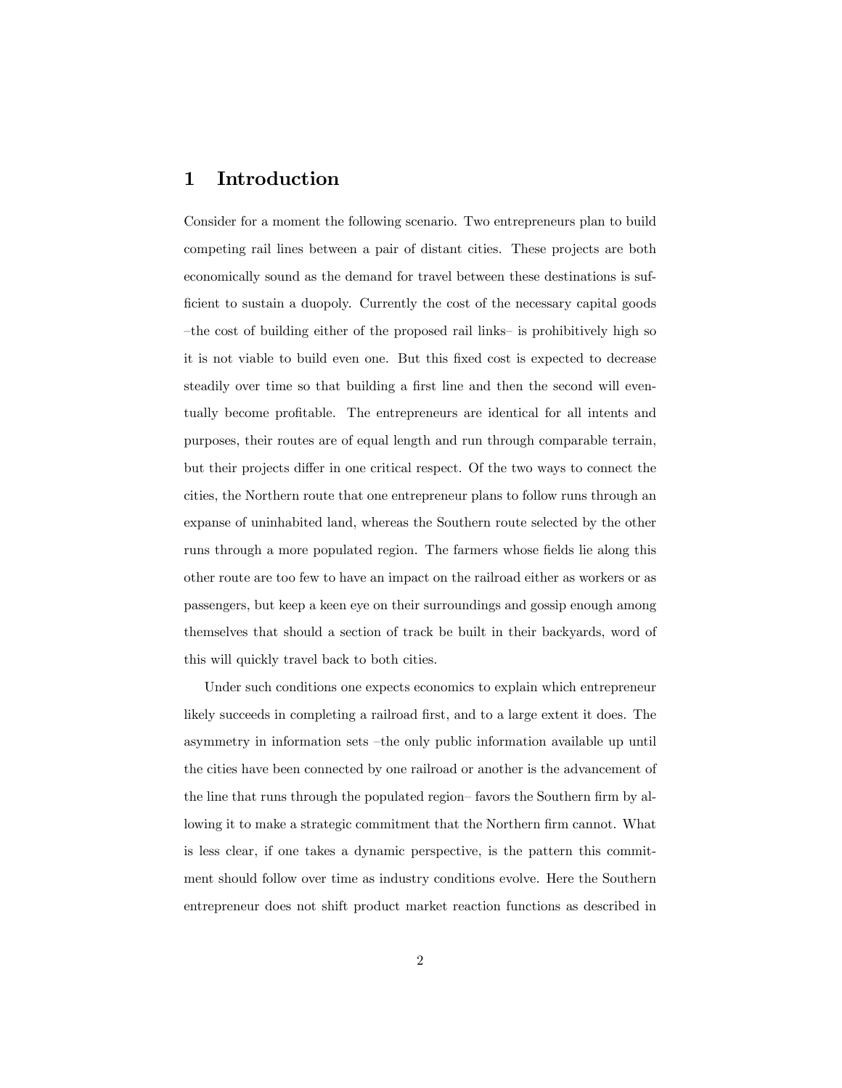# 1 Introduction

Consider for a moment the following scenario. Two entrepreneurs plan to build competing rail lines between a pair of distant cities. These projects are both economically sound as the demand for travel between these destinations is sufficient to sustain a duopoly. Currently the cost of the necessary capital goods the cost of building either of the proposed rail links- is prohibitively high so it is not viable to build even one. But this Öxed cost is expected to decrease steadily over time so that building a first line and then the second will eventually become proÖtable. The entrepreneurs are identical for all intents and purposes, their routes are of equal length and run through comparable terrain, but their projects differ in one critical respect. Of the two ways to connect the cities, the Northern route that one entrepreneur plans to follow runs through an expanse of uninhabited land, whereas the Southern route selected by the other runs through a more populated region. The farmers whose fields lie along this other route are too few to have an impact on the railroad either as workers or as passengers, but keep a keen eye on their surroundings and gossip enough among themselves that should a section of track be built in their backyards, word of this will quickly travel back to both cities.

Under such conditions one expects economics to explain which entrepreneur likely succeeds in completing a railroad first, and to a large extent it does. The asymmetry in information sets  $-\text{the}$  only public information available up until the cities have been connected by one railroad or another is the advancement of the line that runs through the populated region–favors the Southern firm by allowing it to make a strategic commitment that the Northern firm cannot. What is less clear, if one takes a dynamic perspective, is the pattern this commitment should follow over time as industry conditions evolve. Here the Southern entrepreneur does not shift product market reaction functions as described in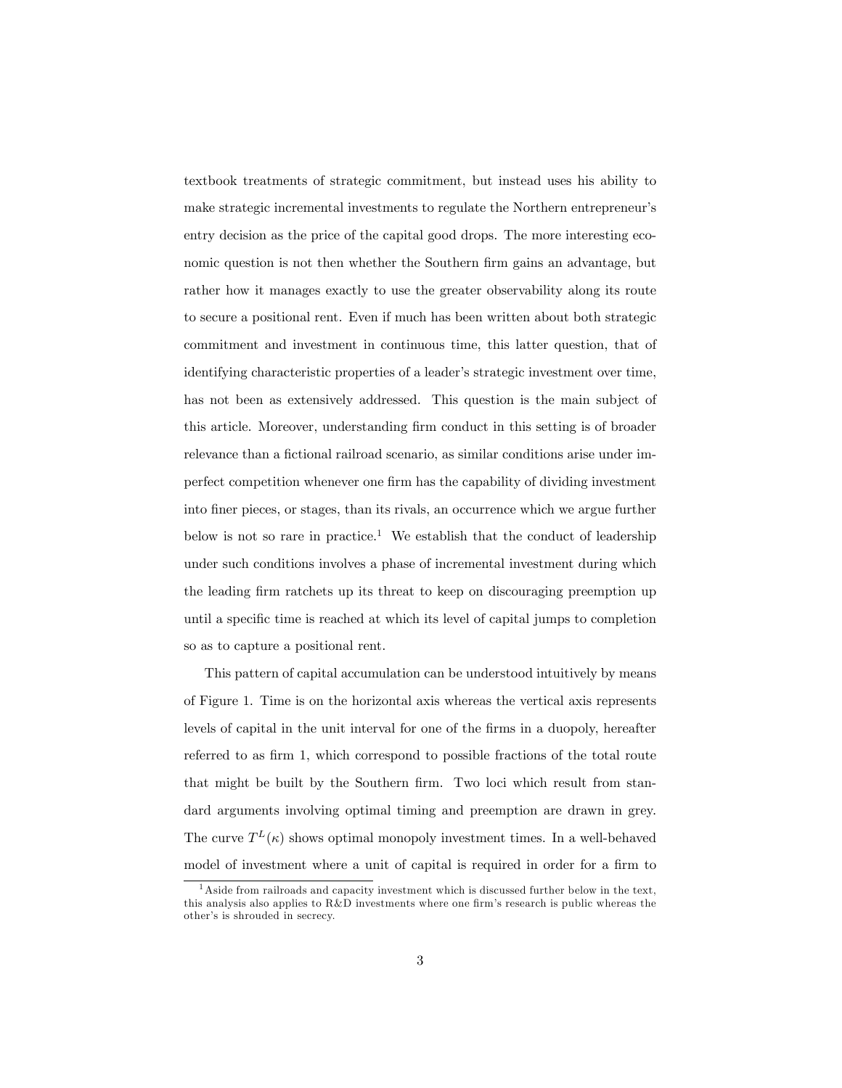textbook treatments of strategic commitment, but instead uses his ability to make strategic incremental investments to regulate the Northern entrepreneur's entry decision as the price of the capital good drops. The more interesting economic question is not then whether the Southern firm gains an advantage, but rather how it manages exactly to use the greater observability along its route to secure a positional rent. Even if much has been written about both strategic commitment and investment in continuous time, this latter question, that of identifying characteristic properties of a leader's strategic investment over time, has not been as extensively addressed. This question is the main subject of this article. Moreover, understanding firm conduct in this setting is of broader relevance than a fictional railroad scenario, as similar conditions arise under imperfect competition whenever one Örm has the capability of dividing investment into Öner pieces, or stages, than its rivals, an occurrence which we argue further below is not so rare in practice.<sup>1</sup> We establish that the conduct of leadership under such conditions involves a phase of incremental investment during which the leading firm ratchets up its threat to keep on discouraging preemption up until a specific time is reached at which its level of capital jumps to completion so as to capture a positional rent.

This pattern of capital accumulation can be understood intuitively by means of Figure 1. Time is on the horizontal axis whereas the vertical axis represents levels of capital in the unit interval for one of the firms in a duopoly, hereafter referred to as firm 1, which correspond to possible fractions of the total route that might be built by the Southern firm. Two loci which result from standard arguments involving optimal timing and preemption are drawn in grey. The curve  $T^{L}(\kappa)$  shows optimal monopoly investment times. In a well-behaved model of investment where a unit of capital is required in order for a firm to

<sup>1</sup>Aside from railroads and capacity investment which is discussed further below in the text, this analysis also applies to  $R&D$  investments where one firm's research is public whereas the other's is shrouded in secrecy.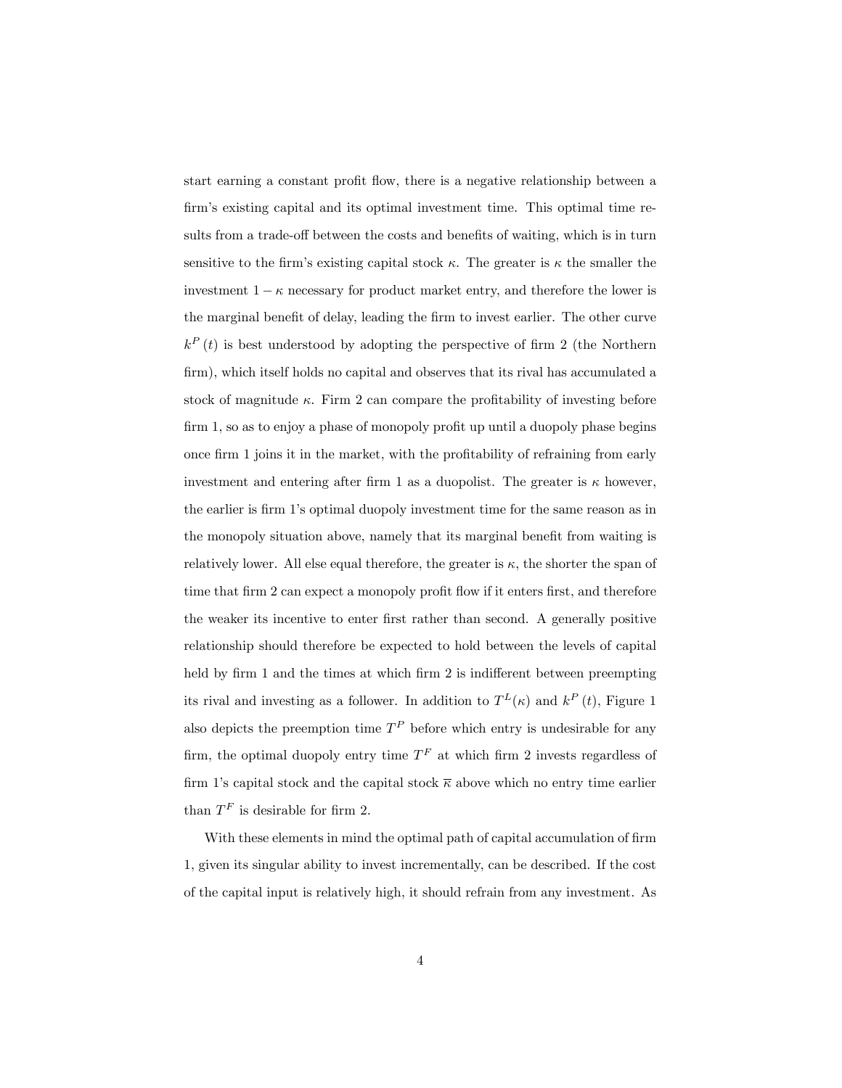start earning a constant profit flow, there is a negative relationship between a firm's existing capital and its optimal investment time. This optimal time results from a trade-off between the costs and benefits of waiting, which is in turn sensitive to the firm's existing capital stock  $\kappa$ . The greater is  $\kappa$  the smaller the investment  $1 - \kappa$  necessary for product market entry, and therefore the lower is the marginal benefit of delay, leading the firm to invest earlier. The other curve  $k^P(t)$  is best understood by adopting the perspective of firm 2 (the Northern firm), which itself holds no capital and observes that its rival has accumulated a stock of magnitude  $\kappa$ . Firm 2 can compare the profitability of investing before  $f_{\text{trim 1, so as to enjoy a phase of monopoly profit up until a duopoly phase begins}$ once firm 1 joins it in the market, with the profitability of refraining from early investment and entering after firm 1 as a duopolist. The greater is  $\kappa$  however, the earlier is firm 1's optimal duopoly investment time for the same reason as in the monopoly situation above, namely that its marginal benefit from waiting is relatively lower. All else equal therefore, the greater is  $\kappa$ , the shorter the span of time that firm 2 can expect a monopoly profit flow if it enters first, and therefore the weaker its incentive to enter first rather than second. A generally positive relationship should therefore be expected to hold between the levels of capital held by firm 1 and the times at which firm 2 is indifferent between preempting its rival and investing as a follower. In addition to  $T<sup>L</sup>(\kappa)$  and  $k<sup>P</sup>(t)$ , Figure 1 also depicts the preemption time  $T^P$  before which entry is undesirable for any firm, the optimal duopoly entry time  $T<sup>F</sup>$  at which firm 2 invests regardless of firm 1's capital stock and the capital stock  $\overline{\kappa}$  above which no entry time earlier than  $T^F$  is desirable for firm 2.

With these elements in mind the optimal path of capital accumulation of firm 1, given its singular ability to invest incrementally, can be described. If the cost of the capital input is relatively high, it should refrain from any investment. As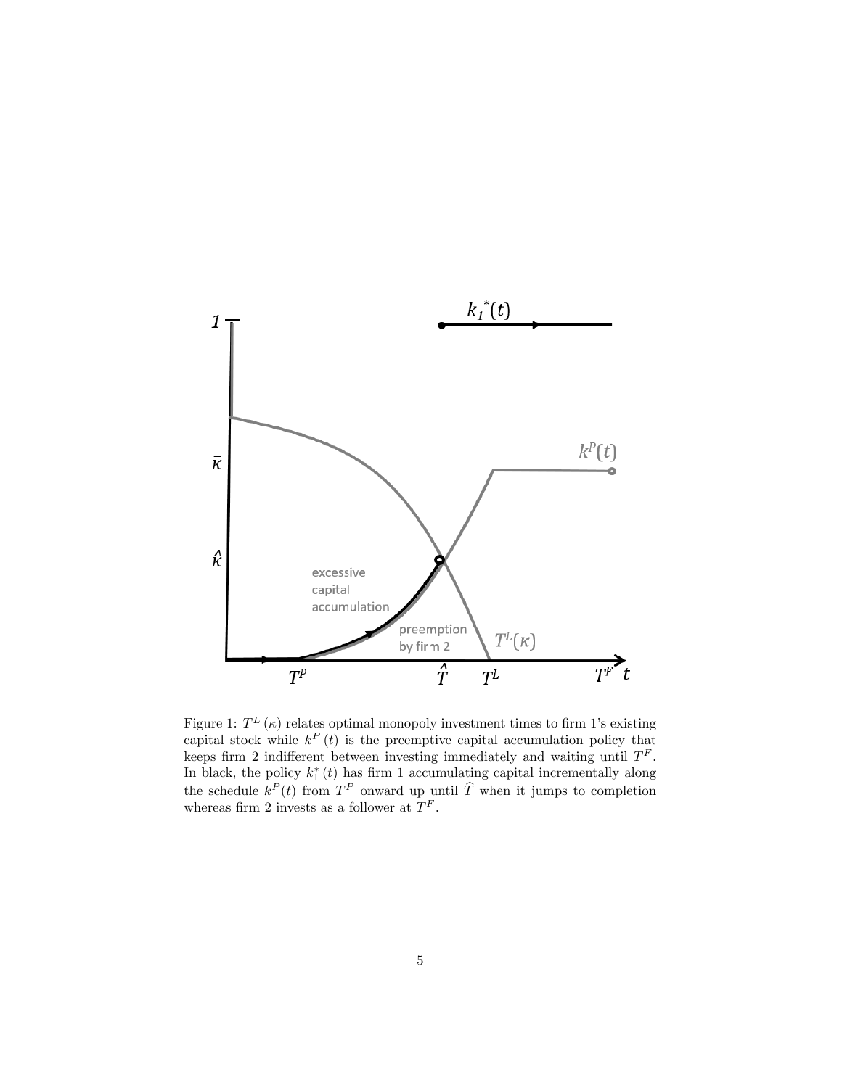

Figure 1:  $T^{L}(\kappa)$  relates optimal monopoly investment times to firm 1's existing capital stock while  $k^P(t)$  is the preemptive capital accumulation policy that keeps firm 2 indifferent between investing immediately and waiting until  $T<sup>F</sup>$ . In black, the policy  $k_1^*(t)$  has firm 1 accumulating capital incrementally along the schedule  $k^P(t)$  from  $T^P$  onward up until  $\widehat{T}$  when it jumps to completion whereas firm 2 invests as a follower at  $T^F$ .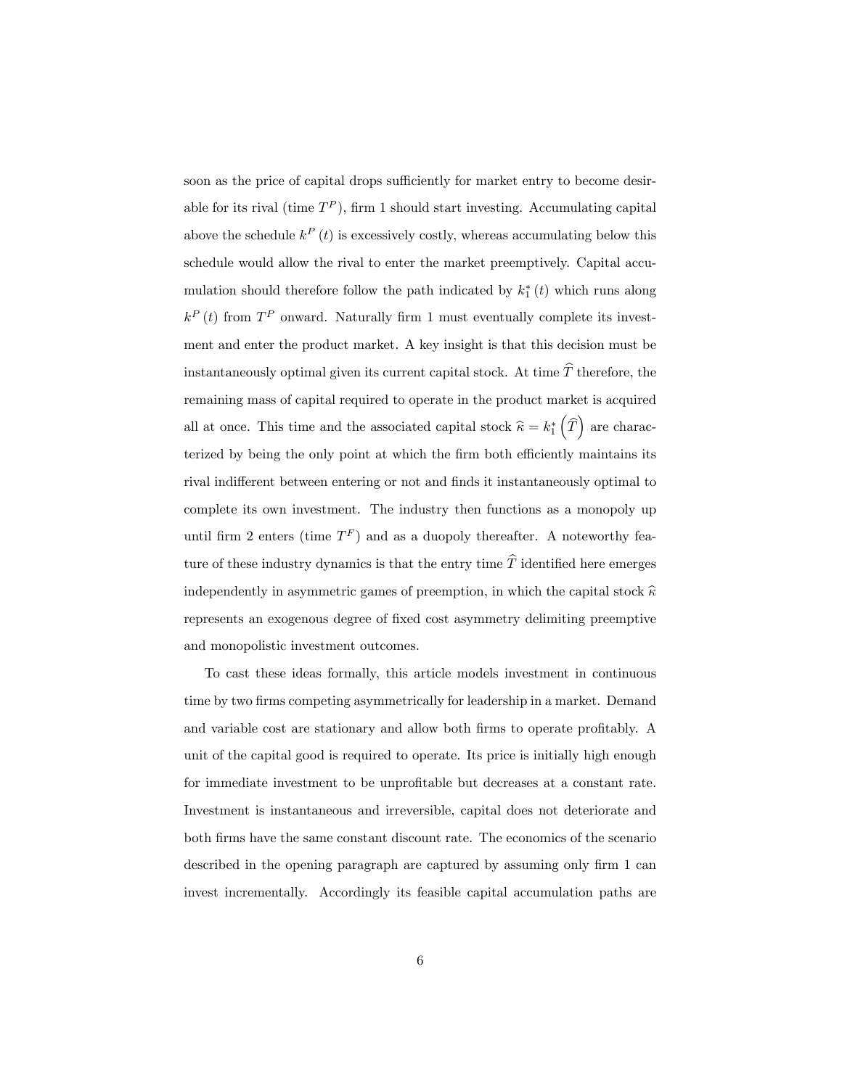soon as the price of capital drops sufficiently for market entry to become desirable for its rival (time  $T^P$ ), firm 1 should start investing. Accumulating capital above the schedule  $k^P(t)$  is excessively costly, whereas accumulating below this schedule would allow the rival to enter the market preemptively. Capital accumulation should therefore follow the path indicated by  $k_1^*(t)$  which runs along  $k^P(t)$  from  $T^P$  onward. Naturally firm 1 must eventually complete its investment and enter the product market. A key insight is that this decision must be instantaneously optimal given its current capital stock. At time  $\hat{T}$  therefore, the remaining mass of capital required to operate in the product market is acquired all at once. This time and the associated capital stock  $\hat{\kappa} = k_1^* \left( \widehat{T} \right)$  are characterized by being the only point at which the firm both efficiently maintains its rival indifferent between entering or not and finds it instantaneously optimal to complete its own investment. The industry then functions as a monopoly up until firm 2 enters (time  $T^F$ ) and as a duopoly thereafter. A noteworthy feature of these industry dynamics is that the entry time  $\widehat{T}$  identified here emerges independently in asymmetric games of preemption, in which the capital stock  $\hat{\kappa}$ represents an exogenous degree of fixed cost asymmetry delimiting preemptive and monopolistic investment outcomes.

To cast these ideas formally, this article models investment in continuous time by two firms competing asymmetrically for leadership in a market. Demand and variable cost are stationary and allow both firms to operate profitably. A unit of the capital good is required to operate. Its price is initially high enough for immediate investment to be unprofitable but decreases at a constant rate. Investment is instantaneous and irreversible, capital does not deteriorate and both firms have the same constant discount rate. The economics of the scenario described in the opening paragraph are captured by assuming only firm 1 can invest incrementally. Accordingly its feasible capital accumulation paths are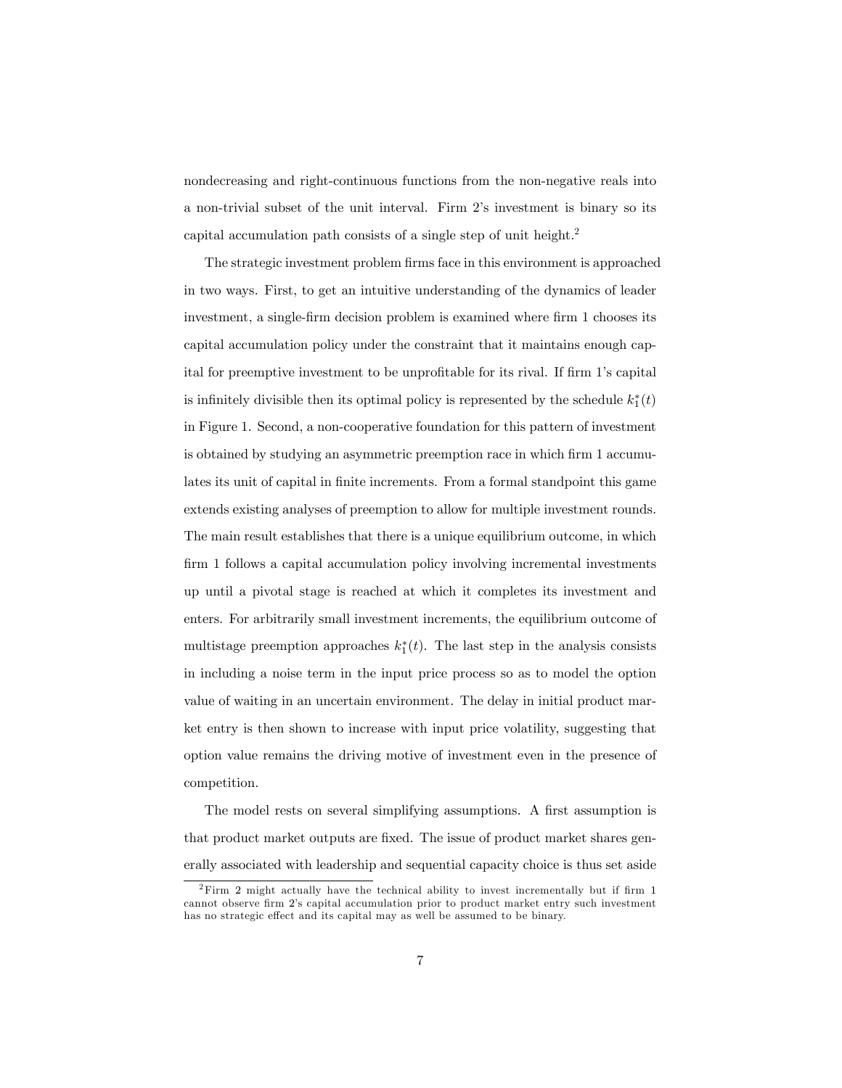nondecreasing and right-continuous functions from the non-negative reals into a non-trivial subset of the unit interval. Firm 2's investment is binary so its capital accumulation path consists of a single step of unit height.<sup>2</sup>

The strategic investment problem firms face in this environment is approached in two ways. First, to get an intuitive understanding of the dynamics of leader investment, a single-firm decision problem is examined where firm 1 chooses its capital accumulation policy under the constraint that it maintains enough capital for preemptive investment to be unprofitable for its rival. If firm 1's capital is infinitely divisible then its optimal policy is represented by the schedule  $k_1^*(t)$ in Figure 1. Second, a non-cooperative foundation for this pattern of investment is obtained by studying an asymmetric preemption race in which firm 1 accumulates its unit of capital in finite increments. From a formal standpoint this game extends existing analyses of preemption to allow for multiple investment rounds. The main result establishes that there is a unique equilibrium outcome, in which firm 1 follows a capital accumulation policy involving incremental investments up until a pivotal stage is reached at which it completes its investment and enters. For arbitrarily small investment increments, the equilibrium outcome of multistage preemption approaches  $k_1^*(t)$ . The last step in the analysis consists in including a noise term in the input price process so as to model the option value of waiting in an uncertain environment. The delay in initial product market entry is then shown to increase with input price volatility, suggesting that option value remains the driving motive of investment even in the presence of competition.

The model rests on several simplifying assumptions. A first assumption is that product market outputs are fixed. The issue of product market shares generally associated with leadership and sequential capacity choice is thus set aside

 $2$ Firm 2 might actually have the technical ability to invest incrementally but if firm 1 cannot observe Örm 2ís capital accumulation prior to product market entry such investment has no strategic effect and its capital may as well be assumed to be binary.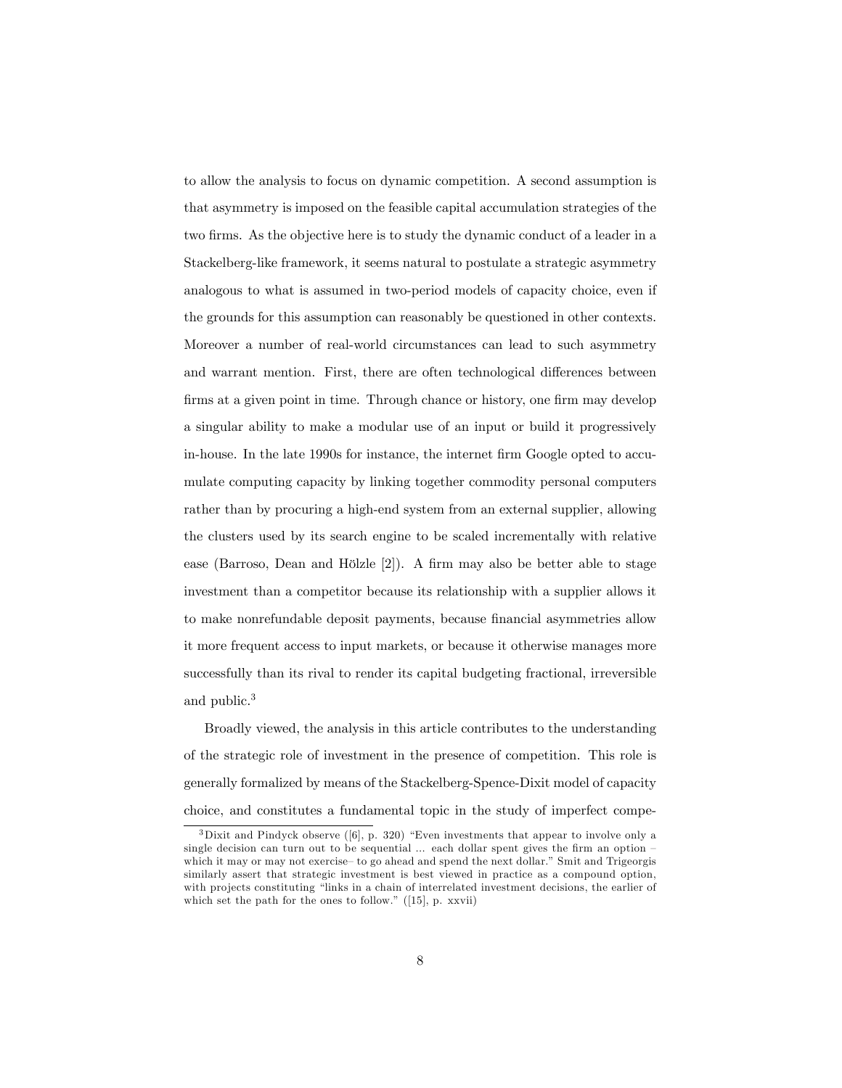to allow the analysis to focus on dynamic competition. A second assumption is that asymmetry is imposed on the feasible capital accumulation strategies of the two firms. As the objective here is to study the dynamic conduct of a leader in a Stackelberg-like framework, it seems natural to postulate a strategic asymmetry analogous to what is assumed in two-period models of capacity choice, even if the grounds for this assumption can reasonably be questioned in other contexts. Moreover a number of real-world circumstances can lead to such asymmetry and warrant mention. First, there are often technological differences between firms at a given point in time. Through chance or history, one firm may develop a singular ability to make a modular use of an input or build it progressively in-house. In the late 1990s for instance, the internet firm Google opted to accumulate computing capacity by linking together commodity personal computers rather than by procuring a high-end system from an external supplier, allowing the clusters used by its search engine to be scaled incrementally with relative ease (Barroso, Dean and Hölzle  $[2]$ ). A firm may also be better able to stage investment than a competitor because its relationship with a supplier allows it to make nonrefundable deposit payments, because financial asymmetries allow it more frequent access to input markets, or because it otherwise manages more successfully than its rival to render its capital budgeting fractional, irreversible and public.<sup>3</sup>

Broadly viewed, the analysis in this article contributes to the understanding of the strategic role of investment in the presence of competition. This role is generally formalized by means of the Stackelberg-Spence-Dixit model of capacity choice, and constitutes a fundamental topic in the study of imperfect compe-

 $3$ Dixit and Pindyck observe ([6], p. 320) "Even investments that appear to involve only a single decision can turn out to be sequential  $\ldots$  each dollar spent gives the firm an option which it may or may not exercise to go ahead and spend the next dollar." Smit and Trigeorgis similarly assert that strategic investment is best viewed in practice as a compound option, with projects constituting "links in a chain of interrelated investment decisions, the earlier of which set the path for the ones to follow."  $(15)$ , p. xxvii)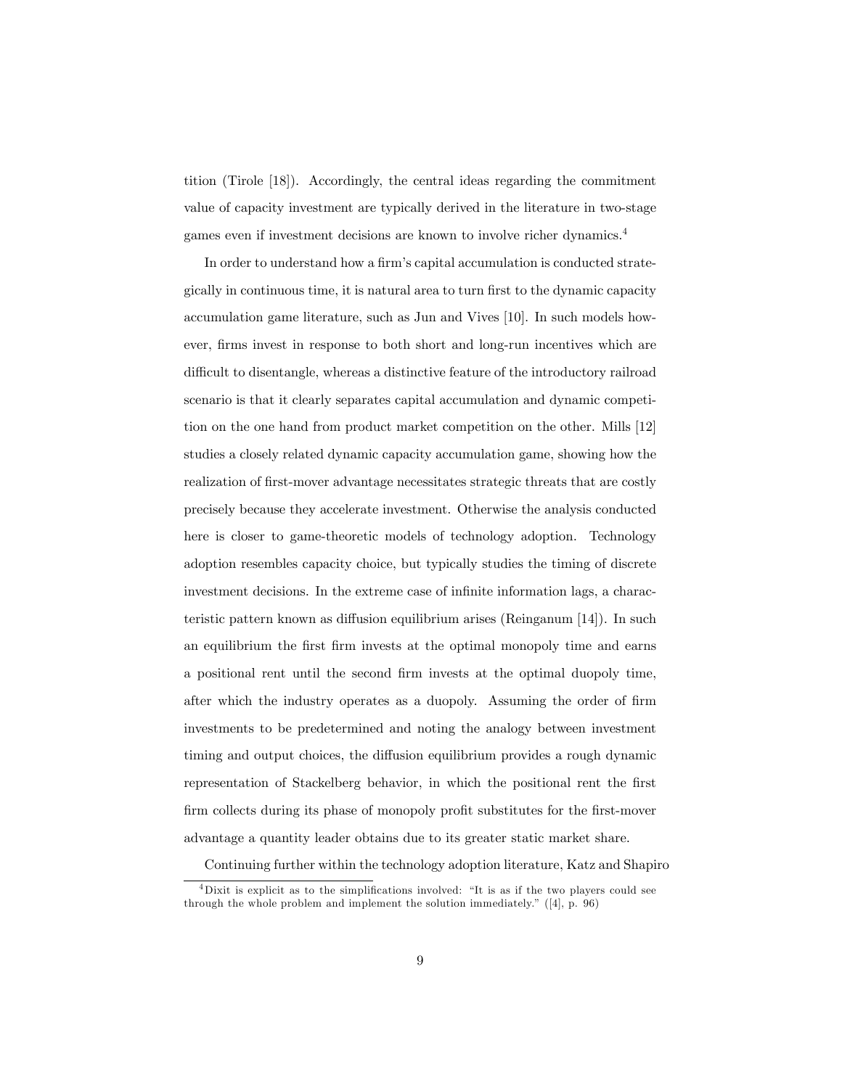tition (Tirole [18]). Accordingly, the central ideas regarding the commitment value of capacity investment are typically derived in the literature in two-stage games even if investment decisions are known to involve richer dynamics.<sup>4</sup>

In order to understand how a firm's capital accumulation is conducted strategically in continuous time, it is natural area to turn first to the dynamic capacity accumulation game literature, such as Jun and Vives [10]. In such models however, firms invest in response to both short and long-run incentives which are difficult to disentangle, whereas a distinctive feature of the introductory railroad scenario is that it clearly separates capital accumulation and dynamic competition on the one hand from product market competition on the other. Mills [12] studies a closely related dynamic capacity accumulation game, showing how the realization of Örst-mover advantage necessitates strategic threats that are costly precisely because they accelerate investment. Otherwise the analysis conducted here is closer to game-theoretic models of technology adoption. Technology adoption resembles capacity choice, but typically studies the timing of discrete investment decisions. In the extreme case of infinite information lags, a characteristic pattern known as diffusion equilibrium arises (Reinganum  $[14]$ ). In such an equilibrium the first firm invests at the optimal monopoly time and earns a positional rent until the second firm invests at the optimal duopoly time, after which the industry operates as a duopoly. Assuming the order of firm investments to be predetermined and noting the analogy between investment timing and output choices, the diffusion equilibrium provides a rough dynamic representation of Stackelberg behavior, in which the positional rent the first firm collects during its phase of monopoly profit substitutes for the first-mover advantage a quantity leader obtains due to its greater static market share.

Continuing further within the technology adoption literature, Katz and Shapiro

 $4$ Dixit is explicit as to the simplifications involved: "It is as if the two players could see through the whole problem and implement the solution immediately.<sup>n</sup> ([4], p. 96)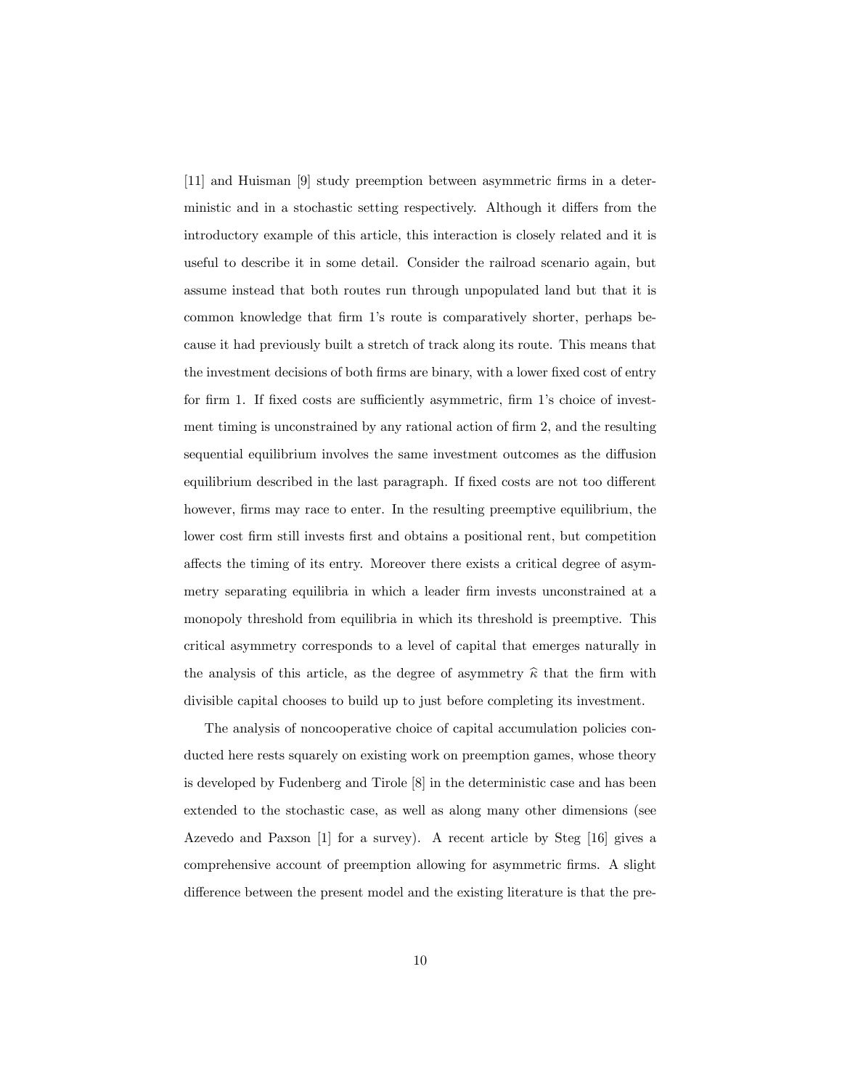[11] and Huisman [9] study preemption between asymmetric Örms in a deterministic and in a stochastic setting respectively. Although it differs from the introductory example of this article, this interaction is closely related and it is useful to describe it in some detail. Consider the railroad scenario again, but assume instead that both routes run through unpopulated land but that it is common knowledge that firm 1's route is comparatively shorter, perhaps because it had previously built a stretch of track along its route. This means that the investment decisions of both firms are binary, with a lower fixed cost of entry for firm 1. If fixed costs are sufficiently asymmetric, firm 1's choice of investment timing is unconstrained by any rational action of firm 2, and the resulting sequential equilibrium involves the same investment outcomes as the diffusion equilibrium described in the last paragraph. If fixed costs are not too different however, firms may race to enter. In the resulting preemptive equilibrium, the lower cost firm still invests first and obtains a positional rent, but competition affects the timing of its entry. Moreover there exists a critical degree of asymmetry separating equilibria in which a leader firm invests unconstrained at a monopoly threshold from equilibria in which its threshold is preemptive. This critical asymmetry corresponds to a level of capital that emerges naturally in the analysis of this article, as the degree of asymmetry  $\hat{\kappa}$  that the firm with divisible capital chooses to build up to just before completing its investment.

The analysis of noncooperative choice of capital accumulation policies conducted here rests squarely on existing work on preemption games, whose theory is developed by Fudenberg and Tirole [8] in the deterministic case and has been extended to the stochastic case, as well as along many other dimensions (see Azevedo and Paxson [1] for a survey). A recent article by Steg [16] gives a comprehensive account of preemption allowing for asymmetric Örms. A slight difference between the present model and the existing literature is that the pre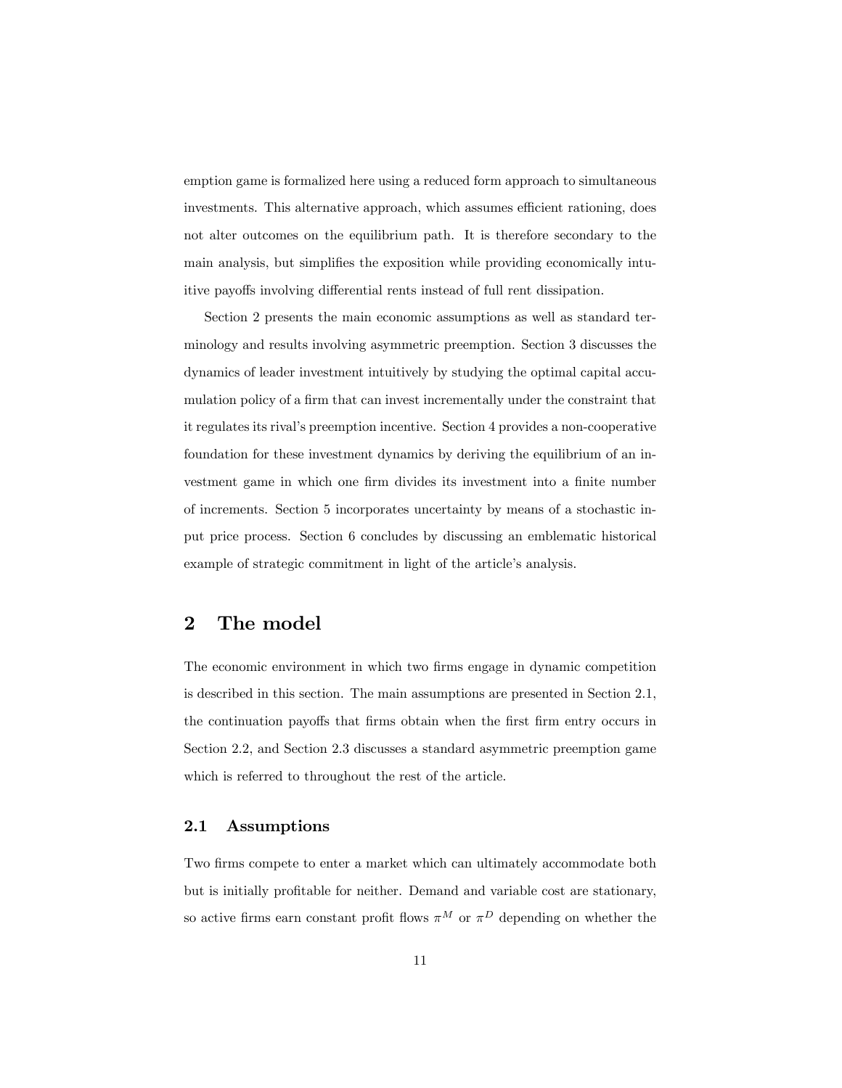emption game is formalized here using a reduced form approach to simultaneous investments. This alternative approach, which assumes efficient rationing, does not alter outcomes on the equilibrium path. It is therefore secondary to the main analysis, but simplifies the exposition while providing economically intuitive payoffs involving differential rents instead of full rent dissipation.

Section 2 presents the main economic assumptions as well as standard terminology and results involving asymmetric preemption. Section 3 discusses the dynamics of leader investment intuitively by studying the optimal capital accumulation policy of a firm that can invest incrementally under the constraint that it regulates its rivalís preemption incentive. Section 4 provides a non-cooperative foundation for these investment dynamics by deriving the equilibrium of an investment game in which one firm divides its investment into a finite number of increments. Section 5 incorporates uncertainty by means of a stochastic input price process. Section 6 concludes by discussing an emblematic historical example of strategic commitment in light of the article's analysis.

# 2 The model

The economic environment in which two firms engage in dynamic competition is described in this section. The main assumptions are presented in Section 2.1, the continuation payoffs that firms obtain when the first firm entry occurs in Section 2.2, and Section 2.3 discusses a standard asymmetric preemption game which is referred to throughout the rest of the article.

## 2.1 Assumptions

Two firms compete to enter a market which can ultimately accommodate both but is initially profitable for neither. Demand and variable cost are stationary, so active firms earn constant profit flows  $\pi^M$  or  $\pi^D$  depending on whether the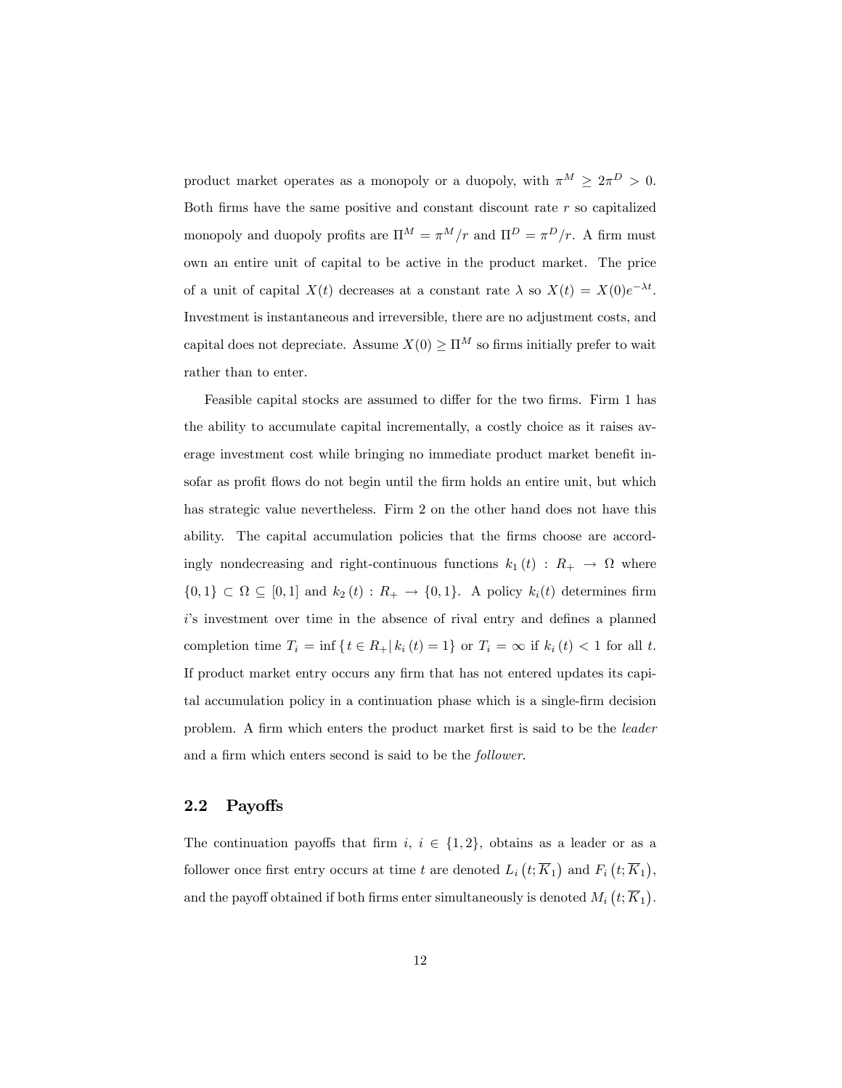product market operates as a monopoly or a duopoly, with  $\pi^M \geq 2\pi^D > 0$ . Both firms have the same positive and constant discount rate  $r$  so capitalized monopoly and duopoly profits are  $\Pi^M = \pi^M/r$  and  $\Pi^D = \pi^D/r$ . A firm must own an entire unit of capital to be active in the product market. The price of a unit of capital  $X(t)$  decreases at a constant rate  $\lambda$  so  $X(t) = X(0)e^{-\lambda t}$ . Investment is instantaneous and irreversible, there are no adjustment costs, and capital does not depreciate. Assume  $X(0) \geq \Pi^M$  so firms initially prefer to wait rather than to enter.

Feasible capital stocks are assumed to differ for the two firms. Firm 1 has the ability to accumulate capital incrementally, a costly choice as it raises average investment cost while bringing no immediate product market benefit insofar as profit flows do not begin until the firm holds an entire unit, but which has strategic value nevertheless. Firm 2 on the other hand does not have this ability. The capital accumulation policies that the firms choose are accordingly nondecreasing and right-continuous functions  $k_1(t)$  :  $R_+ \to \Omega$  where  $\{0,1\} \subset \Omega \subseteq [0,1]$  and  $k_2(t): R_+ \to \{0,1\}$ . A policy  $k_i(t)$  determines firm  $i$ 's investment over time in the absence of rival entry and defines a planned completion time  $T_i = \inf \{ t \in R_+ | k_i (t) = 1 \}$  or  $T_i = \infty$  if  $k_i (t) < 1$  for all t. If product market entry occurs any firm that has not entered updates its capital accumulation policy in a continuation phase which is a single-firm decision problem. A firm which enters the product market first is said to be the *leader* and a firm which enters second is said to be the *follower*.

### 2.2 Payoffs

The continuation payoffs that firm  $i, i \in \{1, 2\}$ , obtains as a leader or as a follower once first entry occurs at time t are denoted  $L_i(t; \overline{K}_1)$  and  $F_i(t; \overline{K}_1)$ , and the payoff obtained if both firms enter simultaneously is denoted  $M_i\left(t; \overline{K}_1\right)$ .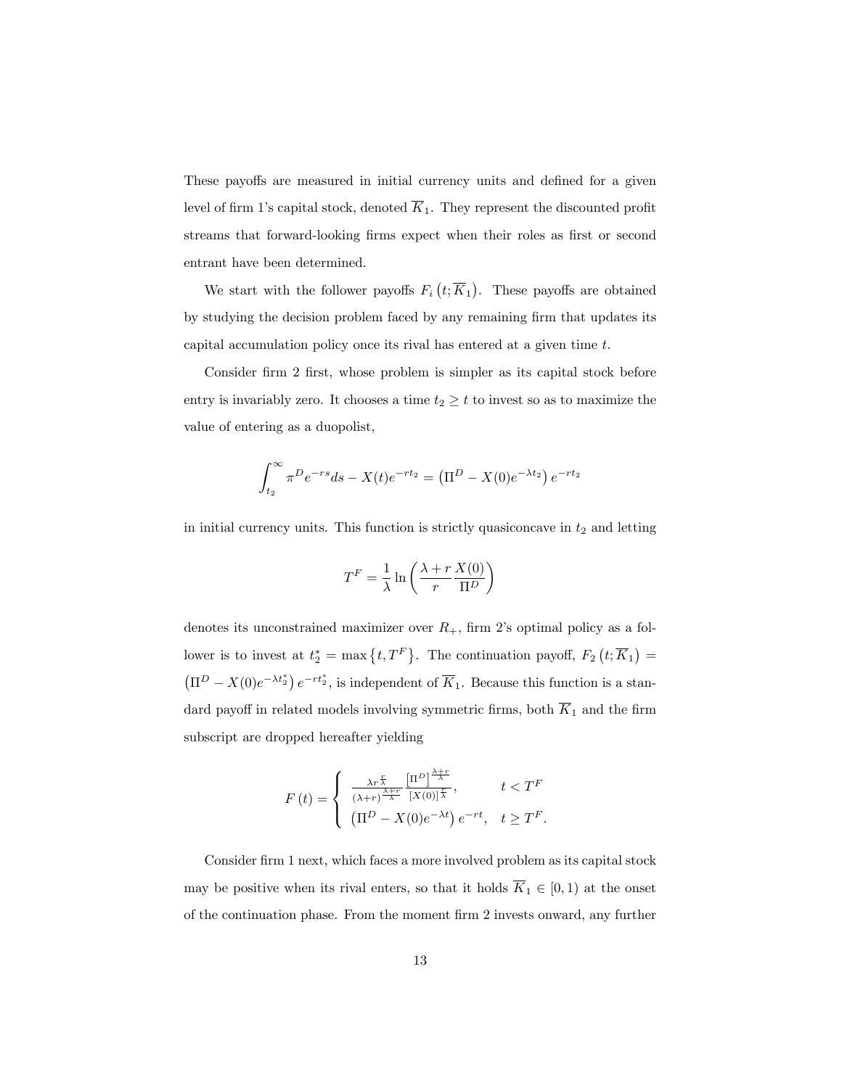These payoffs are measured in initial currency units and defined for a given level of firm 1's capital stock, denoted  $\overline{K}_1$ . They represent the discounted profit streams that forward-looking firms expect when their roles as first or second entrant have been determined.

We start with the follower payoffs  $F_i(t;\overline{K}_1)$ . These payoffs are obtained by studying the decision problem faced by any remaining firm that updates its capital accumulation policy once its rival has entered at a given time t.

Consider firm 2 first, whose problem is simpler as its capital stock before entry is invariably zero. It chooses a time  $t_2 \geq t$  to invest so as to maximize the value of entering as a duopolist,

$$
\int_{t_2}^{\infty} \pi^D e^{-rs} ds - X(t) e^{-rt_2} = (\Pi^D - X(0) e^{-\lambda t_2}) e^{-rt_2}
$$

in initial currency units. This function is strictly quasiconcave in  $t_2$  and letting

$$
T^{F} = \frac{1}{\lambda} \ln \left( \frac{\lambda + r}{r} \frac{X(0)}{\Pi^{D}} \right)
$$

denotes its unconstrained maximizer over  $R_+$ , firm 2's optimal policy as a follower is to invest at  $t_2^* = \max\{t, T^F\}$ . The continuation payoff,  $F_2(t; \overline{K}_1) =$  $(\Pi^D - X(0)e^{-\lambda t_2^*}) e^{-rt_2^*}$ , is independent of  $\overline{K}_1$ . Because this function is a standard payoff in related models involving symmetric firms, both  $\overline{K}_1$  and the firm subscript are dropped hereafter yielding

$$
F(t) = \begin{cases} \frac{\lambda r^{\frac{r}{\lambda}}}{(\lambda+r)^{\frac{\lambda+r}{\lambda}}} \frac{\left[\Pi^D\right]^{\frac{\lambda+r}{\lambda}}}{\left[X(0)\right]^{\frac{r}{\lambda}}}, & t < T^F\\ \left(\Pi^D - X(0)e^{-\lambda t}\right)e^{-rt}, & t \ge T^F. \end{cases}
$$

Consider firm 1 next, which faces a more involved problem as its capital stock may be positive when its rival enters, so that it holds  $\overline{K}_1 \in [0,1)$  at the onset of the continuation phase. From the moment Örm 2 invests onward, any further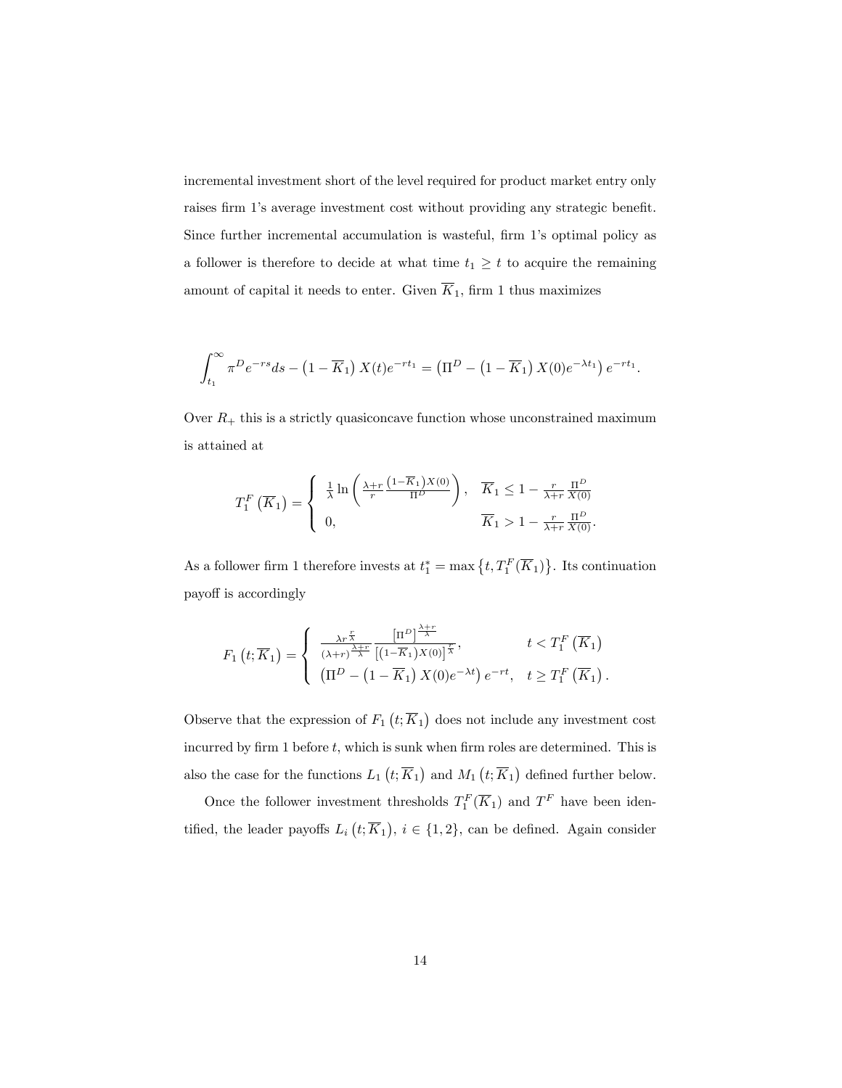incremental investment short of the level required for product market entry only raises firm 1's average investment cost without providing any strategic benefit. Since further incremental accumulation is wasteful, firm 1's optimal policy as a follower is therefore to decide at what time  $t_1 \geq t$  to acquire the remaining amount of capital it needs to enter. Given  $\overline{K}_1$ , firm 1 thus maximizes

$$
\int_{t_1}^{\infty} \pi^D e^{-rs} ds - (1 - \overline{K}_1) X(t) e^{-rt_1} = (\Pi^D - (1 - \overline{K}_1) X(0) e^{-\lambda t_1}) e^{-rt_1}.
$$

Over  $R_+$  this is a strictly quasiconcave function whose unconstrained maximum is attained at

$$
T_1^F\left(\overline{K}_1\right) = \begin{cases} \frac{1}{\lambda} \ln\left(\frac{\lambda + r}{r} \frac{\left(1 - \overline{K}_1\right) X(0)}{\Pi^D}\right), & \overline{K}_1 \le 1 - \frac{r}{\lambda + r} \frac{\Pi^D}{X(0)}\\ 0, & \overline{K}_1 > 1 - \frac{r}{\lambda + r} \frac{\Pi^D}{X(0)}. \end{cases}
$$

As a follower firm 1 therefore invests at  $t_1^* = \max\left\{t, T_1^F(\overline{K}_1)\right\}$ . Its continuation payoff is accordingly

$$
F_1(t; \overline{K}_1) = \begin{cases} \frac{\lambda r^{\frac{r}{\lambda}}}{(\lambda+r)^{\frac{\lambda+r}{\lambda}}} \frac{\left[\Pi^D\right]^{\frac{\lambda+r}{\lambda}}}{\left[(1-\overline{K}_1)X(0)\right]^{\frac{r}{\lambda}}}, & t < T_1^F(\overline{K}_1) \\ \left(\Pi^D - \left(1-\overline{K}_1\right)X(0)e^{-\lambda t}\right)e^{-rt}, & t \ge T_1^F(\overline{K}_1). \end{cases}
$$

Observe that the expression of  $F_1(t; \overline{K}_1)$  does not include any investment cost incurred by firm 1 before  $t$ , which is sunk when firm roles are determined. This is also the case for the functions  $L_1(t; \overline{K}_1)$  and  $M_1(t; \overline{K}_1)$  defined further below.

Once the follower investment thresholds  $T_1^F(\overline{K}_1)$  and  $T^F$  have been identified, the leader payoffs  $L_i(t; \overline{K}_1)$ ,  $i \in \{1, 2\}$ , can be defined. Again consider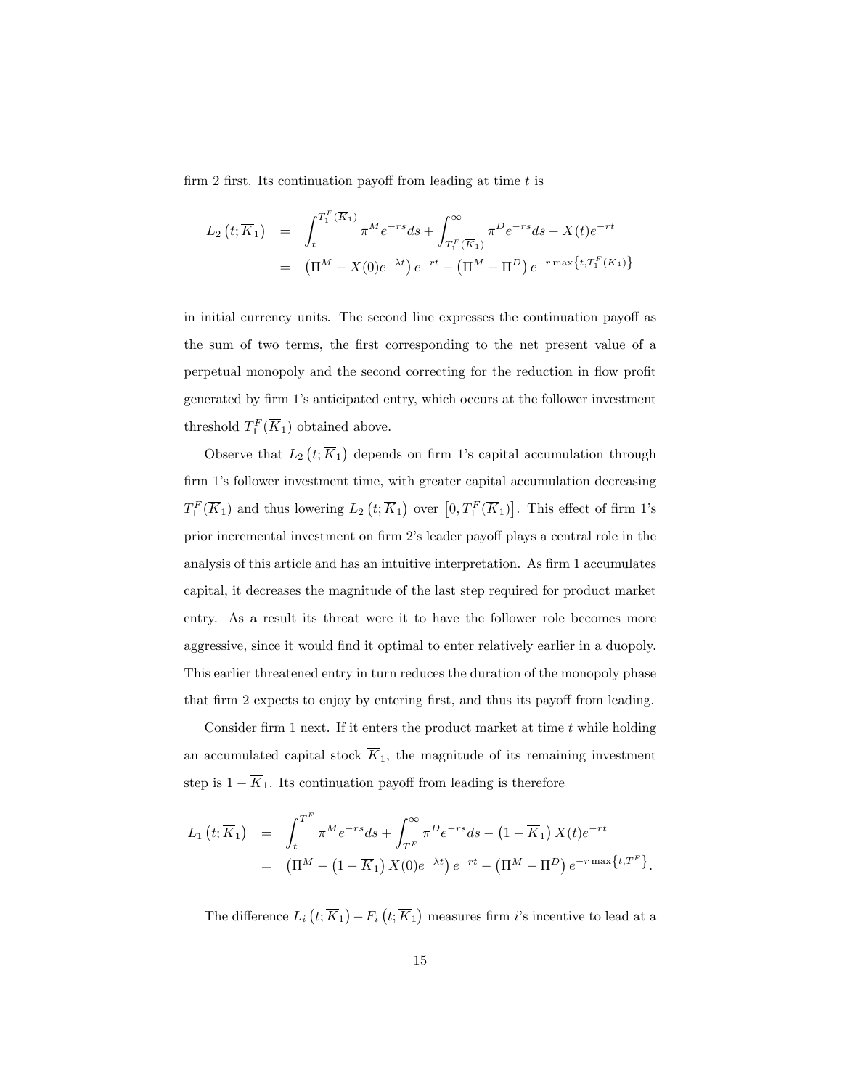firm 2 first. Its continuation payoff from leading at time  $t$  is

$$
L_2(t; \overline{K}_1) = \int_t^{T_1^F(\overline{K}_1)} \pi^M e^{-rs} ds + \int_{T_1^F(\overline{K}_1)}^{\infty} \pi^D e^{-rs} ds - X(t) e^{-rt}
$$
  
=  $(\Pi^M - X(0)e^{-\lambda t}) e^{-rt} - (\Pi^M - \Pi^D) e^{-r \max\{t, T_1^F(\overline{K}_1)\}}$ 

in initial currency units. The second line expresses the continuation payoff as the sum of two terms, the first corresponding to the net present value of a perpetual monopoly and the second correcting for the reduction in flow profit generated by firm 1's anticipated entry, which occurs at the follower investment threshold  $T_1^F(\overline{K}_1)$  obtained above.

Observe that  $L_2\left(t; \overline{K}_1\right)$  depends on firm 1's capital accumulation through firm 1's follower investment time, with greater capital accumulation decreasing  $T_1^F(\overline{K}_1)$  and thus lowering  $L_2(t;\overline{K}_1)$  over  $[0,T_1^F(\overline{K}_1)]$ . This effect of firm 1's prior incremental investment on firm 2's leader payoff plays a central role in the analysis of this article and has an intuitive interpretation. As firm 1 accumulates capital, it decreases the magnitude of the last step required for product market entry. As a result its threat were it to have the follower role becomes more aggressive, since it would find it optimal to enter relatively earlier in a duopoly. This earlier threatened entry in turn reduces the duration of the monopoly phase that firm 2 expects to enjoy by entering first, and thus its payoff from leading.

Consider firm 1 next. If it enters the product market at time  $t$  while holding an accumulated capital stock  $\overline{K}_1$ , the magnitude of its remaining investment step is  $1 - \overline{K}_1$ . Its continuation payoff from leading is therefore

$$
L_1(t; \overline{K}_1) = \int_t^{T^F} \pi^M e^{-rs} ds + \int_{T^F}^{\infty} \pi^D e^{-rs} ds - (1 - \overline{K}_1) X(t) e^{-rt}
$$
  
=  $(\Pi^M - (1 - \overline{K}_1) X(0) e^{-\lambda t}) e^{-rt} - (\Pi^M - \Pi^D) e^{-r \max\{t, T^F\}}.$ 

The difference  $L_i\left(t; \overline{K}_1\right) - F_i\left(t; \overline{K}_1\right)$  measures firm *i*'s incentive to lead at a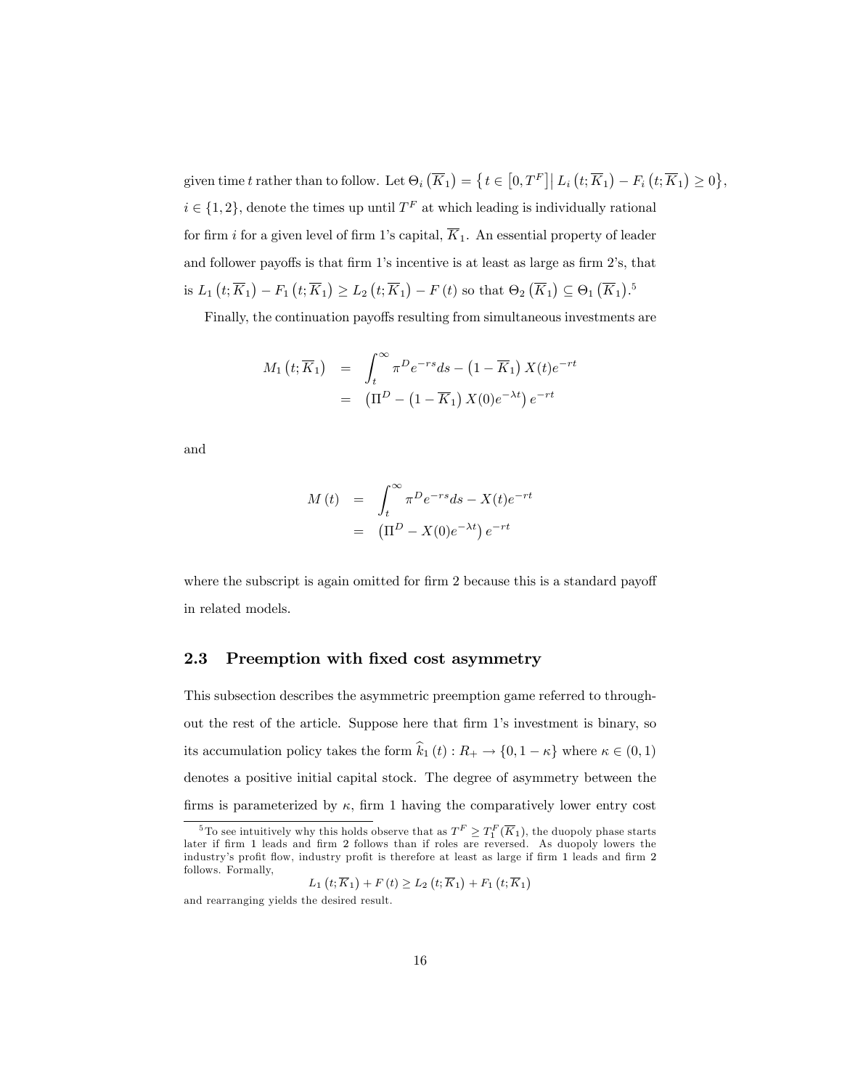given time t rather than to follow. Let  $\Theta_i\left(\overline{K}_1\right) = \left\{t \in \left[0, T^F\right] \middle| L_i\left(t; \overline{K}_1\right) - F_i\left(t; \overline{K}_1\right) \geq 0\right\},\$  $i \in \{1, 2\}$ , denote the times up until  $T<sup>F</sup>$  at which leading is individually rational for firm i for a given level of firm 1's capital,  $\overline{K}_1$ . An essential property of leader and follower payoffs is that firm  $1$ 's incentive is at least as large as firm  $2$ 's, that is  $L_1(t; \overline{K}_1) - F_1(t; \overline{K}_1) \ge L_2(t; \overline{K}_1) - F(t)$  so that  $\Theta_2(\overline{K}_1) \subseteq \Theta_1(\overline{K}_1)$ .<sup>5</sup>

Finally, the continuation payoffs resulting from simultaneous investments are

$$
M_1(t; \overline{K}_1) = \int_t^{\infty} \pi^D e^{-rs} ds - (1 - \overline{K}_1) X(t) e^{-rt}
$$
  
= 
$$
(\Pi^D - (1 - \overline{K}_1) X(0) e^{-\lambda t}) e^{-rt}
$$

and

$$
M(t) = \int_t^{\infty} \pi^D e^{-rs} ds - X(t) e^{-rt}
$$
  
= 
$$
(\Pi^D - X(0) e^{-\lambda t}) e^{-rt}
$$

where the subscript is again omitted for firm 2 because this is a standard payoff in related models.

## 2.3 Preemption with fixed cost asymmetry

This subsection describes the asymmetric preemption game referred to throughout the rest of the article. Suppose here that firm 1's investment is binary, so its accumulation policy takes the form  $\widehat{k}_{1} \left( t \right) : R_{+} \rightarrow \{ 0, 1 - \kappa \}$  where  $\kappa \in \left( 0, 1 \right)$ denotes a positive initial capital stock. The degree of asymmetry between the firms is parameterized by  $\kappa$ , firm 1 having the comparatively lower entry cost

$$
L_1(t; \overline{K}_1) + F(t) \ge L_2(t; \overline{K}_1) + F_1(t; \overline{K}_1)
$$

<sup>&</sup>lt;sup>5</sup>To see intuitively why this holds observe that as  $T^F \geq T_1^F(\overline{K}_1)$ , the duopoly phase starts later if firm 1 leads and firm 2 follows than if roles are reversed. As duopoly lowers the industry's profit flow, industry profit is therefore at least as large if firm 1 leads and firm 2 follows. Formally,

and rearranging yields the desired result.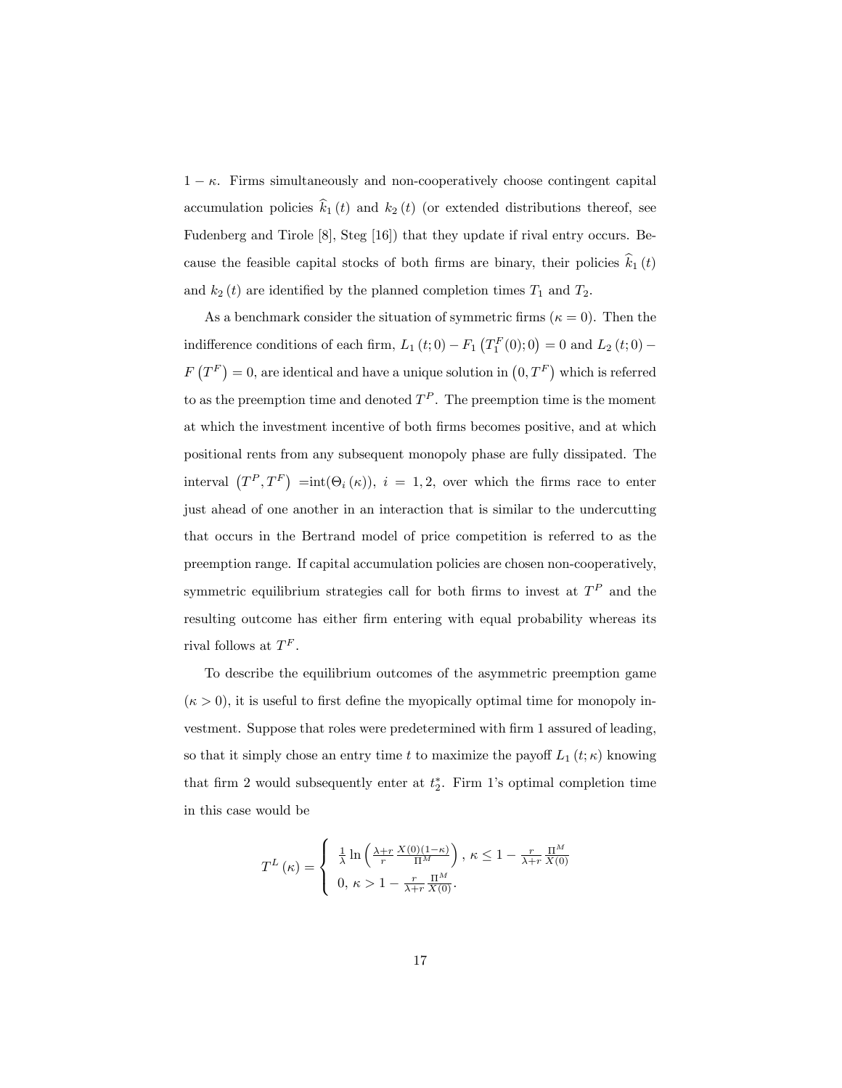$1 - \kappa$ . Firms simultaneously and non-cooperatively choose contingent capital accumulation policies  $\hat{k}_1 (t)$  and  $k_2 (t)$  (or extended distributions thereof, see Fudenberg and Tirole [8], Steg [16]) that they update if rival entry occurs. Because the feasible capital stocks of both firms are binary, their policies  $k_1 (t)$ and  $k_2(t)$  are identified by the planned completion times  $T_1$  and  $T_2$ .

As a benchmark consider the situation of symmetric firms ( $\kappa = 0$ ). Then the indifference conditions of each firm,  $L_1(t;0) - F_1(T_1^F(0);0) = 0$  and  $L_2(t;0) F(T^F) = 0$ , are identical and have a unique solution in  $(0, T^F)$  which is referred to as the preemption time and denoted  $T^P$ . The preemption time is the moment at which the investment incentive of both Örms becomes positive, and at which positional rents from any subsequent monopoly phase are fully dissipated. The interval  $(T^P, T^F) = int(\Theta_i(\kappa))$ ,  $i = 1, 2$ , over which the firms race to enter just ahead of one another in an interaction that is similar to the undercutting that occurs in the Bertrand model of price competition is referred to as the preemption range. If capital accumulation policies are chosen non-cooperatively, symmetric equilibrium strategies call for both firms to invest at  $T<sup>P</sup>$  and the resulting outcome has either firm entering with equal probability whereas its rival follows at  $T^F$ .

To describe the equilibrium outcomes of the asymmetric preemption game  $(\kappa > 0)$ , it is useful to first define the myopically optimal time for monopoly investment. Suppose that roles were predetermined with firm 1 assured of leading, so that it simply chose an entry time t to maximize the payoff  $L_1(t;\kappa)$  knowing that firm 2 would subsequently enter at  $t_2^*$ . Firm 1's optimal completion time in this case would be

$$
T^{L}\left(\kappa\right) = \begin{cases} \frac{1}{\lambda}\ln\left(\frac{\lambda+r}{r}\frac{X(0)(1-\kappa)}{\Pi^{M}}\right), \ \kappa \leq 1 - \frac{r}{\lambda+r}\frac{\Pi^{M}}{X(0)}\\ 0, \ \kappa > 1 - \frac{r}{\lambda+r}\frac{\Pi^{M}}{X(0)}. \end{cases}
$$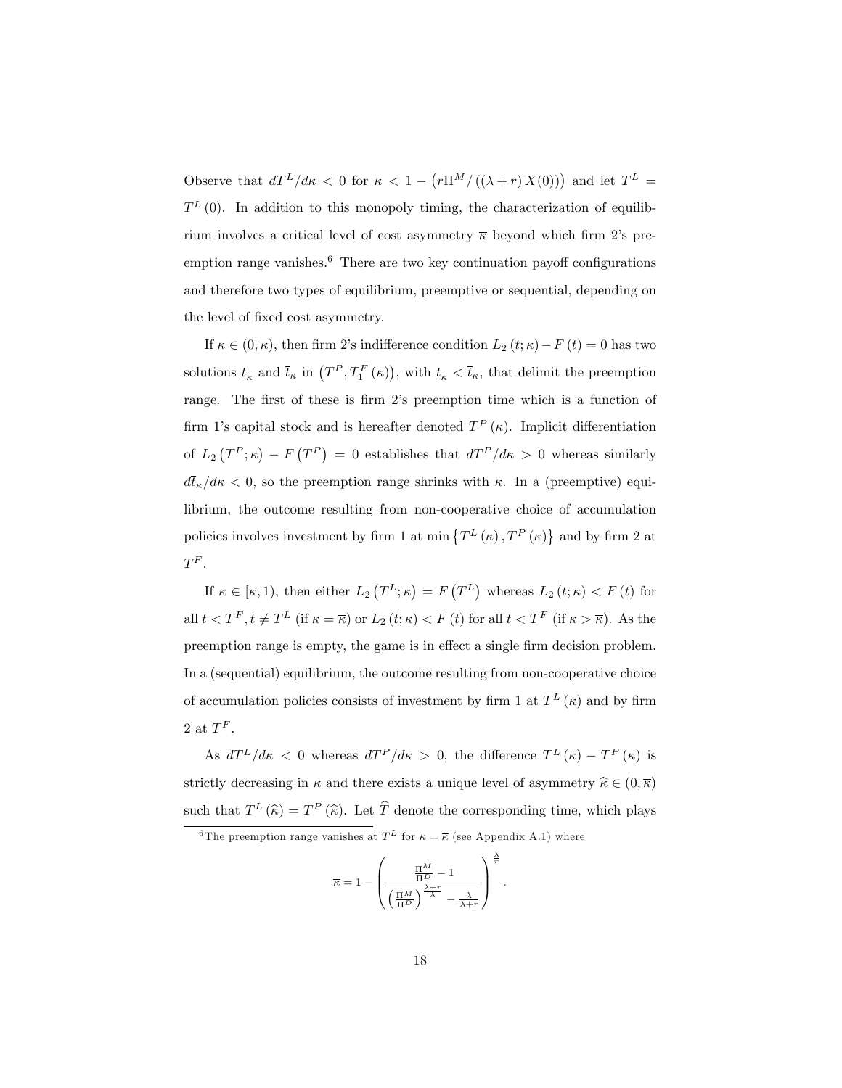Observe that  $dT^{L}/dx < 0$  for  $\kappa < 1 - (r\pi^{M}/((\lambda + r) X(0)))$  and let  $T^{L} =$  $T^{L}(0)$ . In addition to this monopoly timing, the characterization of equilibrium involves a critical level of cost asymmetry  $\overline{\kappa}$  beyond which firm 2's preemption range vanishes. $6$  There are two key continuation payoff configurations and therefore two types of equilibrium, preemptive or sequential, depending on the level of fixed cost asymmetry.

If  $\kappa \in (0, \overline{\kappa})$ , then firm 2's indifference condition  $L_2(t;\kappa) - F(t) = 0$  has two solutions  $t_{\kappa}$  and  $\bar{t}_{\kappa}$  in  $(T^P, T_1^F(\kappa))$ , with  $t_{\kappa} < \bar{t}_{\kappa}$ , that delimit the preemption range. The first of these is firm 2's preemption time which is a function of firm 1's capital stock and is hereafter denoted  $T^{P}(\kappa)$ . Implicit differentiation of  $L_2(T^P; \kappa) - F(T^P) = 0$  establishes that  $dT^P/d\kappa > 0$  whereas similarly  $d\bar{t}_{\kappa}/d\kappa$  < 0, so the preemption range shrinks with  $\kappa$ . In a (preemptive) equilibrium, the outcome resulting from non-cooperative choice of accumulation policies involves investment by firm 1 at min  $\{T^{L}(\kappa), T^{P}(\kappa)\}\$  and by firm 2 at  $T^F$  .

If  $\kappa \in [\overline{\kappa}, 1)$ , then either  $L_2(T^L; \overline{\kappa}) = F(T^L)$  whereas  $L_2(t; \overline{\kappa}) < F(t)$  for all  $t < T^F$ ,  $t \neq T^L$  (if  $\kappa = \overline{\kappa}$ ) or  $L_2(t;\kappa) < F(t)$  for all  $t < T^F$  (if  $\kappa > \overline{\kappa}$ ). As the preemption range is empty, the game is in effect a single firm decision problem. In a (sequential) equilibrium, the outcome resulting from non-cooperative choice of accumulation policies consists of investment by firm 1 at  $T<sup>L</sup>(\kappa)$  and by firm 2 at  $T^F$ .

As  $dT^L/d\kappa < 0$  whereas  $dT^P/d\kappa > 0$ , the difference  $T^L(\kappa) - T^P(\kappa)$  is strictly decreasing in  $\kappa$  and there exists a unique level of asymmetry  $\hat{\kappa} \in (0, \overline{\kappa})$ such that  $T^{L}(\hat{\kappa}) = T^{P}(\hat{\kappa})$ . Let  $\hat{T}$  denote the corresponding time, which plays

$$
\overline{\kappa} = 1 - \left(\frac{\frac{\Pi^M}{\Pi^D} - 1}{\left(\frac{\Pi^M}{\Pi^D}\right)^{\frac{\lambda + r}{\lambda}} - \frac{\lambda}{\lambda + r}}\right)^{\frac{\lambda}{r}}
$$

.

<sup>&</sup>lt;sup>6</sup>The preemption range vanishes at  $T^L$  for  $\kappa = \overline{\kappa}$  (see Appendix A.1) where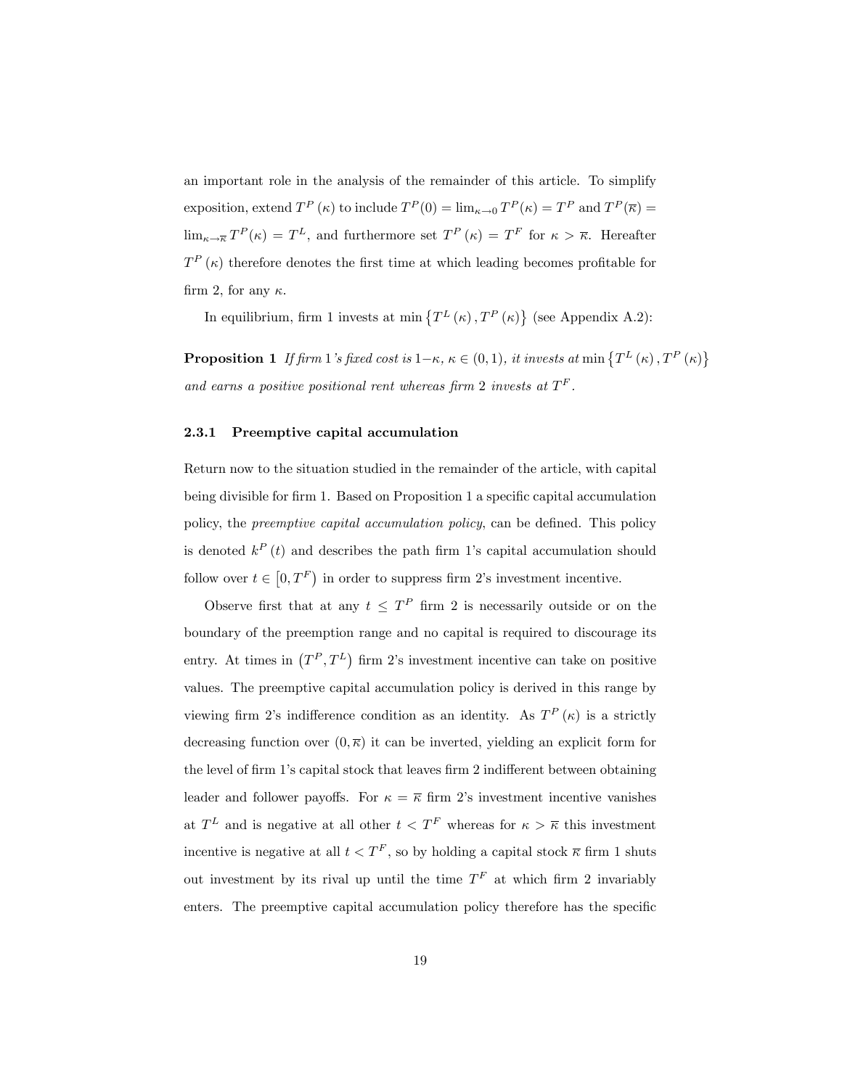an important role in the analysis of the remainder of this article. To simplify exposition, extend  $T^P(\kappa)$  to include  $T^P(0) = \lim_{\kappa \to 0} T^P(\kappa) = T^P$  and  $T^P(\overline{\kappa}) =$  $\lim_{\kappa \to \overline{\kappa}} T^P(\kappa) = T^L$ , and furthermore set  $T^P(\kappa) = T^F$  for  $\kappa > \overline{\kappa}$ . Hereafter  $T^{P}(\kappa)$  therefore denotes the first time at which leading becomes profitable for firm 2, for any  $\kappa$ .

In equilibrium, firm 1 invests at min  $\{T^L(\kappa), T^P(\kappa)\}\$  (see Appendix A.2):

**Proposition 1** If firm 1's fixed cost is  $1-\kappa$ ,  $\kappa \in (0, 1)$ , it invests at min  $\{T^L(\kappa), T^P(\kappa)\}$ and earns a positive positional rent whereas firm 2 invests at  $T^F$ .

#### 2.3.1 Preemptive capital accumulation

Return now to the situation studied in the remainder of the article, with capital being divisible for firm 1. Based on Proposition 1 a specific capital accumulation policy, the *preemptive capital accumulation policy*, can be defined. This policy is denoted  $k^P(t)$  and describes the path firm 1's capital accumulation should follow over  $t \in [0, T^F)$  in order to suppress firm 2's investment incentive.

Observe first that at any  $t \leq T^P$  firm 2 is necessarily outside or on the boundary of the preemption range and no capital is required to discourage its entry. At times in  $(T^P, T^L)$  firm 2's investment incentive can take on positive values. The preemptive capital accumulation policy is derived in this range by viewing firm 2's indifference condition as an identity. As  $T^P(\kappa)$  is a strictly decreasing function over  $(0,\overline{\kappa})$  it can be inverted, yielding an explicit form for the level of firm 1's capital stock that leaves firm 2 indifferent between obtaining leader and follower payoffs. For  $\kappa = \overline{\kappa}$  firm 2's investment incentive vanishes at  $T<sup>L</sup>$  and is negative at all other  $t < T<sup>F</sup>$  whereas for  $\kappa > \overline{\kappa}$  this investment incentive is negative at all  $t < T<sup>F</sup>$ , so by holding a capital stock  $\overline{\kappa}$  firm 1 shuts out investment by its rival up until the time  $T<sup>F</sup>$  at which firm 2 invariably enters. The preemptive capital accumulation policy therefore has the specific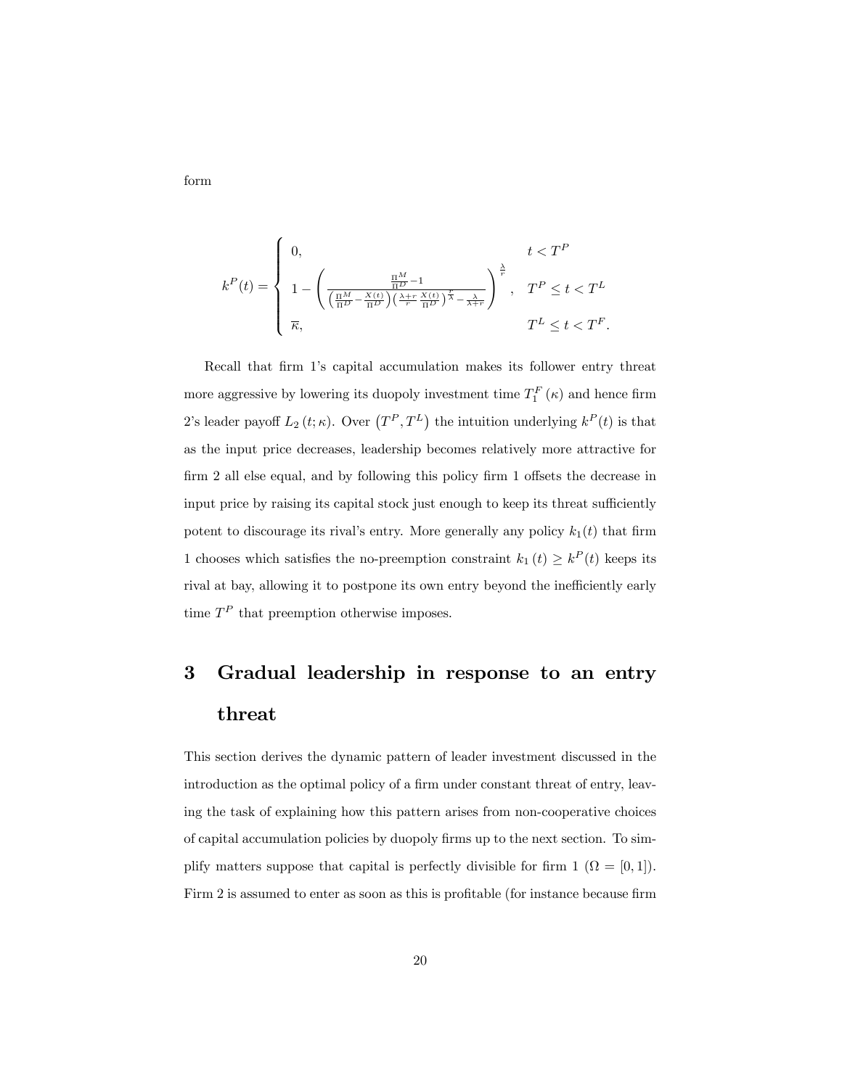form

$$
k^{P}(t) = \begin{cases} 0, & t < T^{P} \\ 1 - \left(\frac{\frac{\Pi^{M}}{\Pi^{D}} - 1}{\left(\frac{\Pi^{M}}{\Pi^{D}} - \frac{X(t)}{\Pi^{D}}\right)\left(\frac{\lambda + r}{r} \frac{X(t)}{\Pi^{D}}\right)^{\frac{r}{\lambda}} - \frac{\lambda}{\lambda + r}}\right)^{\frac{\lambda}{r}}, & T^{P} \leq t < T^{L} \\ \overline{\kappa}, & T^{L} \leq t < T^{F}. \end{cases}
$$

Recall that firm 1's capital accumulation makes its follower entry threat more aggressive by lowering its duopoly investment time  $T_1^F(\kappa)$  and hence firm 2's leader payoff  $L_2(t;\kappa)$ . Over  $(T^P,T^L)$  the intuition underlying  $k^P(t)$  is that as the input price decreases, leadership becomes relatively more attractive for  $firm 2$  all else equal, and by following this policy  $firm 1$  offsets the decrease in input price by raising its capital stock just enough to keep its threat sufficiently potent to discourage its rival's entry. More generally any policy  $k_1(t)$  that firm 1 chooses which satisfies the no-preemption constraint  $k_1(t) \geq k^P(t)$  keeps its rival at bay, allowing it to postpone its own entry beyond the inefficiently early time  $T<sup>P</sup>$  that preemption otherwise imposes.

# 3 Gradual leadership in response to an entry threat

This section derives the dynamic pattern of leader investment discussed in the introduction as the optimal policy of a firm under constant threat of entry, leaving the task of explaining how this pattern arises from non-cooperative choices of capital accumulation policies by duopoly firms up to the next section. To simplify matters suppose that capital is perfectly divisible for firm  $1$   $(\Omega = [0,1])$ . Firm 2 is assumed to enter as soon as this is profitable (for instance because firm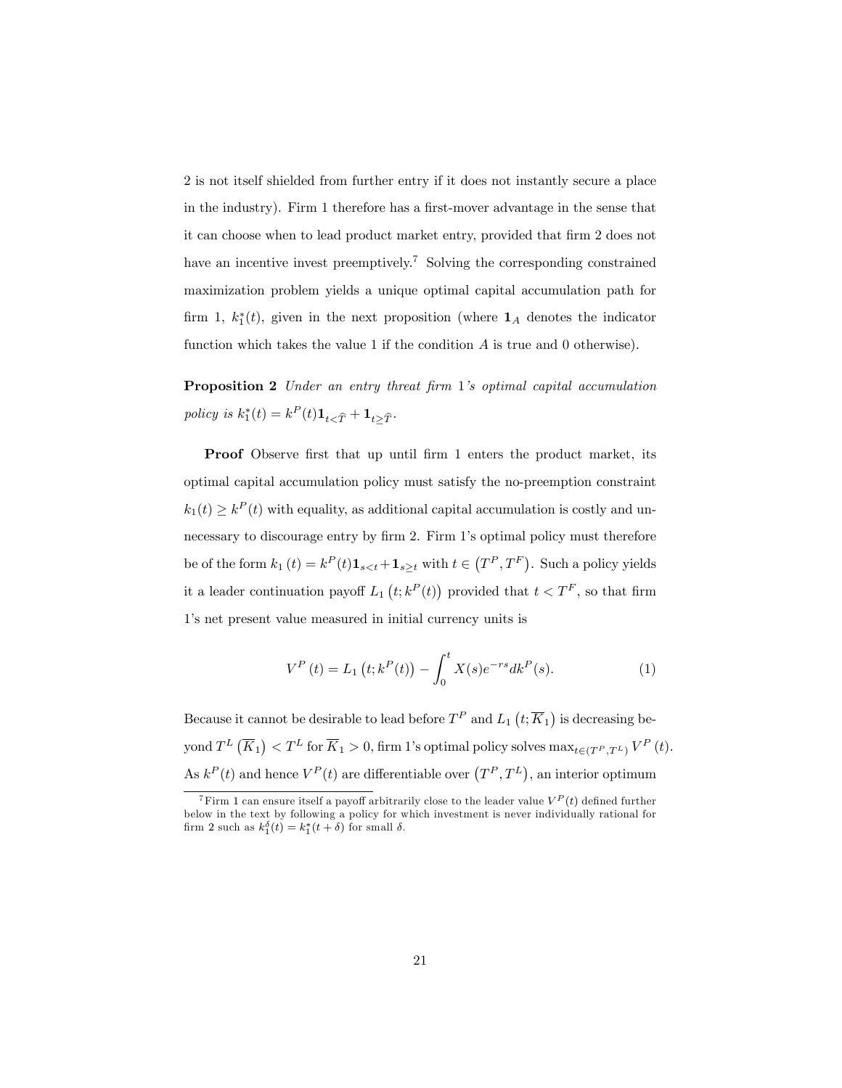2 is not itself shielded from further entry if it does not instantly secure a place in the industry). Firm 1 therefore has a first-mover advantage in the sense that it can choose when to lead product market entry, provided that firm 2 does not have an incentive invest preemptively.<sup>7</sup> Solving the corresponding constrained maximization problem yields a unique optimal capital accumulation path for firm 1,  $k_1^*(t)$ , given in the next proposition (where  $\mathbf{1}_A$  denotes the indicator function which takes the value 1 if the condition A is true and 0 otherwise).

Proposition 2 Under an entry threat firm 1's optimal capital accumulation policy is  $k_1^*(t) = k^P(t) \mathbf{1}_{t \leq \widehat{T}} + \mathbf{1}_{t \geq \widehat{T}}$ .

Proof Observe first that up until firm 1 enters the product market, its optimal capital accumulation policy must satisfy the no-preemption constraint  $k_1(t) \geq k^P(t)$  with equality, as additional capital accumulation is costly and unnecessary to discourage entry by firm 2. Firm 1's optimal policy must therefore be of the form  $k_1(t) = k^P(t)\mathbf{1}_{s with  $t \in (T^P, T^F)$ . Such a policy yields$ it a leader continuation payoff  $L_1(t; k^P(t))$  provided that  $t < T^F$ , so that firm 1ís net present value measured in initial currency units is

$$
V^{P}(t) = L_{1}(t; k^{P}(t)) - \int_{0}^{t} X(s)e^{-rs}dk^{P}(s).
$$
 (1)

Because it cannot be desirable to lead before  $T^P$  and  $L_1$   $(t; \overline{K}_1)$  is decreasing beyond  $T^{L}(\overline{K}_{1}) < T^{L}$  for  $\overline{K}_{1} > 0$ , firm 1's optimal policy solves  $\max_{t \in (T^{P},T^{L})} V^{P}(t)$ . As  $k^P(t)$  and hence  $V^P(t)$  are differentiable over  $(T^P, T^L)$ , an interior optimum

<sup>&</sup>lt;sup>7</sup>Firm 1 can ensure itself a payoff arbitrarily close to the leader value  $V^P(t)$  defined further below in the text by following a policy for which investment is never individually rational for firm 2 such as  $k_1^{\delta}(t) = k_1^*(t + \delta)$  for small  $\delta$ .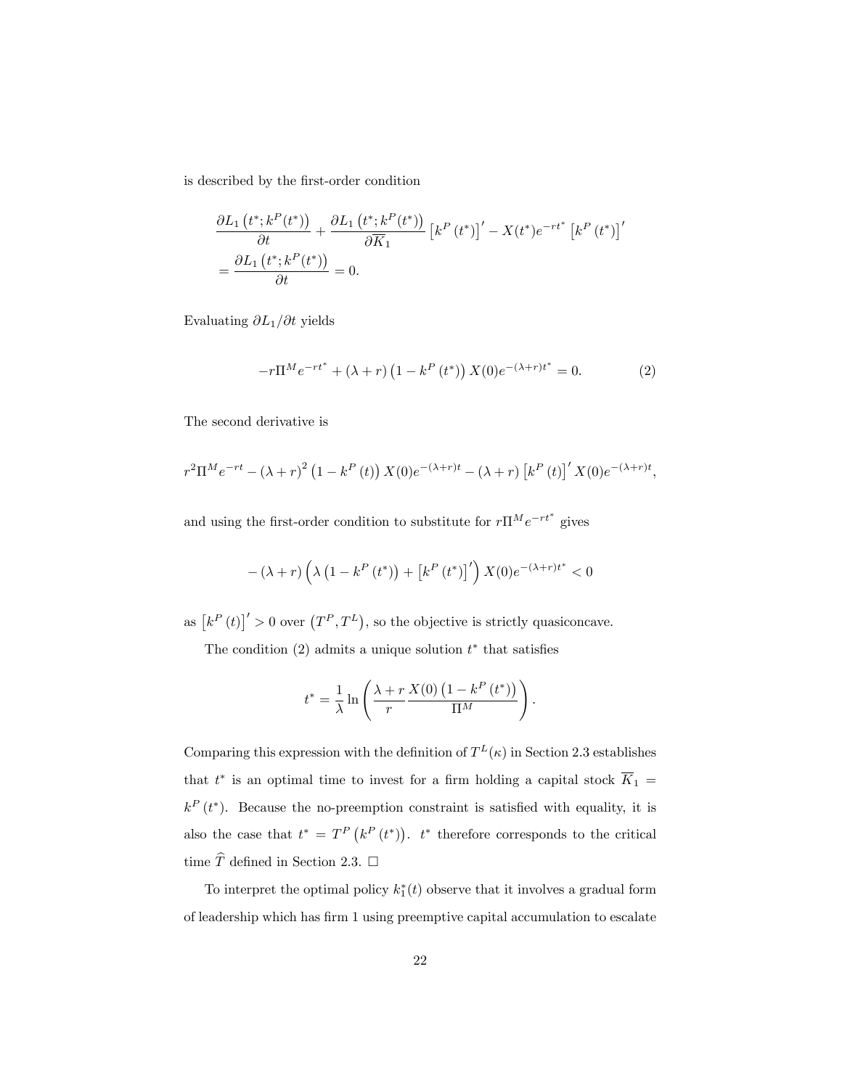is described by the first-order condition

$$
\frac{\partial L_1(t^*,k^P(t^*))}{\partial t} + \frac{\partial L_1(t^*,k^P(t^*))}{\partial \overline{K}_1} \left[k^P(t^*)\right]' - X(t^*)e^{-rt^*} \left[k^P(t^*)\right]'
$$

$$
= \frac{\partial L_1(t^*,k^P(t^*))}{\partial t} = 0.
$$

Evaluating  $\partial L_1/\partial t$  yields

$$
-r\Pi^{M}e^{-rt^{*}} + (\lambda + r)\left(1 - k^{P}(t^{*})\right)X(0)e^{-(\lambda + r)t^{*}} = 0.
$$
 (2)

The second derivative is

$$
r^{2}\Pi^{M}e^{-rt} - (\lambda + r)^{2} (1 - k^{P}(t)) X(0)e^{-(\lambda + r)t} - (\lambda + r) [k^{P}(t)]' X(0)e^{-(\lambda + r)t},
$$

and using the first-order condition to substitute for  $r\prod_{n} e^{-rt^*}$  gives

$$
-(\lambda + r) \left(\lambda \left(1 - k^{P} \left(t^{*}\right)\right) + \left[k^{P} \left(t^{*}\right)\right]'\right) X(0) e^{-(\lambda + r)t^{*}} < 0
$$

as  $\left[k^P(t)\right]'>0$  over  $(T^P, T^L)$ , so the objective is strictly quasiconcave.

The condition  $(2)$  admits a unique solution  $t^*$  that satisfies

$$
t^* = \frac{1}{\lambda} \ln \left( \frac{\lambda + r}{r} \frac{X(0) \left( 1 - k^P(t^*) \right)}{\Pi^M} \right).
$$

Comparing this expression with the definition of  $T^L(\kappa)$  in Section 2.3 establishes that  $t^*$  is an optimal time to invest for a firm holding a capital stock  $K_1 =$  $k^P(t^*)$ . Because the no-preemption constraint is satisfied with equality, it is also the case that  $t^* = T^P(k^P(t^*))$ .  $t^*$  therefore corresponds to the critical time  $\widehat{T}$  defined in Section 2.3.  $\Box$ 

To interpret the optimal policy  $k_1^*(t)$  observe that it involves a gradual form of leadership which has firm 1 using preemptive capital accumulation to escalate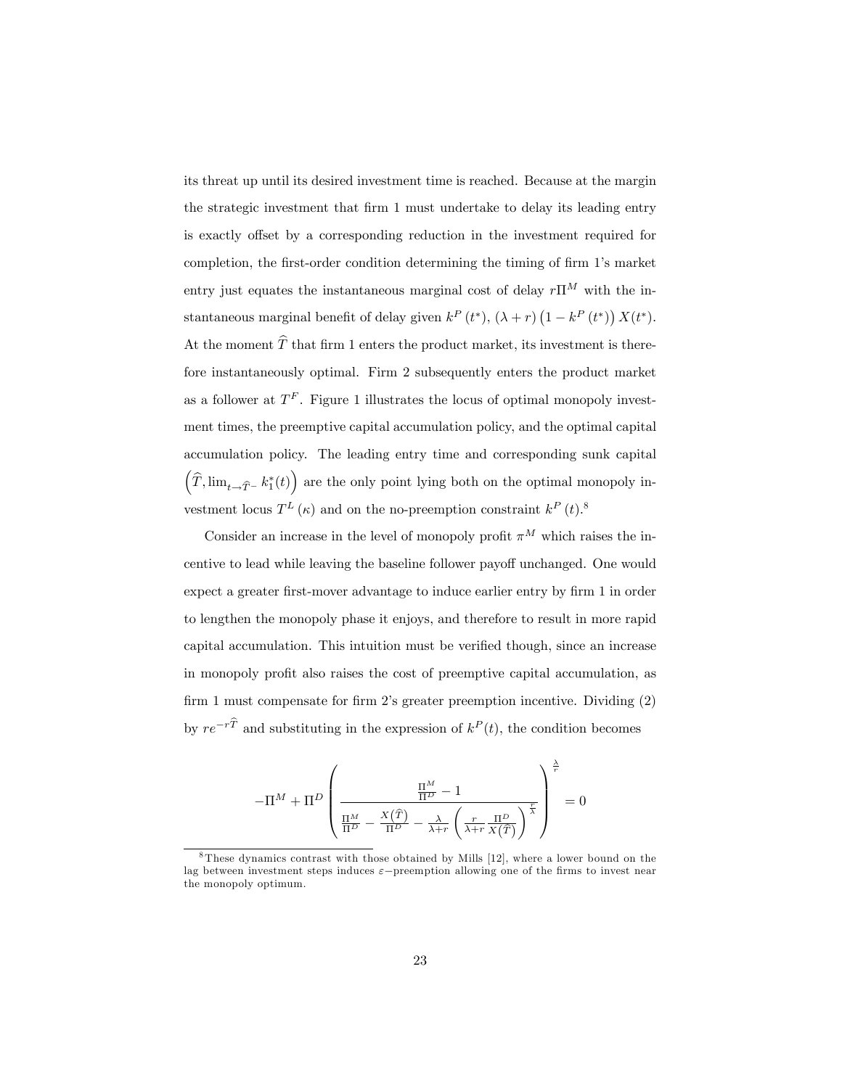its threat up until its desired investment time is reached. Because at the margin the strategic investment that Örm 1 must undertake to delay its leading entry is exactly offset by a corresponding reduction in the investment required for completion, the first-order condition determining the timing of firm 1's market entry just equates the instantaneous marginal cost of delay  $r\prod^{M}$  with the instantaneous marginal benefit of delay given  $k^P(t^*)$ ,  $(\lambda + r)(1 - k^P(t^*)) X(t^*)$ . At the moment  $\widehat{T}$  that firm 1 enters the product market, its investment is therefore instantaneously optimal. Firm 2 subsequently enters the product market as a follower at  $T^F$ . Figure 1 illustrates the locus of optimal monopoly investment times, the preemptive capital accumulation policy, and the optimal capital accumulation policy. The leading entry time and corresponding sunk capital  $(\widehat{T}, \lim_{t\to\widehat{T}^-} k_1^*(t))$  are the only point lying both on the optimal monopoly investment locus  $T^{L}(\kappa)$  and on the no-preemption constraint  $k^{P}(t)$ .<sup>8</sup>

Consider an increase in the level of monopoly profit  $\pi^M$  which raises the incentive to lead while leaving the baseline follower payoff unchanged. One would expect a greater first-mover advantage to induce earlier entry by firm 1 in order to lengthen the monopoly phase it enjoys, and therefore to result in more rapid capital accumulation. This intuition must be verified though, since an increase in monopoly profit also raises the cost of preemptive capital accumulation, as firm 1 must compensate for firm 2's greater preemption incentive. Dividing  $(2)$ by  $re^{-rT}$  and substituting in the expression of  $k^P(t)$ , the condition becomes

$$
-\Pi^M + \Pi^D \left(\frac{\frac{\Pi^M}{\Pi^D} - 1}{\frac{\Pi^M}{\Pi^D} - \frac{X(\hat{T})}{\Pi^D} - \frac{\lambda}{\lambda+r} \left(\frac{r}{\lambda+r} \frac{\Pi^D}{X(\hat{T})}\right)^{\frac{r}{\lambda}}}\right)^{\frac{\lambda}{r}} = 0
$$

<sup>8</sup> These dynamics contrast with those obtained by Mills [12], where a lower bound on the lag between investment steps induces  $\varepsilon$ -preemption allowing one of the firms to invest near the monopoly optimum.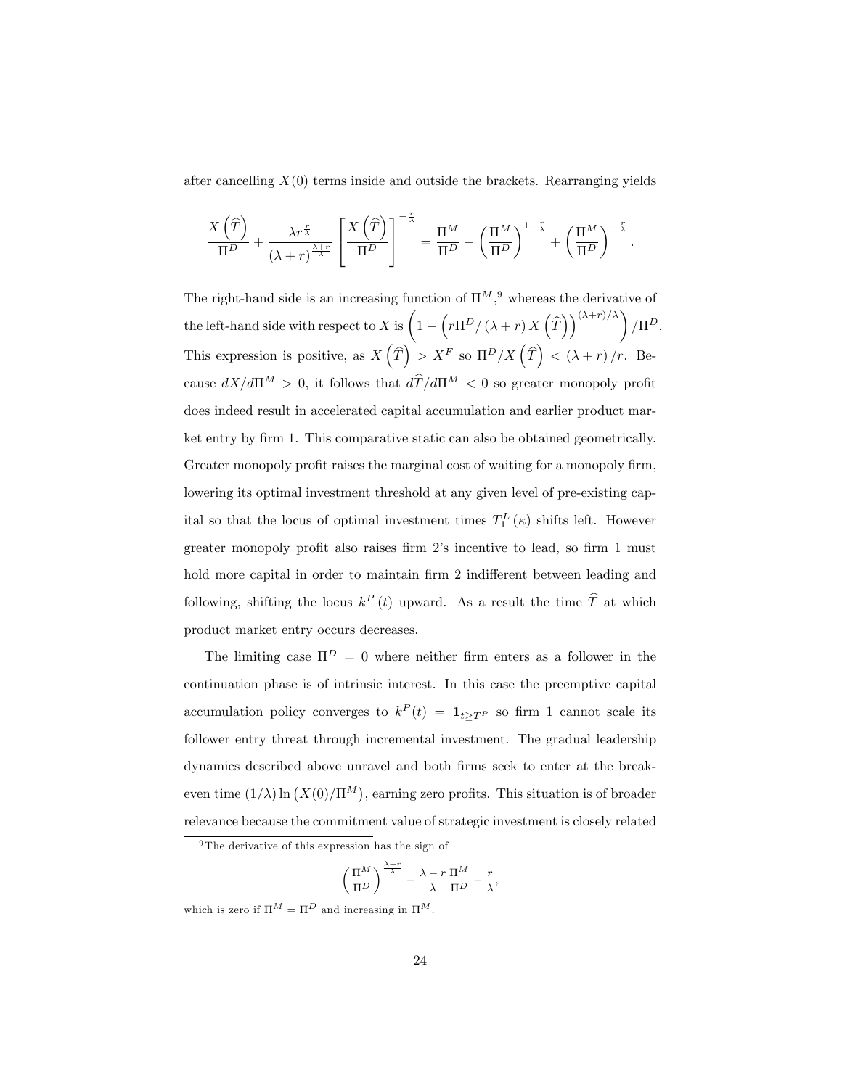after cancelling  $X(0)$  terms inside and outside the brackets. Rearranging yields

$$
\frac{X(\widehat{T})}{\Pi^D} + \frac{\lambda r^{\frac{r}{\lambda}}}{(\lambda+r)^{\frac{\lambda+r}{\lambda}}} \left[ \frac{X(\widehat{T})}{\Pi^D} \right]^{-\frac{r}{\lambda}} = \frac{\Pi^M}{\Pi^D} - \left( \frac{\Pi^M}{\Pi^D} \right)^{1-\frac{r}{\lambda}} + \left( \frac{\Pi^M}{\Pi^D} \right)^{-\frac{r}{\lambda}}
$$

.

The right-hand side is an increasing function of  $\Pi^{M}$ , whereas the derivative of the left-hand side with respect to X is  $\Big(1 - \Big(r\Pi^D/\left(\lambda + r\right)X\Big(\widehat{T})\Big)$  $\left(\frac{(\lambda+r)/\lambda}{\lambda}\right)/\Pi^D$ . This expression is positive, as  $X(\widehat{T}) > X^F$  so  $\Pi^D/X(\widehat{T}) < (\lambda + r)/r$ . Because  $dX/d\Pi^M > 0$ , it follows that  $d\widehat{T}/d\Pi^M < 0$  so greater monopoly profit does indeed result in accelerated capital accumulation and earlier product market entry by firm 1. This comparative static can also be obtained geometrically. Greater monopoly profit raises the marginal cost of waiting for a monopoly firm, lowering its optimal investment threshold at any given level of pre-existing capital so that the locus of optimal investment times  $T_1^L(\kappa)$  shifts left. However greater monopoly profit also raises firm 2's incentive to lead, so firm 1 must hold more capital in order to maintain firm 2 indifferent between leading and following, shifting the locus  $k^P(t)$  upward. As a result the time  $\hat{T}$  at which product market entry occurs decreases.

The limiting case  $\Pi^D = 0$  where neither firm enters as a follower in the continuation phase is of intrinsic interest. In this case the preemptive capital accumulation policy converges to  $k^P(t) = \mathbf{1}_{t \ge T^P}$  so firm 1 cannot scale its follower entry threat through incremental investment. The gradual leadership dynamics described above unravel and both firms seek to enter at the breakeven time  $(1/\lambda) \ln (X(0)/\Pi^M)$ , earning zero profits. This situation is of broader relevance because the commitment value of strategic investment is closely related

$$
\left(\frac{\Pi^M}{\Pi^D}\right)^{\frac{\lambda+r}{\lambda}} - \frac{\lambda-r}{\lambda} \frac{\Pi^M}{\Pi^D} - \frac{r}{\lambda},
$$

which is zero if  $\Pi^M = \Pi^D$  and increasing in  $\Pi^M$ .

<sup>&</sup>lt;sup>9</sup>The derivative of this expression has the sign of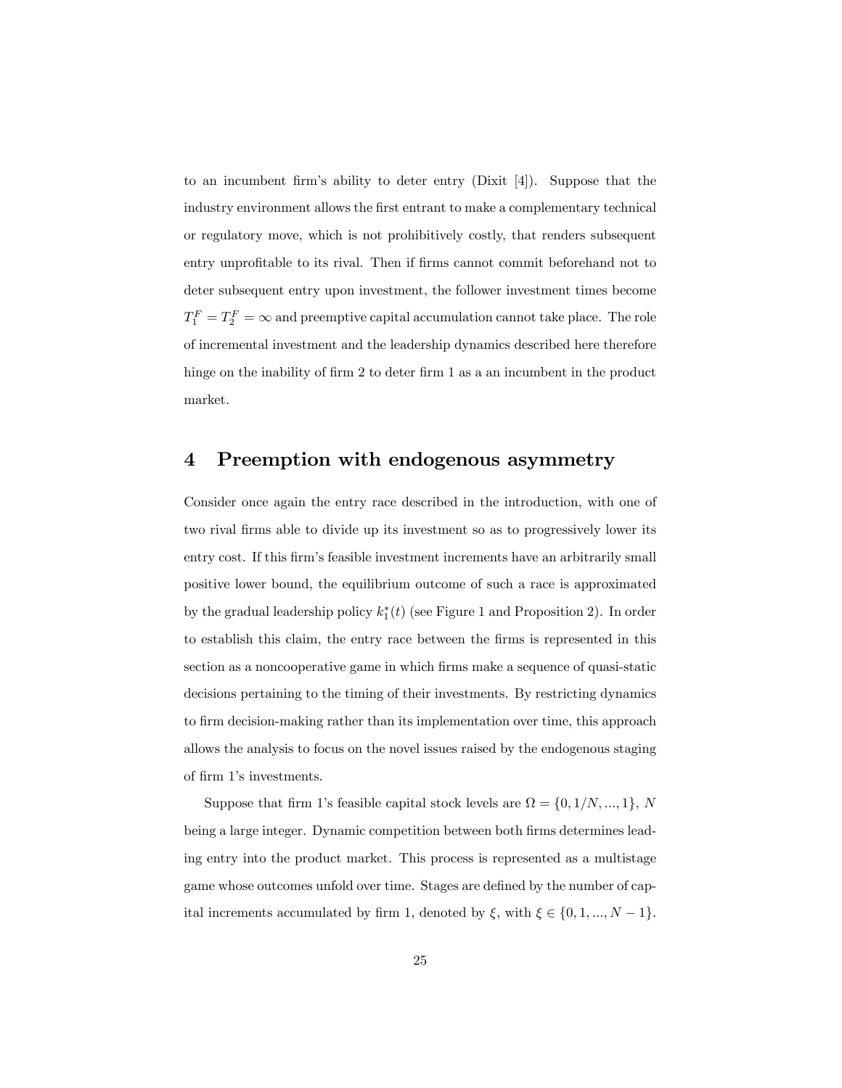to an incumbent firm's ability to deter entry (Dixit [4]). Suppose that the industry environment allows the Örst entrant to make a complementary technical or regulatory move, which is not prohibitively costly, that renders subsequent entry unprofitable to its rival. Then if firms cannot commit beforehand not to deter subsequent entry upon investment, the follower investment times become  $T_1^F = T_2^F = \infty$  and preemptive capital accumulation cannot take place. The role of incremental investment and the leadership dynamics described here therefore hinge on the inability of firm 2 to deter firm 1 as a an incumbent in the product market.

# 4 Preemption with endogenous asymmetry

Consider once again the entry race described in the introduction, with one of two rival firms able to divide up its investment so as to progressively lower its entry cost. If this firm's feasible investment increments have an arbitrarily small positive lower bound, the equilibrium outcome of such a race is approximated by the gradual leadership policy  $k_1^*(t)$  (see Figure 1 and Proposition 2). In order to establish this claim, the entry race between the Örms is represented in this section as a noncooperative game in which firms make a sequence of quasi-static decisions pertaining to the timing of their investments. By restricting dynamics to firm decision-making rather than its implementation over time, this approach allows the analysis to focus on the novel issues raised by the endogenous staging of firm 1's investments.

Suppose that firm 1's feasible capital stock levels are  $\Omega = \{0, 1/N, ..., 1\}, N$ being a large integer. Dynamic competition between both firms determines leading entry into the product market. This process is represented as a multistage game whose outcomes unfold over time. Stages are defined by the number of capital increments accumulated by firm 1, denoted by  $\xi$ , with  $\xi \in \{0, 1, ..., N - 1\}$ .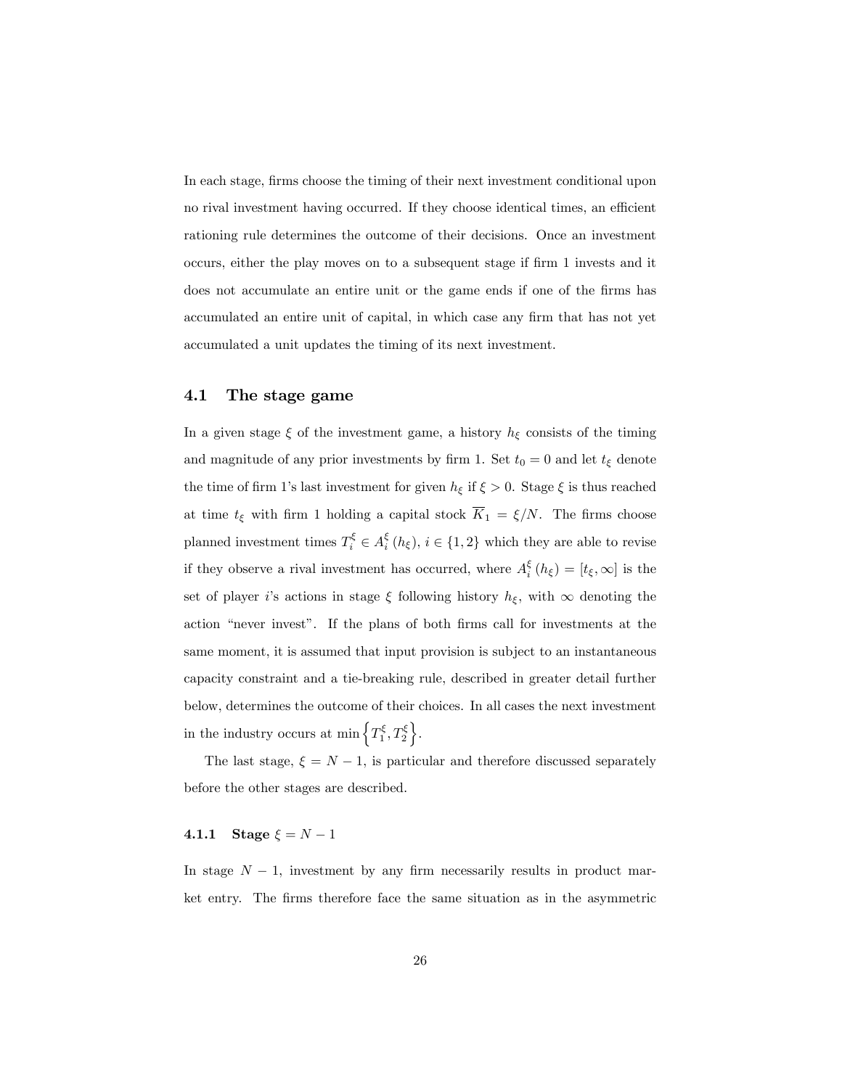In each stage, firms choose the timing of their next investment conditional upon no rival investment having occurred. If they choose identical times, an efficient rationing rule determines the outcome of their decisions. Once an investment occurs, either the play moves on to a subsequent stage if firm 1 invests and it does not accumulate an entire unit or the game ends if one of the Örms has accumulated an entire unit of capital, in which case any firm that has not yet accumulated a unit updates the timing of its next investment.

## 4.1 The stage game

In a given stage  $\xi$  of the investment game, a history  $h_{\xi}$  consists of the timing and magnitude of any prior investments by firm 1. Set  $t_0 = 0$  and let  $t_\xi$  denote the time of firm 1's last investment for given  $h_{\xi}$  if  $\xi > 0$ . Stage  $\xi$  is thus reached at time  $t_{\xi}$  with firm 1 holding a capital stock  $\overline{K}_1 = \xi/N$ . The firms choose planned investment times  $T_i^{\xi} \in A_i^{\xi}$   $(h_{\xi}), i \in \{1, 2\}$  which they are able to revise if they observe a rival investment has occurred, where  $A_i^{\xi}(h_{\xi}) = [t_{\xi}, \infty]$  is the set of player i's actions in stage  $\xi$  following history  $h_{\xi}$ , with  $\infty$  denoting the action "never invest". If the plans of both firms call for investments at the same moment, it is assumed that input provision is subject to an instantaneous capacity constraint and a tie-breaking rule, described in greater detail further below, determines the outcome of their choices. In all cases the next investment in the industry occurs at min  $\left\{T_1^{\xi}, T_2^{\xi}\right\}$ .

The last stage,  $\xi = N - 1$ , is particular and therefore discussed separately before the other stages are described.

## 4.1.1 Stage  $\xi = N - 1$

In stage  $N-1$ , investment by any firm necessarily results in product market entry. The firms therefore face the same situation as in the asymmetric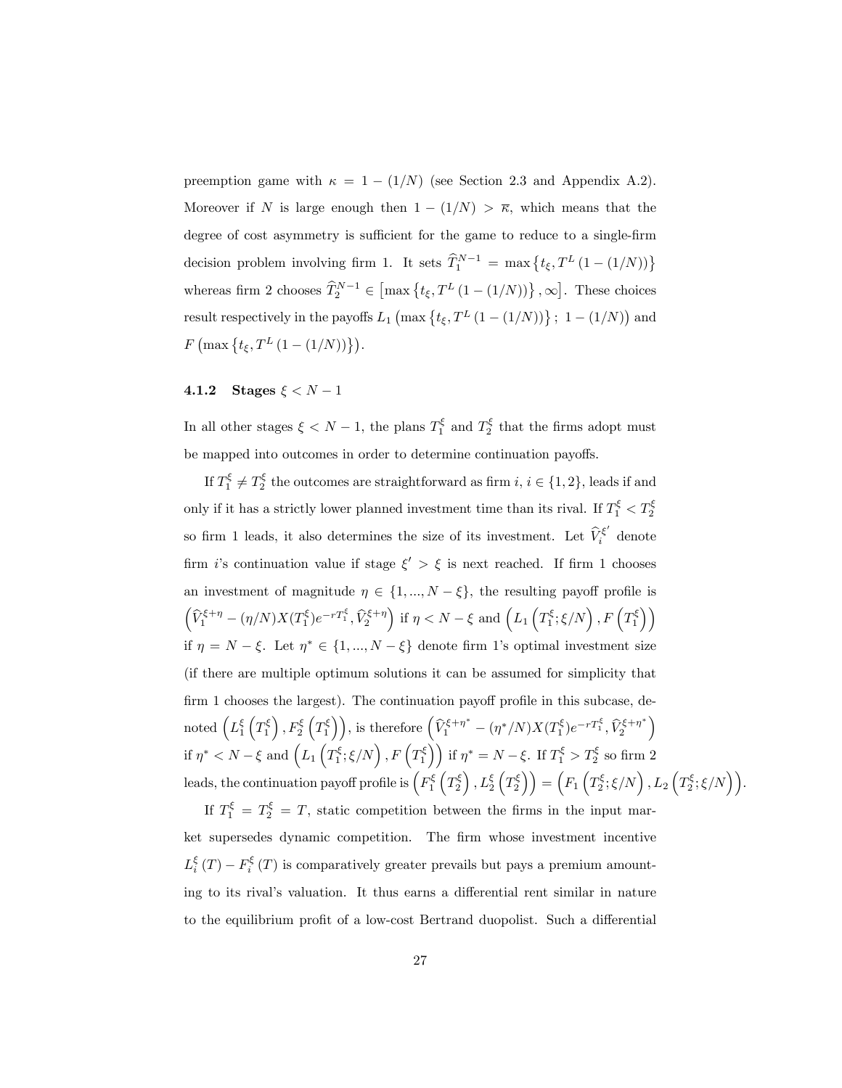preemption game with  $\kappa = 1 - (1/N)$  (see Section 2.3 and Appendix A.2). Moreover if N is large enough then  $1-(1/N) > \overline{\kappa}$ , which means that the degree of cost asymmetry is sufficient for the game to reduce to a single-firm decision problem involving firm 1. It sets  $\widehat{T}_1^{N-1} = \max\left\{t_{\xi}, T^L(1-(1/N))\right\}$ whereas firm 2 chooses  $\widehat{T}_2^{N-1} \in \left[ \max \{ t_{\xi}, T^L (1 - (1/N)) \} , \infty \right]$ . These choices result respectively in the payoffs  $L_1$  (max  $\{t_{\xi}, T^{L}(1 - (1/N))\}$ ; 1 -  $(1/N)$ ) and  $F\left(\max\left\{t_{\xi},T^{L}\left(1-\left(1/N\right)\right)\right\}\right).$ 

## 4.1.2 Stages  $\xi < N - 1$

In all other stages  $\xi \leq N-1$ , the plans  $T_1^{\xi}$  and  $T_2^{\xi}$  that the firms adopt must be mapped into outcomes in order to determine continuation payoffs.

If  $T_1^{\xi} \neq T_2^{\xi}$  the outcomes are straightforward as firm  $i, i \in \{1, 2\}$ , leads if and only if it has a strictly lower planned investment time than its rival. If  $T_1^{\xi} < T_2^{\xi}$ so firm 1 leads, it also determines the size of its investment. Let  $\widehat{V}_i^{\xi'}$  denote firm *i*'s continuation value if stage  $\xi' > \xi$  is next reached. If firm 1 chooses an investment of magnitude  $\eta \in \{1, ..., N - \xi\}$ , the resulting payoff profile is  $\left(\widehat{V}^{\xi+\eta}_1-(\eta/N)X(T^{\xi}_1)e^{-rT^{\xi}_1},\widehat{V}^{\xi+\eta}_2\right)\,\text{if } \eta< N-\xi\text{ and } \left(L_1\left(T^{\xi}_1;\xi/N\right),F\left(T^{\xi}_1\right)\right)$ if  $\eta = N - \xi$ . Let  $\eta^* \in \{1, ..., N - \xi\}$  denote firm 1's optimal investment size (if there are multiple optimum solutions it can be assumed for simplicity that  $f_{\text{irm 1} }$  chooses the largest). The continuation payoff profile in this subcase, denoted  $\left( L_1^{\xi} \left( T_1^{\xi} \right), F_2^{\xi} \left( T_1^{\xi} \right) \right)$ , is therefore  $\left( \widehat{V}_1^{\xi + \eta^*} - (\eta^* / N) X (T_1^{\xi}) e^{-r T_1^{\xi}}, \widehat{V}_2^{\xi + \eta^*} \right)$ if  $\eta^* < N - \xi$  and  $\left(L_1\left(T_1^{\xi}; \xi/N\right), F\left(T_1^{\xi}\right)\right)$  if  $\eta^* = N - \xi$ . If  $T_1^{\xi} > T_2^{\xi}$  so firm 2 leads, the continuation payoff profile is  $\left( F_1^{\xi}\left( T_2^{\xi}\right),L_2^{\xi}\left( T_2^{\xi}\right) \right) = \left( F_1\left( T_2^{\xi};\xi/N\right),L_2\left( T_2^{\xi};\xi/N\right) \right).$ 

If  $T_1^{\xi} = T_2^{\xi} = T$ , static competition between the firms in the input market supersedes dynamic competition. The firm whose investment incentive  $L_i^{\xi}(T) - F_i^{\xi}(T)$  is comparatively greater prevails but pays a premium amounting to its rival's valuation. It thus earns a differential rent similar in nature to the equilibrium profit of a low-cost Bertrand duopolist. Such a differential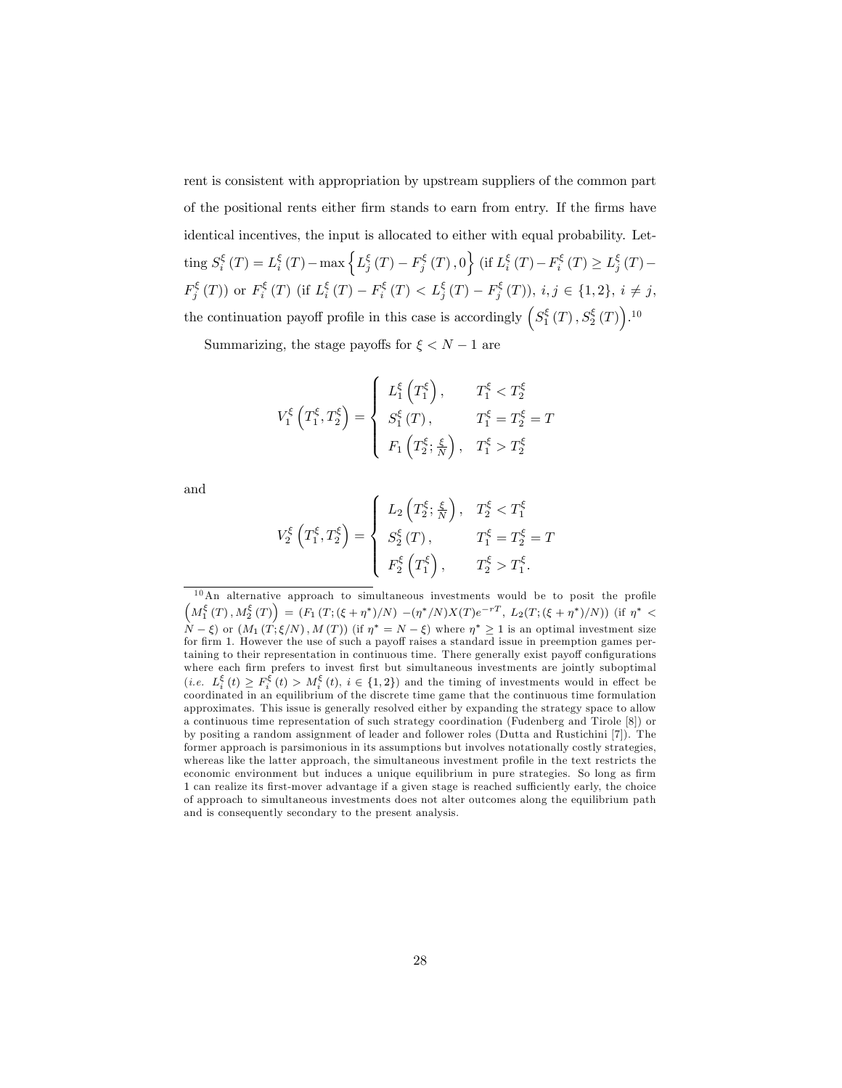rent is consistent with appropriation by upstream suppliers of the common part of the positional rents either Örm stands to earn from entry. If the Örms have identical incentives, the input is allocated to either with equal probability. Letting  $S_i^{\xi}(T) = L_i^{\xi}(T) - \max\left\{L_j^{\xi}(T) - F_j^{\xi}(T), 0\right\}$  (if  $L_i^{\xi}(T) - F_i^{\xi}(T) \ge L_j^{\xi}(T) F_j^{\xi}(T)$  or  $F_i^{\xi}(T)$  (if  $L_i^{\xi}(T) - F_i^{\xi}(T) < L_j^{\xi}(T) - F_j^{\xi}(T)$ ),  $i, j \in \{1, 2\}, i \neq j$ , the continuation payoff profile in this case is accordingly  $(S_1^{\xi}(T), S_2^{\xi}(T))$ .<sup>10</sup>

Summarizing, the stage payoffs for  $\xi < N - 1$  are

$$
V_1^{\xi} \left( T_1^{\xi}, T_2^{\xi} \right) = \begin{cases} L_1^{\xi} \left( T_1^{\xi} \right), & T_1^{\xi} < T_2^{\xi} \\ S_1^{\xi} \left( T \right), & T_1^{\xi} = T_2^{\xi} = T \\ F_1 \left( T_2^{\xi}; \frac{\xi}{N} \right), & T_1^{\xi} > T_2^{\xi} \end{cases}
$$

and

$$
V_{2}^{\xi}\left(T_{1}^{\xi},T_{2}^{\xi}\right) = \begin{cases} L_{2}\left(T_{2}^{\xi};\frac{\xi}{N}\right), & T_{2}^{\xi} < T_{1}^{\xi} \\ S_{2}^{\xi}\left(T\right), & T_{1}^{\xi} = T_{2}^{\xi} = T \\ F_{2}^{\xi}\left(T_{1}^{\xi}\right), & T_{2}^{\xi} > T_{1}^{\xi} .\end{cases}
$$

 $10$ An alternative approach to simultaneous investments would be to posit the profile  $\left(M_1^{\xi}(T), M_2^{\xi}(T)\right) = \left(F_1\left(T; (\xi+\eta^*)/N\right) - (\eta^*/N)X(T)e^{-rT}, L_2(T; (\xi+\eta^*)/N)\right)$  (if  $\eta^*$  <  $(N - \xi)$  or  $(M_1(T;\xi/N), M(T))$  (if  $\eta^* = N - \xi$ ) where  $\eta^* \geq 1$  is an optimal investment size for firm 1. However the use of such a payoff raises a standard issue in preemption games pertaining to their representation in continuous time. There generally exist payoff configurations where each firm prefers to invest first but simultaneous investments are jointly suboptimal (*i.e.*  $L_i^{\xi}(t) \geq F_i^{\xi}(t) > M_i^{\xi}(t), i \in \{1,2\}$ ) and the timing of investments would in effect be coordinated in an equilibrium of the discrete time game that the continuous time formulation approximates. This issue is generally resolved either by expanding the strategy space to allow a continuous time representation of such strategy coordination (Fudenberg and Tirole [8]) or by positing a random assignment of leader and follower roles (Dutta and Rustichini [7]). The former approach is parsimonious in its assumptions but involves notationally costly strategies, whereas like the latter approach, the simultaneous investment profile in the text restricts the economic environment but induces a unique equilibrium in pure strategies. So long as firm 1 can realize its first-mover advantage if a given stage is reached sufficiently early, the choice of approach to simultaneous investments does not alter outcomes along the equilibrium path and is consequently secondary to the present analysis.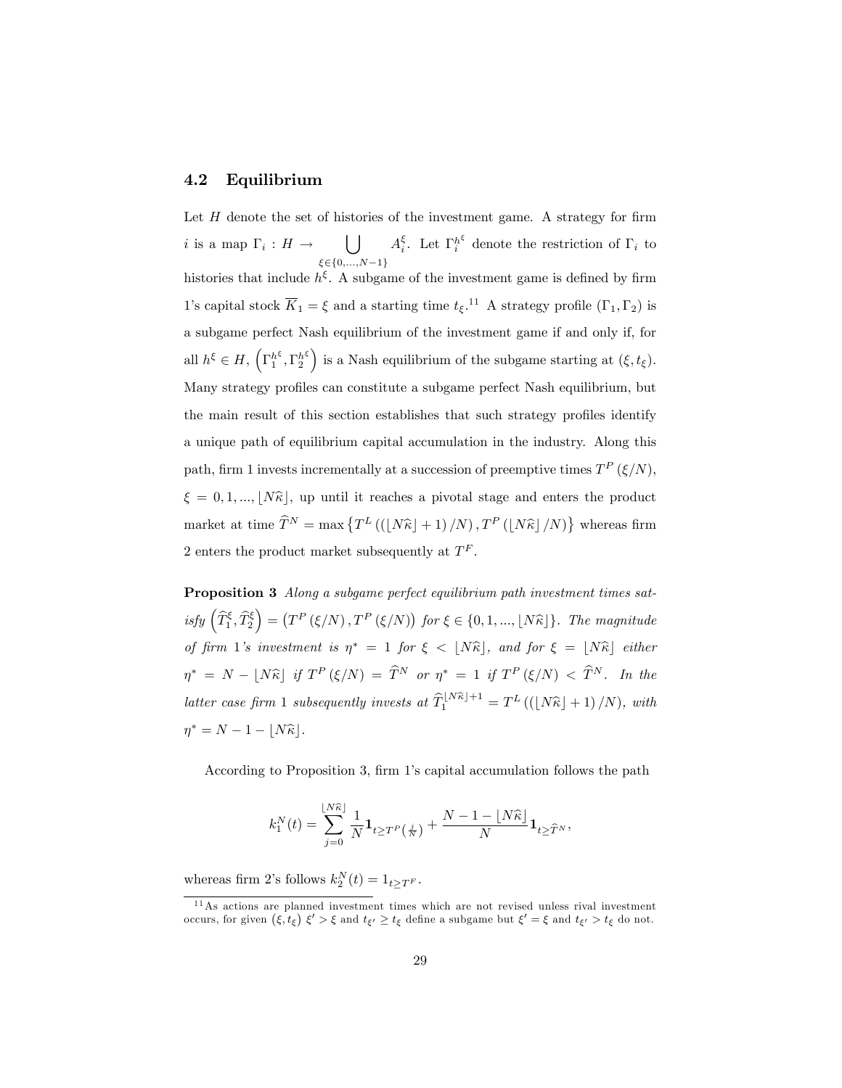## 4.2 Equilibrium

Let  $H$  denote the set of histories of the investment game. A strategy for firm i is a map  $\Gamma_i : H \to \bigcup$  $\xi \in \{0,...,N-1\}$  $A_i^{\xi}$ . Let  $\Gamma_i^{h^{\xi}}$  denote the restriction of  $\Gamma_i$  to histories that include  $h^{\xi}$ . A subgame of the investment game is defined by firm 1's capital stock  $\overline{K}_1 = \xi$  and a starting time  $t_{\xi}$ .<sup>11</sup> A strategy profile  $(\Gamma_1, \Gamma_2)$  is a subgame perfect Nash equilibrium of the investment game if and only if, for all  $h^{\xi} \in H$ ,  $\left(\Gamma_1^{h^{\xi}}, \Gamma_2^{h^{\xi}}\right)$  is a Nash equilibrium of the subgame starting at  $(\xi, t_{\xi})$ . Many strategy profiles can constitute a subgame perfect Nash equilibrium, but the main result of this section establishes that such strategy profiles identify a unique path of equilibrium capital accumulation in the industry. Along this path, firm 1 invests incrementally at a succession of preemptive times  $T^P(\xi/N)$ ,  $\xi = 0, 1, ..., [N\hat{k}]$ , up until it reaches a pivotal stage and enters the product market at time  $\widehat{T}^N = \max \{ T^L \left( (\lfloor N\widehat{\kappa} \rfloor + 1)/N \right), T^P \left( \lfloor N\widehat{\kappa} \rfloor/N \right) \}$  whereas firm 2 enters the product market subsequently at  $T^F$ .

**Proposition 3** Along a subgame perfect equilibrium path investment times satisfy  $\left(\widehat{T}_1^{\xi}, \widehat{T}_2^{\xi}\right) = \left(T^P\left(\xi/N\right), T^P\left(\xi/N\right)\right)$  for  $\xi \in \{0, 1, ..., \lfloor N\widehat{\kappa} \rfloor\}$ . The magnitude of firm 1's investment is  $\eta^* = 1$  for  $\xi < \lfloor N\hat{\kappa} \rfloor$ , and for  $\xi = \lfloor N\hat{\kappa} \rfloor$  either  $\eta^* = N - \lfloor N\widehat{\kappa} \rfloor$  if  $T^P(\xi/N) = \widehat{T}^N$  or  $\eta^* = 1$  if  $T^P(\xi/N) < \widehat{T}^N$ . In the latter case firm 1 subsequently invests at  $\widehat{T}_1^{\lfloor N\widehat{\kappa}\rfloor+1} = T^L((\lfloor N\widehat{\kappa}\rfloor + 1)/N)$ , with  $\eta^* = N - 1 - \lfloor N\widehat{\kappa} \rfloor.$ 

According to Proposition 3, firm 1's capital accumulation follows the path

$$
k_1^N(t) = \sum_{j=0}^{\lfloor N\widehat{\kappa} \rfloor} \frac{1}{N} \mathbf{1}_{t \ge T^P\left(\frac{j}{N}\right)} + \frac{N-1 - \lfloor N\widehat{\kappa} \rfloor}{N} \mathbf{1}_{t \ge \widehat{T}^N},
$$

whereas firm 2's follows  $k_2^N(t) = 1_{t \ge T^F}$ .

<sup>11</sup>As actions are planned investment times which are not revised unless rival investment occurs, for given  $(\xi, t_{\xi}) \xi' > \xi$  and  $t_{\xi'} \ge t_{\xi}$  define a subgame but  $\xi' = \xi$  and  $t_{\xi'} > t_{\xi}$  do not.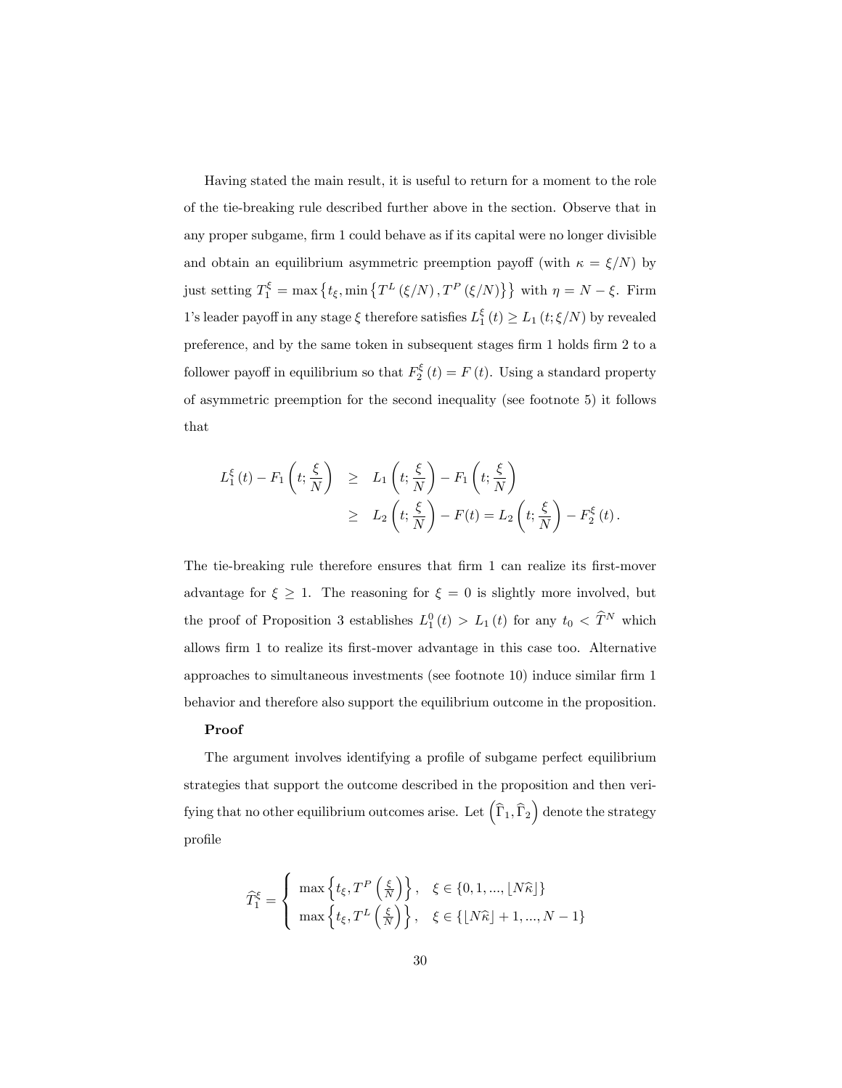Having stated the main result, it is useful to return for a moment to the role of the tie-breaking rule described further above in the section. Observe that in any proper subgame, firm 1 could behave as if its capital were no longer divisible and obtain an equilibrium asymmetric preemption payoff (with  $\kappa = \xi/N$ ) by just setting  $T_1^{\xi} = \max \{ t_{\xi}, \min \{ T^L (\xi/N), T^P (\xi/N) \} \}$  with  $\eta = N - \xi$ . Firm 1's leader payoff in any stage  $\xi$  therefore satisfies  $L_1^{\xi}(t) \geq L_1(t;\xi/N)$  by revealed preference, and by the same token in subsequent stages firm 1 holds firm 2 to a follower payoff in equilibrium so that  $F_2^{\xi}(t) = F(t)$ . Using a standard property of asymmetric preemption for the second inequality (see footnote 5) it follows that

$$
L_1^{\xi}(t) - F_1\left(t; \frac{\xi}{N}\right) \geq L_1\left(t; \frac{\xi}{N}\right) - F_1\left(t; \frac{\xi}{N}\right)
$$
  
 
$$
\geq L_2\left(t; \frac{\xi}{N}\right) - F(t) = L_2\left(t; \frac{\xi}{N}\right) - F_2^{\xi}(t).
$$

The tie-breaking rule therefore ensures that firm 1 can realize its first-mover advantage for  $\xi \geq 1$ . The reasoning for  $\xi = 0$  is slightly more involved, but the proof of Proposition 3 establishes  $L_1^0(t) > L_1(t)$  for any  $t_0 < \hat{T}^N$  which allows firm 1 to realize its first-mover advantage in this case too. Alternative approaches to simultaneous investments (see footnote  $10$ ) induce similar firm 1 behavior and therefore also support the equilibrium outcome in the proposition.

#### Proof

The argument involves identifying a profile of subgame perfect equilibrium strategies that support the outcome described in the proposition and then verifying that no other equilibrium outcomes arise. Let  $\left(\widehat{\Gamma}_1, \widehat{\Gamma}_2\right)$  denote the strategy profile

$$
\widehat{T}_{1}^{\xi} = \begin{cases}\n\max\left\{t_{\xi}, T^{P}\left(\frac{\xi}{N}\right)\right\}, & \xi \in \{0, 1, ..., \lfloor N\widehat{\kappa} \rfloor\} \\
\max\left\{t_{\xi}, T^{L}\left(\frac{\xi}{N}\right)\right\}, & \xi \in \{\lfloor N\widehat{\kappa} \rfloor + 1, ..., N - 1\}\n\end{cases}
$$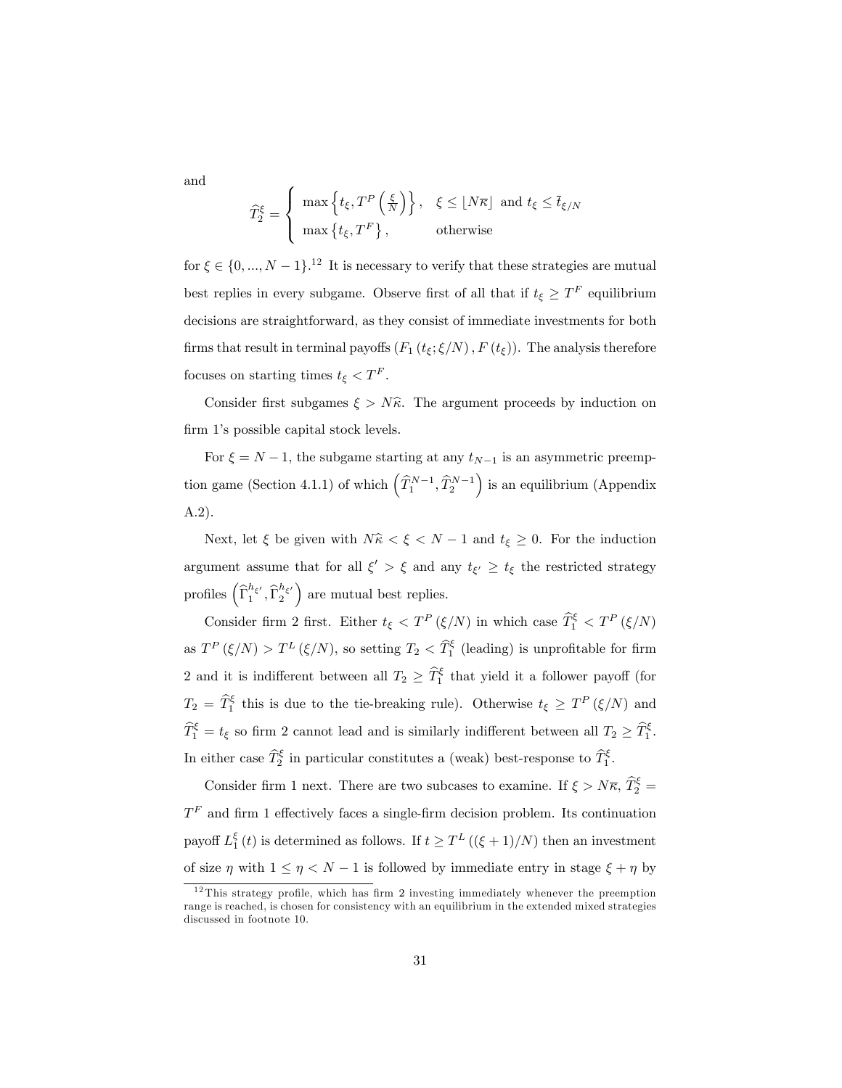and

$$
\widehat{T}_2^{\xi} = \begin{cases}\n\max\left\{t_{\xi}, T^P\left(\frac{\xi}{N}\right)\right\}, & \xi \leq \lfloor N\overline{\kappa} \rfloor \text{ and } t_{\xi} \leq \overline{t}_{\xi/N} \\
\max\left\{t_{\xi}, T^F\right\}, & \text{otherwise}\n\end{cases}
$$

for  $\xi \in \{0, ..., N - 1\}$ .<sup>12</sup> It is necessary to verify that these strategies are mutual best replies in every subgame. Observe first of all that if  $t_{\xi} \geq T^{F}$  equilibrium decisions are straightforward, as they consist of immediate investments for both firms that result in terminal payoffs  $(F_1(t_{\xi}; \xi/N), F(t_{\xi}))$ . The analysis therefore focuses on starting times  $t_{\xi} < T^{F}$ .

Consider first subgames  $\xi > N\hat{\kappa}$ . The argument proceeds by induction on firm 1's possible capital stock levels.

For  $\xi = N - 1$ , the subgame starting at any  $t_{N-1}$  is an asymmetric preemption game (Section 4.1.1) of which  $(\widehat{T}_1^{N-1}, \widehat{T}_2^{N-1})$  is an equilibrium (Appendix A.2).

Next, let  $\xi$  be given with  $N\hat{\kappa} < \xi < N - 1$  and  $t_{\xi} \geq 0$ . For the induction argument assume that for all  $\xi' > \xi$  and any  $t_{\xi'} \geq t_{\xi}$  the restricted strategy profiles  $\left(\widehat{\Gamma}^{h_{\xi'}}_1, \widehat{\Gamma}^{h_{\xi'}}_2\right)$  are mutual best replies.

Consider firm 2 first. Either  $t_{\xi} < T^{P}(\xi/N)$  in which case  $\widehat{T}_{1}^{\xi} < T^{P}(\xi/N)$ as  $T^{P}(\xi/N) > T^{L}(\xi/N)$ , so setting  $T_2 < \widehat{T}_1^{\xi}$  (leading) is unprofitable for firm 2 and it is indifferent between all  $T_2 \geq \hat{T}_1^{\xi}$  that yield it a follower payoff (for  $T_2 = \hat{T}_1^{\xi}$  this is due to the tie-breaking rule). Otherwise  $t_{\xi} \geq T^P(\xi/N)$  and  $\widehat{T}_1^{\xi} = t_{\xi}$  so firm 2 cannot lead and is similarly indifferent between all  $T_2 \geq \widehat{T}_1^{\xi}$ . In either case  $\widehat{T}_2^{\xi}$  in particular constitutes a (weak) best-response to  $\widehat{T}_1^{\xi}$ .

Consider firm 1 next. There are two subcases to examine. If  $\xi > N\overline{\kappa}$ ,  $\widehat{T}_2^{\xi}$  =  $T<sup>F</sup>$  and firm 1 effectively faces a single-firm decision problem. Its continuation payoff  $L_1^{\xi}(t)$  is determined as follows. If  $t \geq T^L((\xi+1)/N)$  then an investment of size  $\eta$  with  $1 \leq \eta < N - 1$  is followed by immediate entry in stage  $\xi + \eta$  by

 $12$  This strategy profile, which has firm 2 investing immediately whenever the preemption range is reached, is chosen for consistency with an equilibrium in the extended mixed strategies discussed in footnote 10.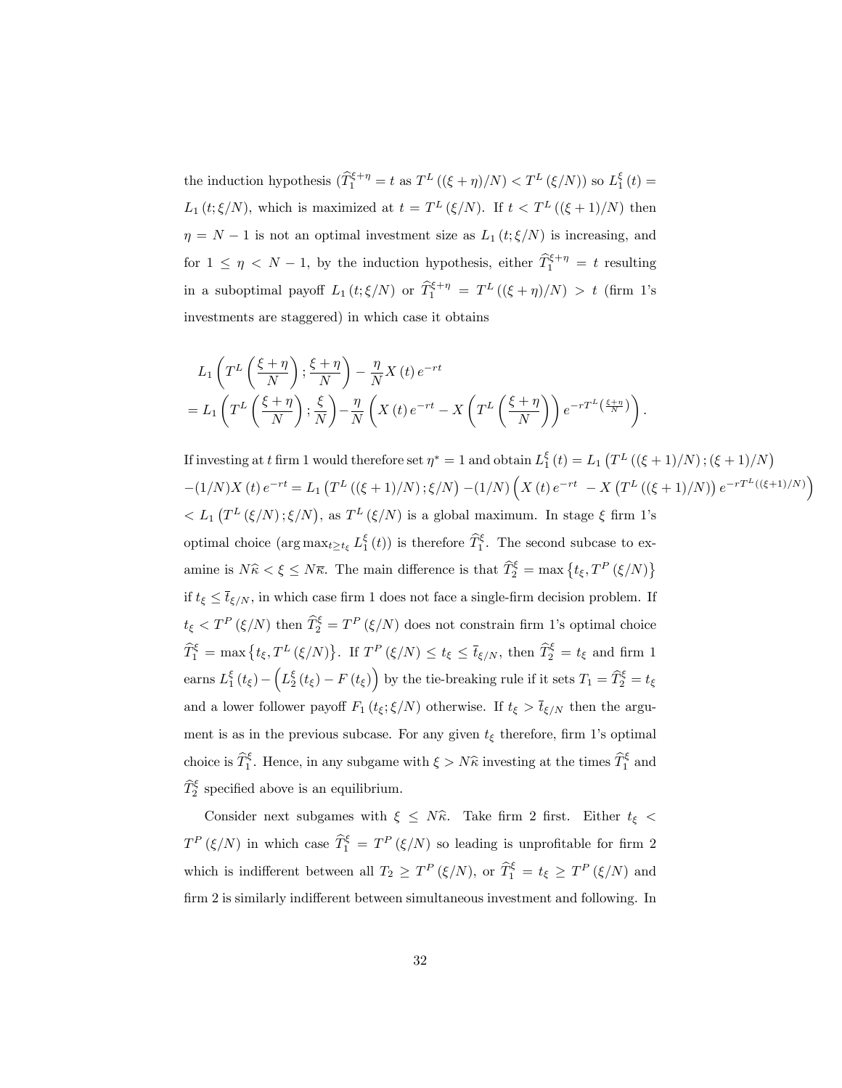the induction hypothesis  $(\widehat{T}_1^{\xi+\eta} = t \text{ as } T^L((\xi+\eta)/N) < T^L(\xi/N))$  so  $L_1^{\xi}(t) =$  $L_1(t;\xi/N)$ , which is maximized at  $t = T^L(\xi/N)$ . If  $t < T^L((\xi+1)/N)$  then  $\eta = N - 1$  is not an optimal investment size as  $L_1 (t; \xi/N)$  is increasing, and for  $1 \leq \eta \leq N-1$ , by the induction hypothesis, either  $\hat{T}_1^{\xi+\eta} = t$  resulting in a suboptimal payoff  $L_1(t;\xi/N)$  or  $\hat{T}_1^{\xi+\eta} = T^L((\xi+\eta)/N) > t$  (firm 1's investments are staggered) in which case it obtains

$$
L_1\left(T^L\left(\frac{\xi+\eta}{N}\right);\frac{\xi+\eta}{N}\right) - \frac{\eta}{N}X(t)e^{-rt}
$$
  
=  $L_1\left(T^L\left(\frac{\xi+\eta}{N}\right);\frac{\xi}{N}\right) - \frac{\eta}{N}\left(X(t)e^{-rt} - X\left(T^L\left(\frac{\xi+\eta}{N}\right)\right)e^{-rT^L\left(\frac{\xi+\eta}{N}\right)}\right).$ 

If investing at t firm 1 would therefore set  $\eta^* = 1$  and obtain  $L_1^{\xi}(t) = L_1(T^L((\xi+1)/N) ; (\xi+1)/N)$  $-(1/N)X(t) e^{-rt} = L_1\left(T^L\left((\xi+1)/N\right); \xi/N\right)\\ -(1/N)\left(X(t) e^{-rt} \right.\\ \left. - X\left(T^L\left((\xi+1)/N\right)\right) e^{-rT^L\left((\xi+1)/N\right)}\right)$  $\langle L_1(T^L(\xi/N);\xi/N),\text{ as }T^L(\xi/N)\text{ is a global maximum. In stage }\xi\text{ firm 1's }$ optimal choice  $(\arg \max_{t \ge t_{\xi}} L_1^{\xi}(t))$  is therefore  $\widehat{T}_1^{\xi}$ . The second subcase to examine is  $N\hat{\kappa} < \xi \leq N\overline{\kappa}$ . The main difference is that  $\widehat{T}_2^{\xi} = \max\left\{t_{\xi}, T^P(\xi/N)\right\}$ if  $t_{\xi} \leq \bar{t}_{\xi/N}$ , in which case firm 1 does not face a single-firm decision problem. If  $t_{\xi} < T^{P}(\xi/N)$  then  $\widehat{T}_{2}^{\xi} = T^{P}(\xi/N)$  does not constrain firm 1's optimal choice  $\widehat{T}_1^{\xi} = \max \left\{ t_{\xi}, T^{L}(\xi/N) \right\}$ . If  $T^{P}(\xi/N) \leq t_{\xi} \leq \overline{t}_{\xi/N}$ , then  $\widehat{T}_2^{\xi} = t_{\xi}$  and firm 1 earns  $L_1^{\xi}(t_{\xi}) - \left(L_2^{\xi}(t_{\xi}) - F(t_{\xi})\right)$  by the tie-breaking rule if it sets  $T_1 = \widehat{T}_2^{\xi} = t_{\xi}$ and a lower follower payoff  $F_1(t_\xi;\xi/N)$  otherwise. If  $t_\xi > \bar{t}_{\xi/N}$  then the argument is as in the previous subcase. For any given  $t_{\xi}$  therefore, firm 1's optimal choice is  $\hat{T}_1^{\xi}$ . Hence, in any subgame with  $\xi > N\hat{\kappa}$  investing at the times  $\hat{T}_1^{\xi}$  and  $\widehat{T}_{2}^{\xi}$  specified above is an equilibrium.

Consider next subgames with  $\xi \leq N\hat{\kappa}$ . Take firm 2 first. Either  $t_{\xi}$  <  $T^{P}(\xi/N)$  in which case  $\widehat{T}_{1}^{\xi} = T^{P}(\xi/N)$  so leading is unprofitable for firm 2 which is indifferent between all  $T_2 \geq T^P(\xi/N)$ , or  $\hat{T}_1^{\xi} = t_{\xi} \geq T^P(\xi/N)$  and firm 2 is similarly indifferent between simultaneous investment and following. In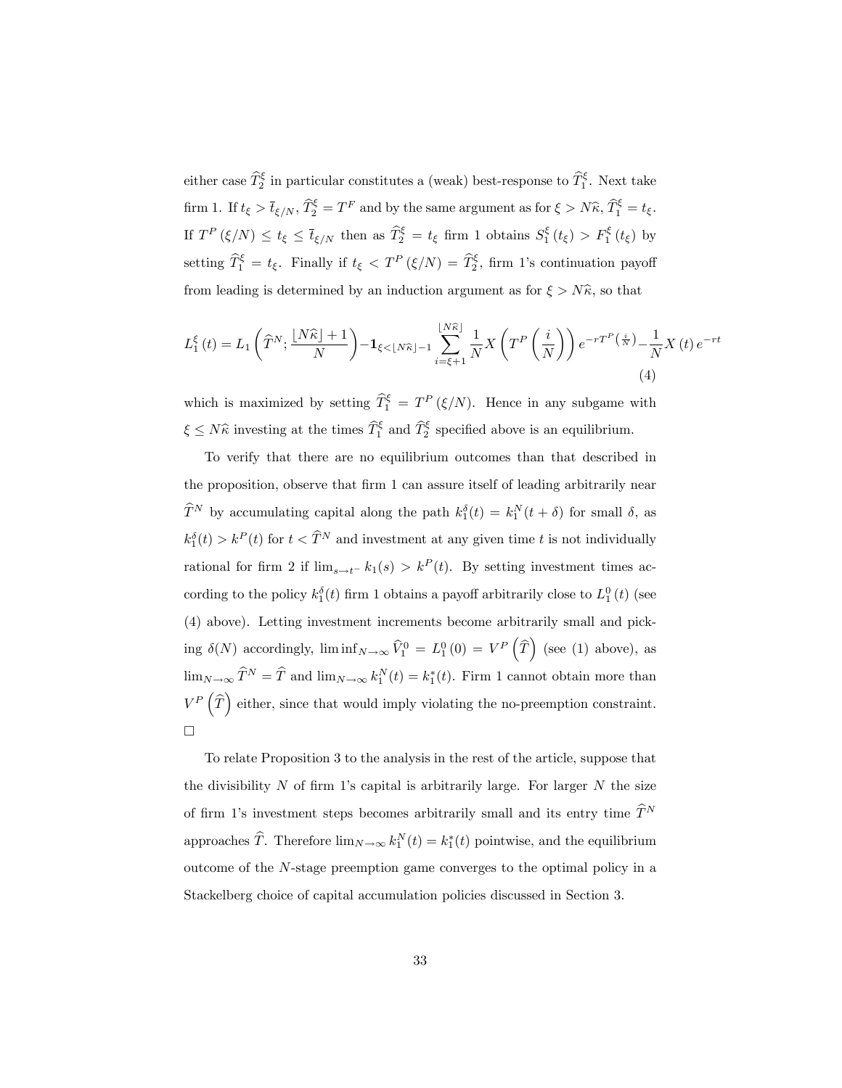either case  $\widehat{T}_2^{\xi}$  in particular constitutes a (weak) best-response to  $\widehat{T}_1^{\xi}$ . Next take firm 1. If  $t_{\xi} > \bar{t}_{\xi/N}$ ,  $\widehat{T}_2^{\xi} = T^F$  and by the same argument as for  $\xi > N\widehat{\kappa}$ ,  $\widehat{T}_1^{\xi} = t_{\xi}$ . If  $T^P(\xi/N) \le t_\xi \le \bar{t}_{\xi/N}$  then as  $\hat{T}_2^{\xi} = t_\xi$  firm 1 obtains  $S_1^{\xi}(t_\xi) > F_1^{\xi}(t_\xi)$  by setting  $\widehat{T}_1^{\xi} = t_{\xi}$ . Finally if  $t_{\xi} < T^P(\xi/N) = \widehat{T}_2^{\xi}$ , firm 1's continuation payoff from leading is determined by an induction argument as for  $\xi > N\hat{\kappa}$ , so that

$$
L_1^{\xi}(t) = L_1\left(\widehat{T}^N; \frac{\lfloor N\widehat{\kappa}\rfloor + 1}{N}\right) - \mathbf{1}_{\xi < \lfloor N\widehat{\kappa}\rfloor - 1} \sum_{i = \xi + 1}^{\lfloor N\widehat{\kappa}\rfloor} \frac{1}{N} X\left(T^P\left(\frac{i}{N}\right)\right) e^{-rT^P\left(\frac{i}{N}\right)} - \frac{1}{N} X\left(t\right) e^{-rt} \tag{4}
$$

which is maximized by setting  $\widehat{T}_1^{\xi} = T^P(\xi/N)$ . Hence in any subgame with  $\xi \leq N\hat{\kappa}$  investing at the times  $\hat{T}_1^{\xi}$  and  $\hat{T}_2^{\xi}$  specified above is an equilibrium.

To verify that there are no equilibrium outcomes than that described in the proposition, observe that firm 1 can assure itself of leading arbitrarily near  $\widehat{T}^{N}$  by accumulating capital along the path  $k_1^{\delta}(t) = k_1^{N}(t + \delta)$  for small  $\delta$ , as  $k_1^{\delta}(t) > k^P(t)$  for  $t < \widehat{T}^N$  and investment at any given time t is not individually rational for firm 2 if  $\lim_{s \to t^{-}} k_1(s) > k^P(t)$ . By setting investment times according to the policy  $k_1^{\delta}(t)$  firm 1 obtains a payoff arbitrarily close to  $L_1^0(t)$  (see (4) above). Letting investment increments become arbitrarily small and picking  $\delta(N)$  accordingly,  $\liminf_{N\to\infty} \widehat{V}_1^0 = L_1^0(0) = V^P(\widehat{T})$  (see (1) above), as  $\lim_{N \to \infty} \hat{T}^N = \hat{T}$  and  $\lim_{N \to \infty} k_1^N(t) = k_1^*(t)$ . Firm 1 cannot obtain more than  $V^P(\widehat{T})$  either, since that would imply violating the no-preemption constraint.  $\Box$ 

To relate Proposition 3 to the analysis in the rest of the article, suppose that the divisibility  $N$  of firm 1's capital is arbitrarily large. For larger  $N$  the size of firm 1's investment steps becomes arbitrarily small and its entry time  $\widehat{T}^N$ approaches  $\hat{T}$ . Therefore  $\lim_{N \to \infty} k_1^N(t) = k_1^*(t)$  pointwise, and the equilibrium outcome of the N-stage preemption game converges to the optimal policy in a Stackelberg choice of capital accumulation policies discussed in Section 3.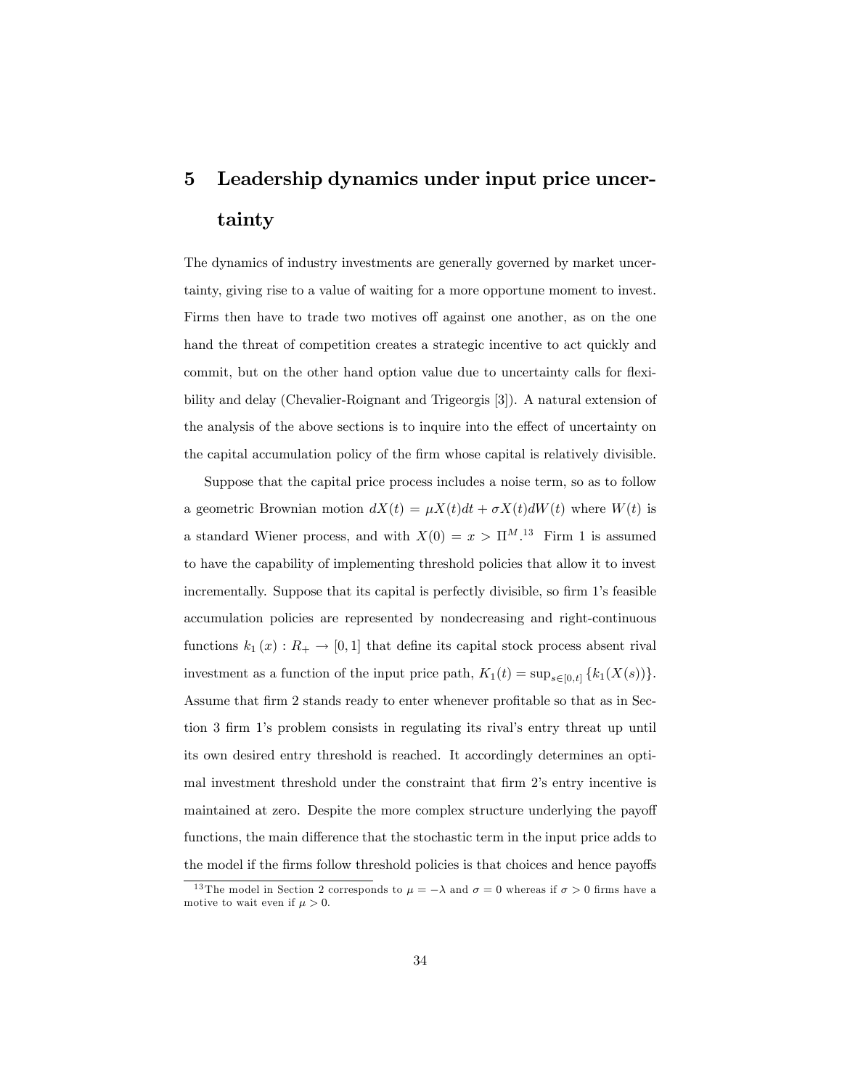# 5 Leadership dynamics under input price uncertainty

The dynamics of industry investments are generally governed by market uncertainty, giving rise to a value of waiting for a more opportune moment to invest. Firms then have to trade two motives off against one another, as on the one hand the threat of competition creates a strategic incentive to act quickly and commit, but on the other hand option value due to uncertainty calls for flexibility and delay (Chevalier-Roignant and Trigeorgis [3]). A natural extension of the analysis of the above sections is to inquire into the effect of uncertainty on the capital accumulation policy of the firm whose capital is relatively divisible.

Suppose that the capital price process includes a noise term, so as to follow a geometric Brownian motion  $dX(t) = \mu X(t)dt + \sigma X(t)dW(t)$  where  $W(t)$  is a standard Wiener process, and with  $X(0) = x > \Pi^{M.13}$  Firm 1 is assumed to have the capability of implementing threshold policies that allow it to invest incrementally. Suppose that its capital is perfectly divisible, so firm 1's feasible accumulation policies are represented by nondecreasing and right-continuous functions  $k_1(x) : R_+ \to [0, 1]$  that define its capital stock process absent rival investment as a function of the input price path,  $K_1(t) = \sup_{s \in [0,t]} \{k_1(X(s))\}.$ Assume that firm 2 stands ready to enter whenever profitable so that as in Section 3 firm 1's problem consists in regulating its rival's entry threat up until its own desired entry threshold is reached. It accordingly determines an optimal investment threshold under the constraint that firm 2's entry incentive is maintained at zero. Despite the more complex structure underlying the payoff functions, the main difference that the stochastic term in the input price adds to the model if the firms follow threshold policies is that choices and hence payoffs

<sup>&</sup>lt;sup>13</sup> The model in Section 2 corresponds to  $\mu = -\lambda$  and  $\sigma = 0$  whereas if  $\sigma > 0$  firms have a motive to wait even if  $\mu > 0$ .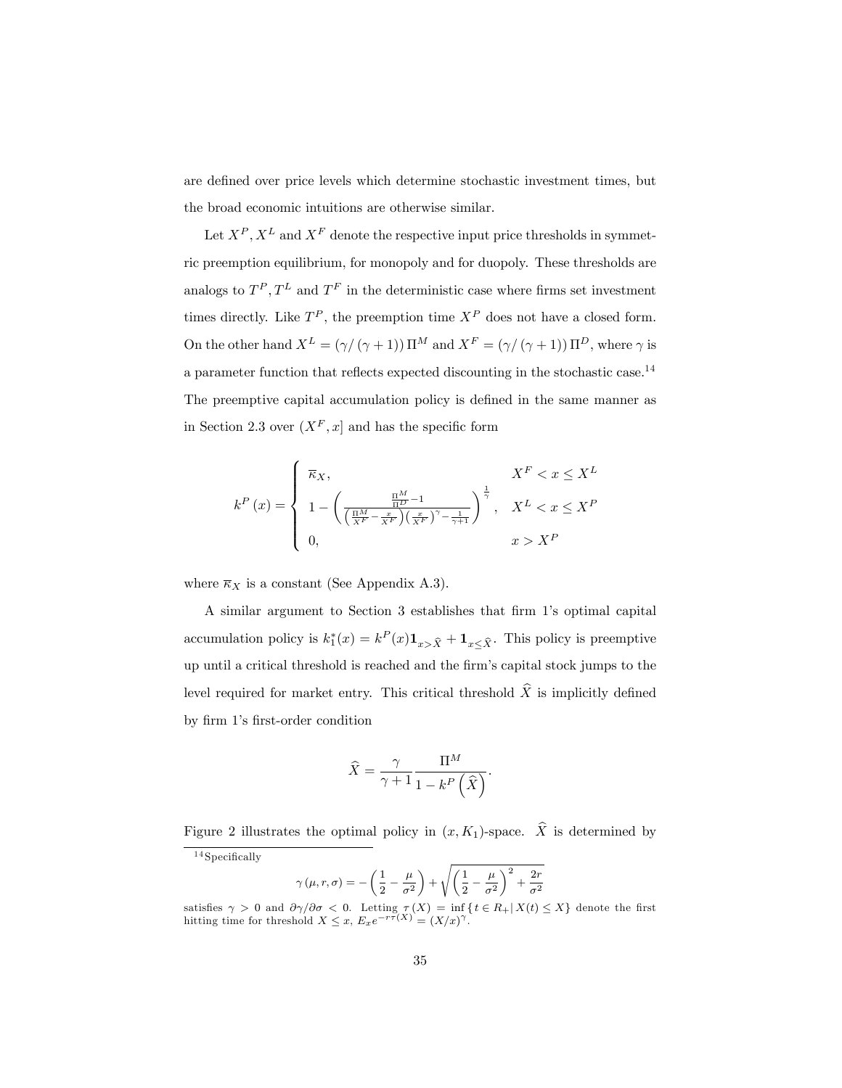are defined over price levels which determine stochastic investment times, but the broad economic intuitions are otherwise similar.

Let  $X^P$ ,  $X^L$  and  $X^F$  denote the respective input price thresholds in symmetric preemption equilibrium, for monopoly and for duopoly. These thresholds are analogs to  $T^P, T^L$  and  $T^F$  in the deterministic case where firms set investment times directly. Like  $T^P$ , the preemption time  $X^P$  does not have a closed form. On the other hand  $X^L = (\gamma/(\gamma + 1)) \Pi^M$  and  $X^F = (\gamma/(\gamma + 1)) \Pi^D$ , where  $\gamma$  is a parameter function that reflects expected discounting in the stochastic case.<sup>14</sup> The preemptive capital accumulation policy is defined in the same manner as in Section 2.3 over  $(X^F, x]$  and has the specific form

$$
k^{P}(x) = \begin{cases} \overline{\kappa}_{X}, & X^{F} < x \leq X^{L} \\ 1 - \left(\frac{\frac{\Pi^{M}}{\Pi^{D}} - 1}{\left(\frac{\Pi^{M}}{X^{F}} - \frac{x}{X^{F}}\right)\left(\frac{x}{X^{F}}\right)^{\gamma} - \frac{1}{\gamma + 1}}\right)^{\frac{1}{\gamma}}, & X^{L} < x \leq X^{P} \\ 0, & x > X^{P} \end{cases}
$$

where  $\overline{\kappa}_X$  is a constant (See Appendix A.3).

A similar argument to Section 3 establishes that firm 1's optimal capital accumulation policy is  $k_1^*(x) = k^P(x) \mathbf{1}_{x > \hat{X}} + \mathbf{1}_{x \leq \hat{X}}$ . This policy is preemptive up until a critical threshold is reached and the Örmís capital stock jumps to the level required for market entry. This critical threshold  $\hat{X}$  is implicitly defined by firm 1's first-order condition

$$
\widehat{X} = \frac{\gamma}{\gamma + 1} \frac{\Pi^M}{1 - k^P \left( \widehat{X} \right)}.
$$

Figure 2 illustrates the optimal policy in  $(x, K_1)$ -space.  $\hat{X}$  is determined by

$$
\gamma\left(\mu,r,\sigma\right)=-\left(\frac{1}{2}-\frac{\mu}{\sigma^2}\right)+\sqrt{\left(\frac{1}{2}-\frac{\mu}{\sigma^2}\right)^2+\frac{2r}{\sigma^2}}
$$

 $14$  Specifically

satisfies  $\gamma > 0$  and  $\partial \gamma / \partial \sigma < 0$ . Letting  $\tau(X) = \inf_{x \in (X)} \{ t \in R_+ | X(t) \leq X \}$  denote the first hitting time for threshold  $X \leq x$ ,  $E_x e^{-r\bar{\tau}(X)} = (X/x)^{\gamma}$ .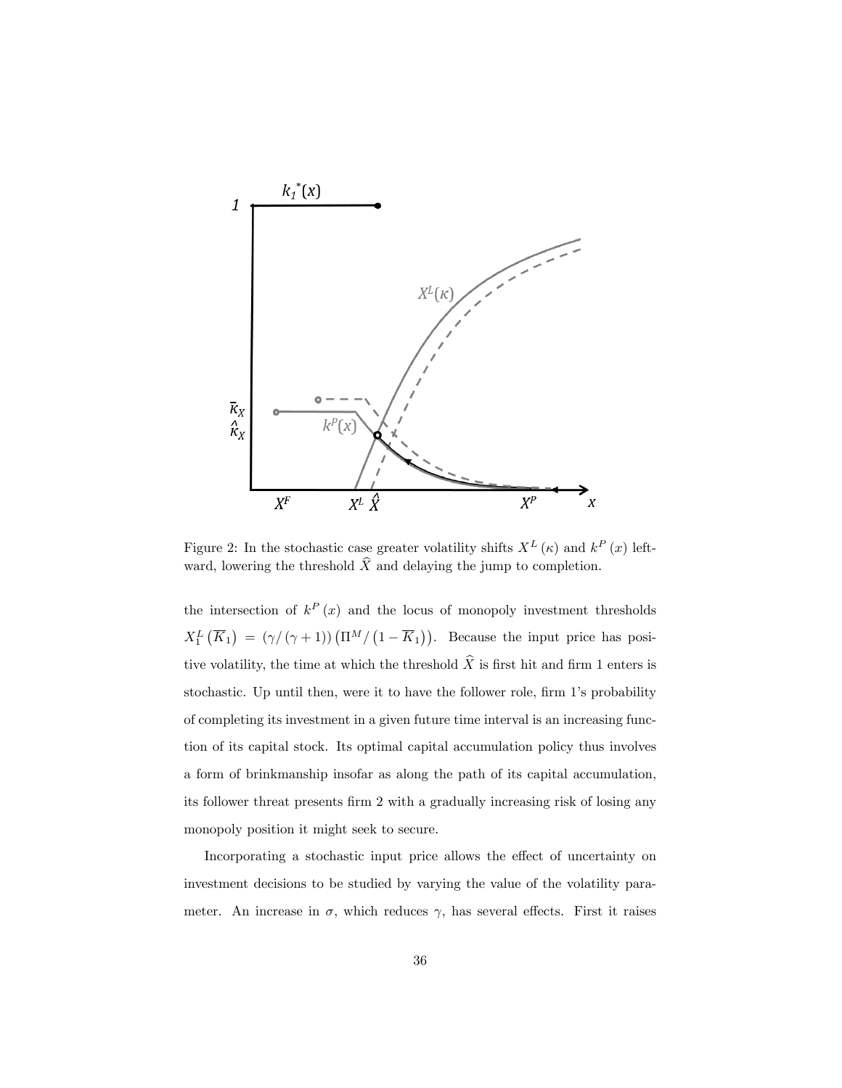

Figure 2: In the stochastic case greater volatility shifts  $X^L(\kappa)$  and  $k^P(x)$  leftward, lowering the threshold  $\widehat{X}$  and delaying the jump to completion.

the intersection of  $k^P(x)$  and the locus of monopoly investment thresholds  $X_1^L(\overline{K}_1) = (\gamma/(\gamma+1))(\Pi^M/(1-\overline{K}_1)).$  Because the input price has positive volatility, the time at which the threshold  $\widehat{X}$  is first hit and firm 1 enters is stochastic. Up until then, were it to have the follower role, firm 1's probability of completing its investment in a given future time interval is an increasing function of its capital stock. Its optimal capital accumulation policy thus involves a form of brinkmanship insofar as along the path of its capital accumulation, its follower threat presents firm 2 with a gradually increasing risk of losing any monopoly position it might seek to secure.

Incorporating a stochastic input price allows the effect of uncertainty on investment decisions to be studied by varying the value of the volatility parameter. An increase in  $\sigma$ , which reduces  $\gamma$ , has several effects. First it raises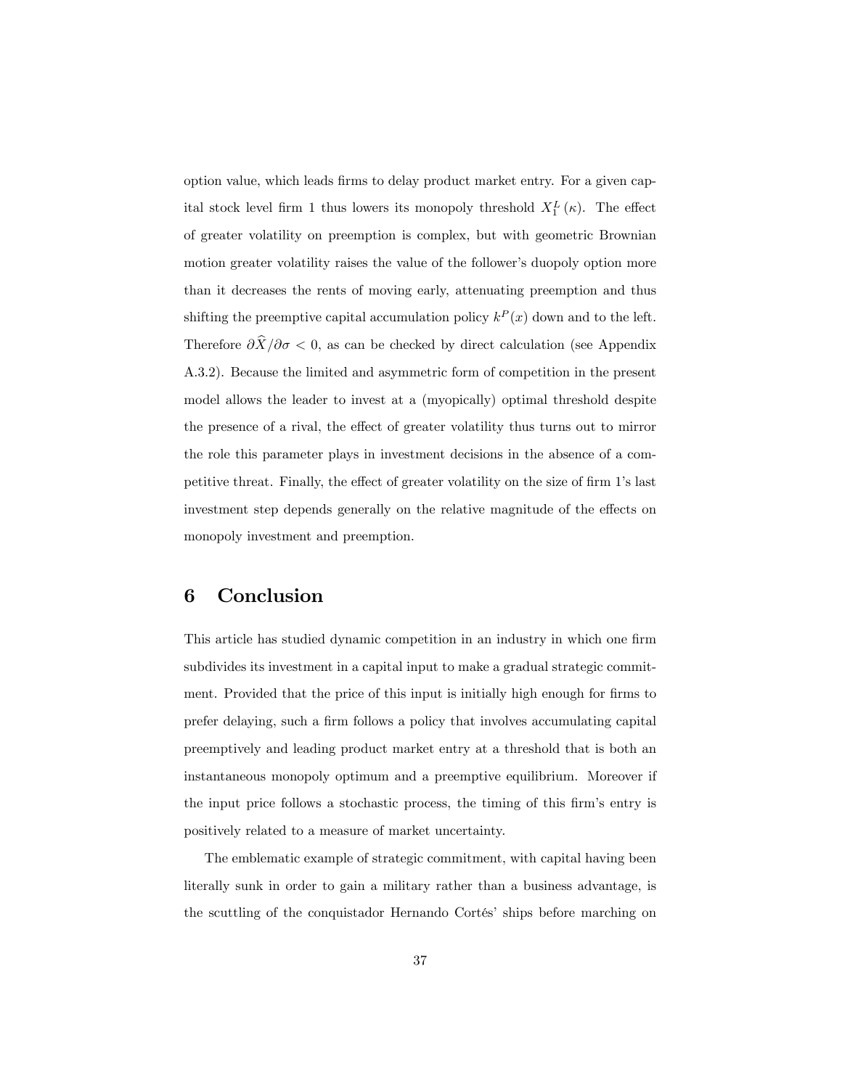option value, which leads Örms to delay product market entry. For a given capital stock level firm 1 thus lowers its monopoly threshold  $X_1^L(\kappa)$ . The effect of greater volatility on preemption is complex, but with geometric Brownian motion greater volatility raises the value of the follower's duopoly option more than it decreases the rents of moving early, attenuating preemption and thus shifting the preemptive capital accumulation policy  $k^P(x)$  down and to the left. Therefore  $\partial \widehat{X}/\partial \sigma < 0$ , as can be checked by direct calculation (see Appendix A.3.2). Because the limited and asymmetric form of competition in the present model allows the leader to invest at a (myopically) optimal threshold despite the presence of a rival, the effect of greater volatility thus turns out to mirror the role this parameter plays in investment decisions in the absence of a competitive threat. Finally, the effect of greater volatility on the size of firm 1's last investment step depends generally on the relative magnitude of the effects on monopoly investment and preemption.

# 6 Conclusion

This article has studied dynamic competition in an industry in which one firm subdivides its investment in a capital input to make a gradual strategic commitment. Provided that the price of this input is initially high enough for firms to prefer delaying, such a Örm follows a policy that involves accumulating capital preemptively and leading product market entry at a threshold that is both an instantaneous monopoly optimum and a preemptive equilibrium. Moreover if the input price follows a stochastic process, the timing of this firm's entry is positively related to a measure of market uncertainty.

The emblematic example of strategic commitment, with capital having been literally sunk in order to gain a military rather than a business advantage, is the scuttling of the conquistador Hernando Cortés' ships before marching on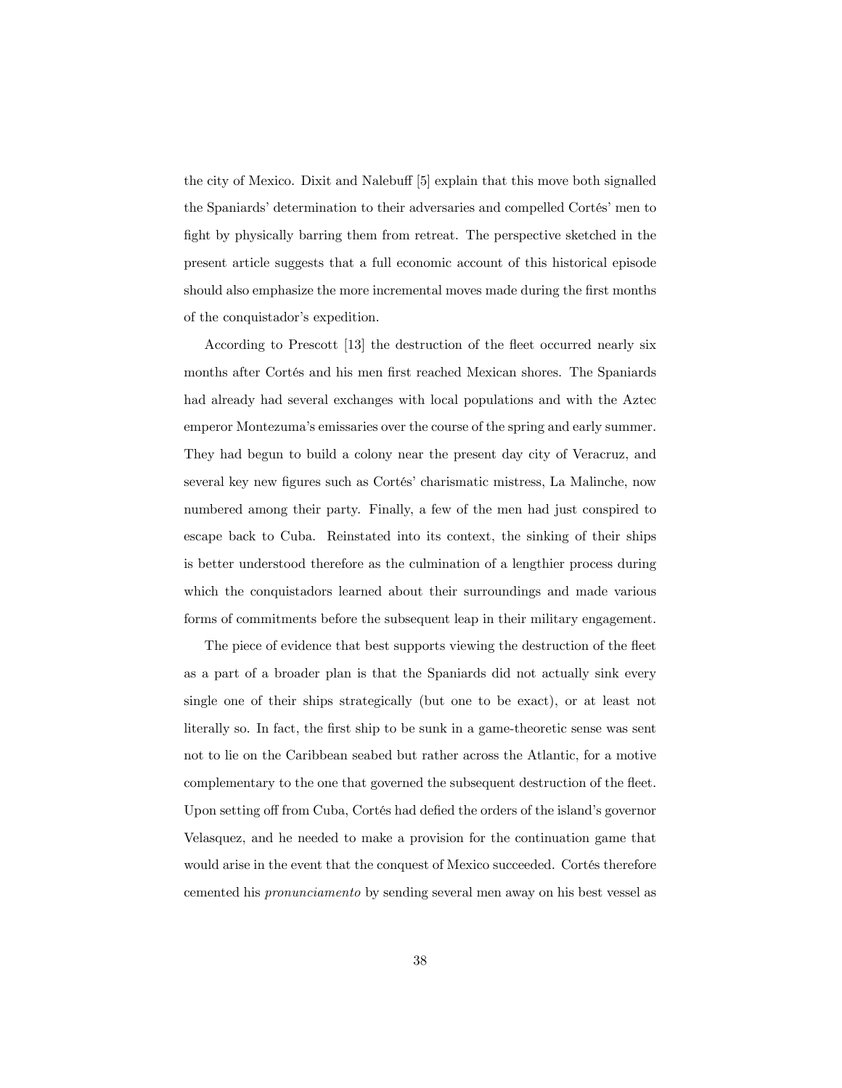the city of Mexico. Dixit and Nalebuff [5] explain that this move both signalled the Spaniards' determination to their adversaries and compelled Cortés' men to fight by physically barring them from retreat. The perspective sketched in the present article suggests that a full economic account of this historical episode should also emphasize the more incremental moves made during the first months of the conquistador's expedition.

According to Prescott [13] the destruction of the fleet occurred nearly six months after Cortés and his men first reached Mexican shores. The Spaniards had already had several exchanges with local populations and with the Aztec emperor Montezumaís emissaries over the course of the spring and early summer. They had begun to build a colony near the present day city of Veracruz, and several key new figures such as Cortés' charismatic mistress, La Malinche, now numbered among their party. Finally, a few of the men had just conspired to escape back to Cuba. Reinstated into its context, the sinking of their ships is better understood therefore as the culmination of a lengthier process during which the conquistadors learned about their surroundings and made various forms of commitments before the subsequent leap in their military engagement.

The piece of evidence that best supports viewing the destruction of the fleet as a part of a broader plan is that the Spaniards did not actually sink every single one of their ships strategically (but one to be exact), or at least not literally so. In fact, the first ship to be sunk in a game-theoretic sense was sent not to lie on the Caribbean seabed but rather across the Atlantic, for a motive complementary to the one that governed the subsequent destruction of the áeet. Upon setting off from Cuba, Cortés had defied the orders of the island's governor Velasquez, and he needed to make a provision for the continuation game that would arise in the event that the conquest of Mexico succeeded. Cortés therefore cemented his pronunciamento by sending several men away on his best vessel as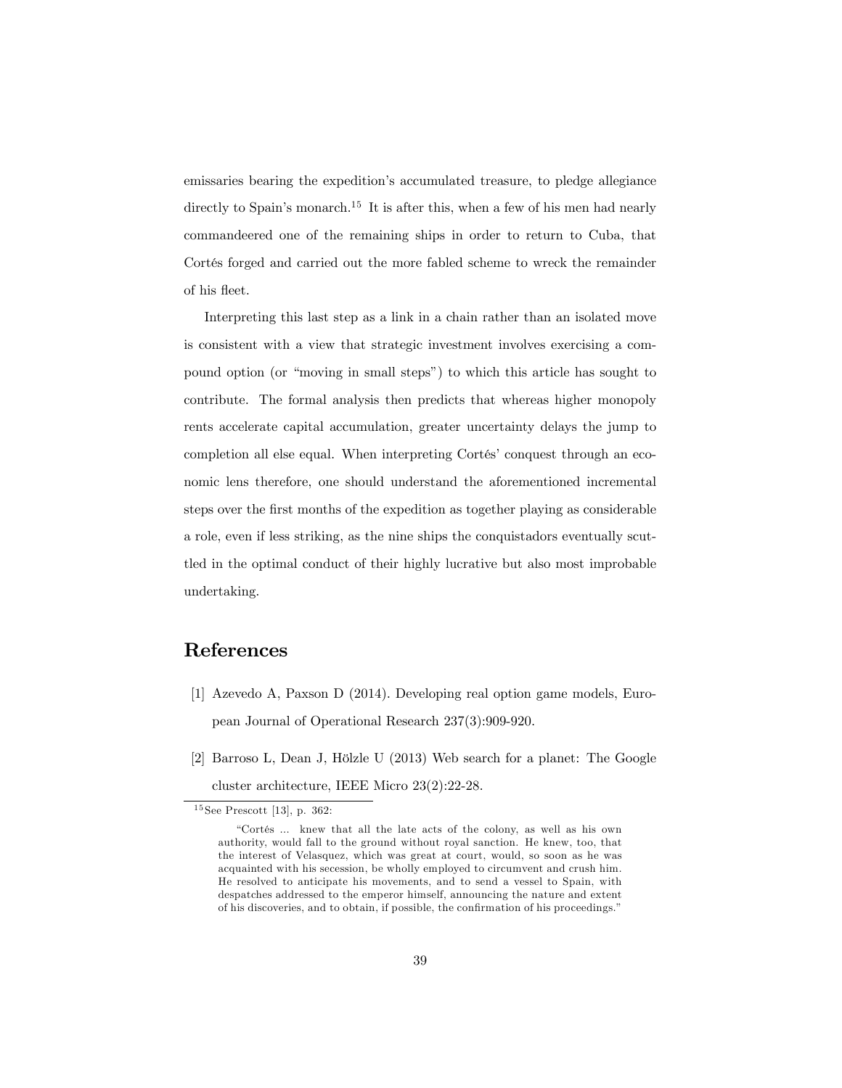emissaries bearing the expedition's accumulated treasure, to pledge allegiance directly to Spain's monarch.<sup>15</sup> It is after this, when a few of his men had nearly commandeered one of the remaining ships in order to return to Cuba, that Cortés forged and carried out the more fabled scheme to wreck the remainder of his áeet.

Interpreting this last step as a link in a chain rather than an isolated move is consistent with a view that strategic investment involves exercising a compound option (or "moving in small steps") to which this article has sought to contribute. The formal analysis then predicts that whereas higher monopoly rents accelerate capital accumulation, greater uncertainty delays the jump to completion all else equal. When interpreting Cortés' conquest through an economic lens therefore, one should understand the aforementioned incremental steps over the first months of the expedition as together playing as considerable a role, even if less striking, as the nine ships the conquistadors eventually scuttled in the optimal conduct of their highly lucrative but also most improbable undertaking.

# References

- [1] Azevedo A, Paxson D (2014). Developing real option game models, European Journal of Operational Research 237(3):909-920.
- [2] Barroso L, Dean J, Hölzle U  $(2013)$  Web search for a planet: The Google cluster architecture, IEEE Micro 23(2):22-28.

<sup>15</sup> See Prescott [13], p. 362:

ìCortÈs ... knew that all the late acts of the colony, as well as his own authority, would fall to the ground without royal sanction. He knew, too, that the interest of Velasquez, which was great at court, would, so soon as he was acquainted with his secession, be wholly employed to circumvent and crush him. He resolved to anticipate his movements, and to send a vessel to Spain, with despatches addressed to the emperor himself, announcing the nature and extent of his discoveries, and to obtain, if possible, the confirmation of his proceedings."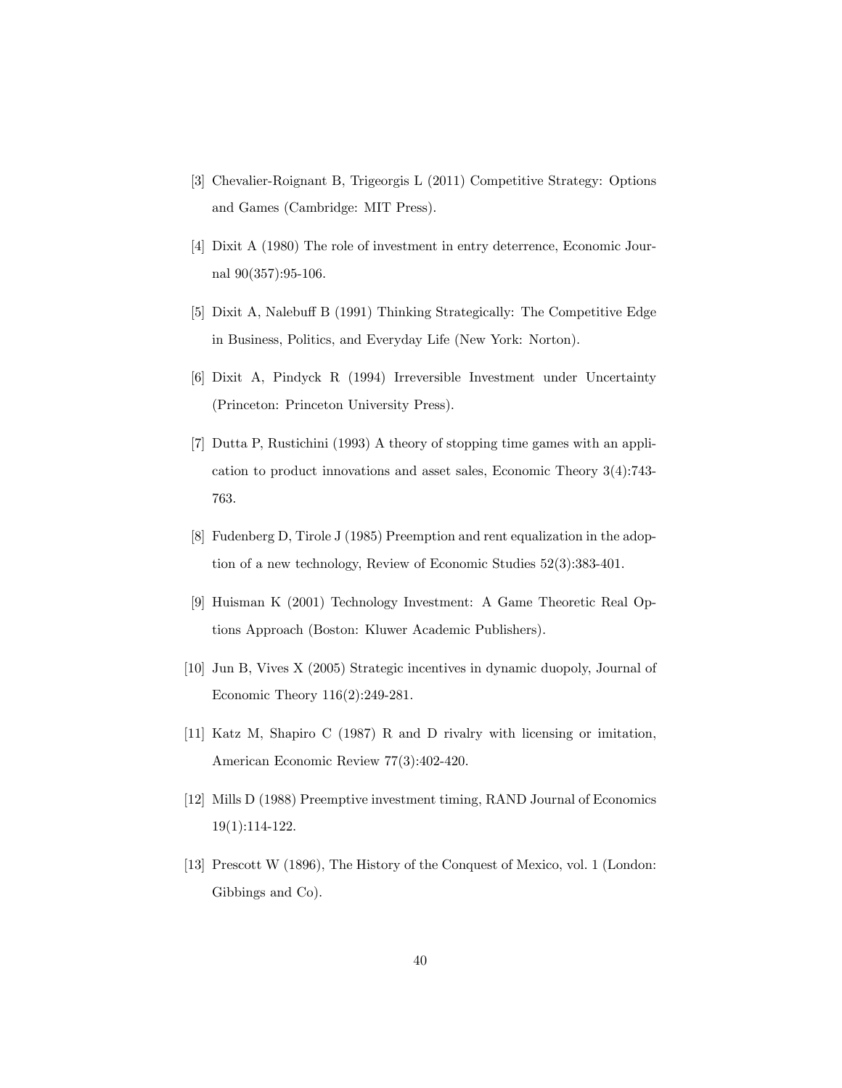- [3] Chevalier-Roignant B, Trigeorgis L (2011) Competitive Strategy: Options and Games (Cambridge: MIT Press).
- [4] Dixit A (1980) The role of investment in entry deterrence, Economic Journal 90(357):95-106.
- [5] Dixit A, Nalebuff B (1991) Thinking Strategically: The Competitive Edge in Business, Politics, and Everyday Life (New York: Norton).
- [6] Dixit A, Pindyck R (1994) Irreversible Investment under Uncertainty (Princeton: Princeton University Press).
- [7] Dutta P, Rustichini (1993) A theory of stopping time games with an application to product innovations and asset sales, Economic Theory 3(4):743- 763.
- [8] Fudenberg D, Tirole J (1985) Preemption and rent equalization in the adoption of a new technology, Review of Economic Studies 52(3):383-401.
- [9] Huisman K (2001) Technology Investment: A Game Theoretic Real Options Approach (Boston: Kluwer Academic Publishers).
- [10] Jun B, Vives X (2005) Strategic incentives in dynamic duopoly, Journal of Economic Theory 116(2):249-281.
- [11] Katz M, Shapiro C (1987) R and D rivalry with licensing or imitation, American Economic Review 77(3):402-420.
- [12] Mills D (1988) Preemptive investment timing, RAND Journal of Economics 19(1):114-122.
- [13] Prescott W (1896), The History of the Conquest of Mexico, vol. 1 (London: Gibbings and Co).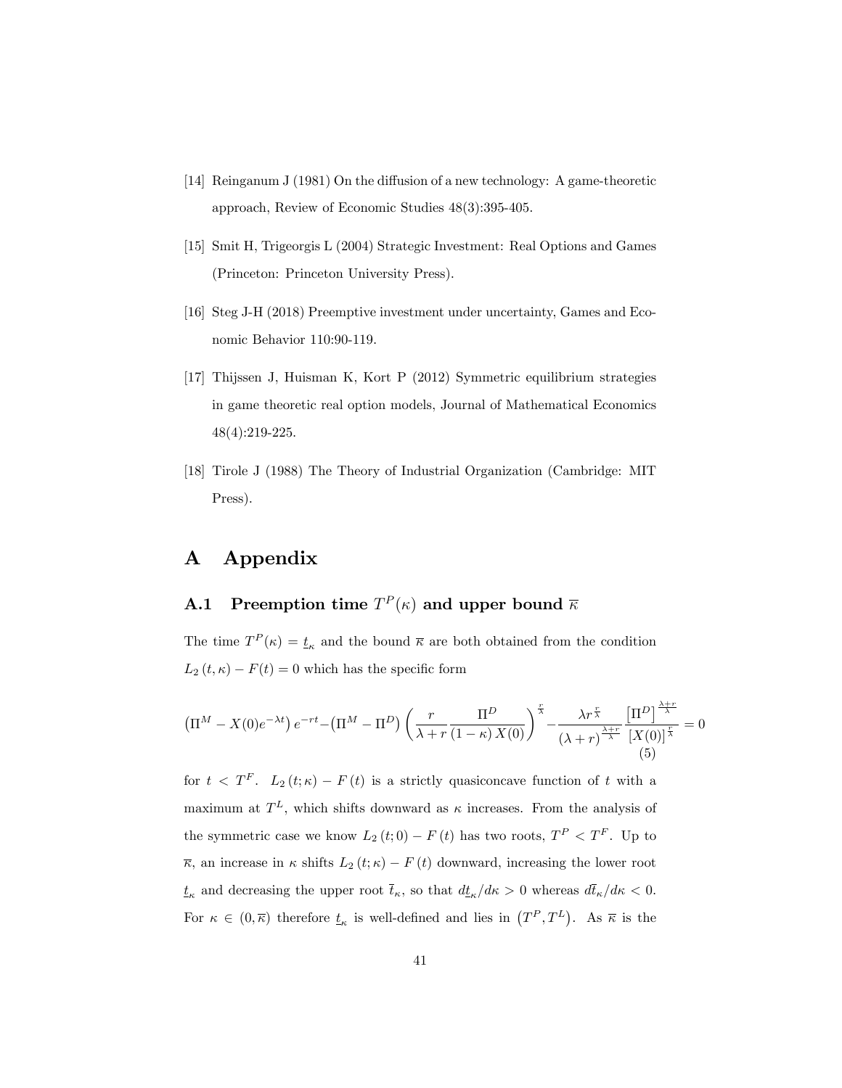- [14] Reinganum J (1981) On the diffusion of a new technology: A game-theoretic approach, Review of Economic Studies 48(3):395-405.
- [15] Smit H, Trigeorgis L (2004) Strategic Investment: Real Options and Games (Princeton: Princeton University Press).
- [16] Steg J-H (2018) Preemptive investment under uncertainty, Games and Economic Behavior 110:90-119.
- [17] Thijssen J, Huisman K, Kort P (2012) Symmetric equilibrium strategies in game theoretic real option models, Journal of Mathematical Economics 48(4):219-225.
- [18] Tirole J (1988) The Theory of Industrial Organization (Cambridge: MIT Press).

# A Appendix

# **A.1** Preemption time  $T^P(\kappa)$  and upper bound  $\overline{\kappa}$

The time  $T^P(\kappa) = \underline{t}_{\kappa}$  and the bound  $\bar{\kappa}$  are both obtained from the condition  $L_2(t, \kappa) - F(t) = 0$  which has the specific form

$$
\left(\Pi^M - X(0)e^{-\lambda t}\right)e^{-rt} - \left(\Pi^M - \Pi^D\right)\left(\frac{r}{\lambda + r}\frac{\Pi^D}{(1-\kappa)X(0)}\right)^{\frac{r}{\lambda}} - \frac{\lambda r^{\frac{r}{\lambda}}}{\left(\lambda + r\right)^{\frac{\lambda + r}{\lambda}}} \frac{\left[\Pi^D\right]^{\frac{\lambda + r}{\lambda}}}{\left[X(0)\right]^{\frac{r}{\lambda}}} = 0
$$
\n(5)

for  $t < T^F$ .  $L_2(t;\kappa) - F(t)$  is a strictly quasiconcave function of t with a maximum at  $T^L$ , which shifts downward as  $\kappa$  increases. From the analysis of the symmetric case we know  $L_2(t;0) - F(t)$  has two roots,  $T^P < T^F$ . Up to  $\overline{\kappa}$ , an increase in  $\kappa$  shifts  $L_2(t;\kappa) - F(t)$  downward, increasing the lower root  $t_{\kappa}$  and decreasing the upper root  $\bar{t}_{\kappa}$ , so that  $d\underline{t}_{\kappa}/d\kappa > 0$  whereas  $d\bar{t}_{\kappa}/d\kappa < 0$ . For  $\kappa \in (0, \overline{\kappa})$  therefore  $\underline{t}_{\kappa}$  is well-defined and lies in  $(T^P, T^L)$ . As  $\overline{\kappa}$  is the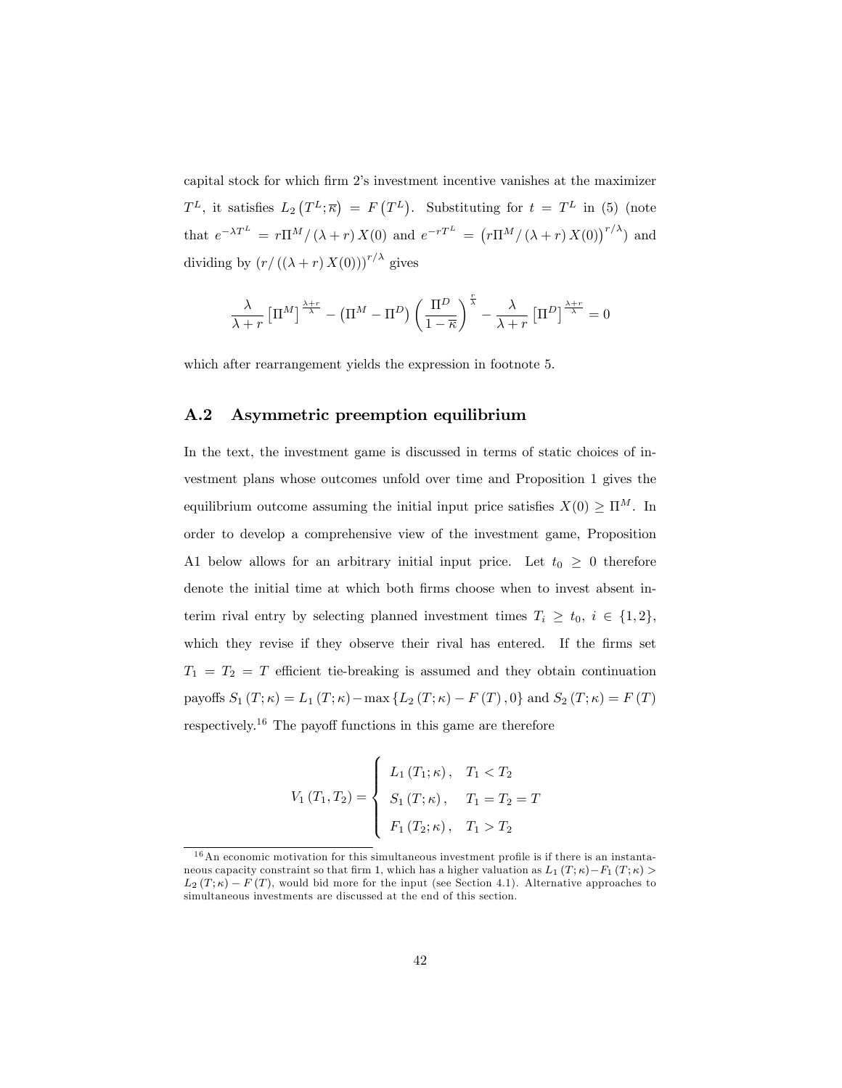capital stock for which firm 2's investment incentive vanishes at the maximizer  $T^L$ , it satisfies  $L_2(T^L; \overline{\kappa}) = F(T^L)$ . Substituting for  $t = T^L$  in (5) (note that  $e^{-\lambda T^L} = r\Pi^M/(\lambda + r) X(0)$  and  $e^{-rT^L} = (r\Pi^M/(\lambda + r) X(0))^{r/\lambda}$  and dividing by  $(r/((\lambda + r) X(0)))^{r/\lambda}$  gives

$$
\frac{\lambda}{\lambda+r} \left[ \Pi^M \right]^{\frac{\lambda+r}{\lambda}} - \left( \Pi^M - \Pi^D \right) \left( \frac{\Pi^D}{1-\overline{\kappa}} \right)^{\frac{r}{\lambda}} - \frac{\lambda}{\lambda+r} \left[ \Pi^D \right]^{\frac{\lambda+r}{\lambda}} = 0
$$

which after rearrangement yields the expression in footnote 5.

## A.2 Asymmetric preemption equilibrium

In the text, the investment game is discussed in terms of static choices of investment plans whose outcomes unfold over time and Proposition 1 gives the equilibrium outcome assuming the initial input price satisfies  $X(0) \geq \Pi^M$ . In order to develop a comprehensive view of the investment game, Proposition A1 below allows for an arbitrary initial input price. Let  $t_0 \geq 0$  therefore denote the initial time at which both firms choose when to invest absent interim rival entry by selecting planned investment times  $T_i \geq t_0, i \in \{1,2\},\$ which they revise if they observe their rival has entered. If the firms set  $T_1 = T_2 = T$  efficient tie-breaking is assumed and they obtain continuation payoffs  $S_1(T; \kappa) = L_1(T; \kappa) - \max \{L_2(T; \kappa) - F(T), 0\}$  and  $S_2(T; \kappa) = F(T)$ respectively.<sup>16</sup> The payoff functions in this game are therefore

$$
V_{1}(T_{1},T_{2}) = \begin{cases} L_{1}(T_{1}; \kappa), & T_{1} < T_{2} \\ S_{1}(T; \kappa), & T_{1} = T_{2} = T \\ F_{1}(T_{2}; \kappa), & T_{1} > T_{2} \end{cases}
$$

 $16$ An economic motivation for this simultaneous investment profile is if there is an instantaneous capacity constraint so that firm 1, which has a higher valuation as  $L_1(T; \kappa) - F_1(T; \kappa)$  $L_2(T; \kappa) - F(T)$ , would bid more for the input (see Section 4.1). Alternative approaches to simultaneous investments are discussed at the end of this section.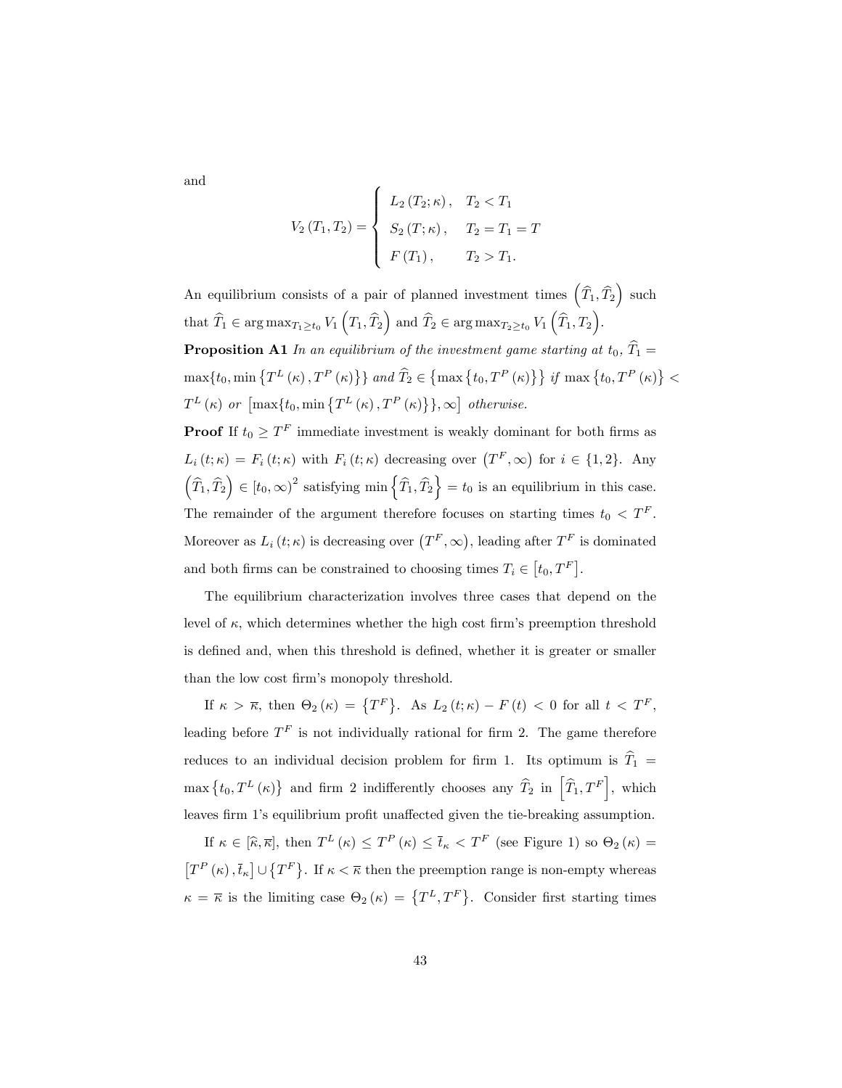and

$$
V_2(T_1, T_2) = \begin{cases} L_2(T_2; \kappa), & T_2 < T_1 \\ S_2(T; \kappa), & T_2 = T_1 = T \\ F(T_1), & T_2 > T_1. \end{cases}
$$

An equilibrium consists of a pair of planned investment times  $(\widehat{T}_1, \widehat{T}_2)$  such that  $\widehat{T}_1 \in \arg \max_{T_1 \ge t_0} V_1(T_1, \widehat{T}_2)$  and  $\widehat{T}_2 \in \arg \max_{T_2 \ge t_0} V_1(\widehat{T}_1, T_2)$ . **Proposition A1** In an equilibrium of the investment game starting at  $t_0$ ,  $\widehat{T}_1$  =  $\max\{t_0, \min\left\{T^L\left(\kappa\right), T^P\left(\kappa\right)\right\}\}\ and\ \widehat{T}_2\in \left\{\max\left\{t_0, T^P\left(\kappa\right)\right\}\right\} \ if\ \max\left\{t_0, T^P\left(\kappa\right)\right\}<\ \infty$  $T^{L}(\kappa)$  or  $\left[\max\{t_0, \min\left\{T^{L}(\kappa), T^{P}(\kappa)\right\}\}\right], \infty\right]$  otherwise.

**Proof** If  $t_0 \geq T^F$  immediate investment is weakly dominant for both firms as  $L_i(t;\kappa) = F_i(t;\kappa)$  with  $F_i(t;\kappa)$  decreasing over  $(T^F,\infty)$  for  $i \in \{1,2\}$ . Any  $(\widehat{T}_1, \widehat{T}_2) \in [t_0, \infty)^2$  satisfying min  $\{\widehat{T}_1, \widehat{T}_2\} = t_0$  is an equilibrium in this case. The remainder of the argument therefore focuses on starting times  $t_0 < T<sup>F</sup>$ . Moreover as  $L_i(t; \kappa)$  is decreasing over  $(T^F, \infty)$ , leading after  $T^F$  is dominated and both firms can be constrained to choosing times  $T_i \in [t_0, T^F]$ .

The equilibrium characterization involves three cases that depend on the level of  $\kappa$ , which determines whether the high cost firm's preemption threshold is defined and, when this threshold is defined, whether it is greater or smaller than the low cost firm's monopoly threshold.

If  $\kappa > \overline{\kappa}$ , then  $\Theta_2(\kappa) = \{T^F\}$ . As  $L_2(t;\kappa) - F(t) < 0$  for all  $t < T^F$ , leading before  $T<sup>F</sup>$  is not individually rational for firm 2. The game therefore reduces to an individual decision problem for firm 1. Its optimum is  $\hat{T}_1$  =  $\max\{t_0, T^L(\kappa)\}\$ and firm 2 indifferently chooses any  $\widehat{T}_2$  in  $\left[\widehat{T}_1, T^F\right]$ , which leaves firm 1's equilibrium profit unaffected given the tie-breaking assumption.

If  $\kappa \in [\hat{\kappa}, \overline{\kappa}]$ , then  $T^L(\kappa) \le T^P(\kappa) \le \overline{t}_{\kappa} < T^F$  (see Figure 1) so  $\Theta_2(\kappa) =$  $\left[T^{P}\left(\kappa\right),\overline{t}_{\kappa}\right]\cup\left\{T^{F}\right\}$  . If  $\kappa<\overline{\kappa}$  then the preemption range is non-empty whereas  $\kappa = \overline{\kappa}$  is the limiting case  $\Theta_2(\kappa) = \{T^L, T^F\}.$  Consider first starting times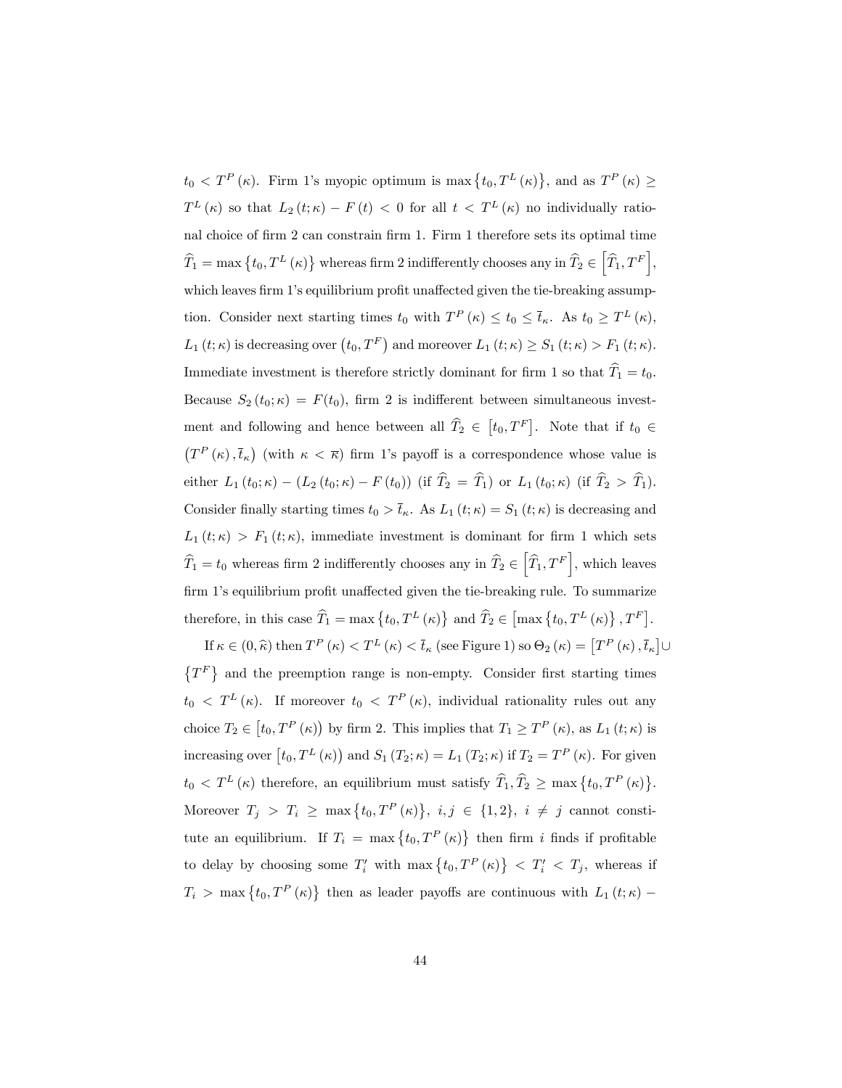$t_0 < T^P(\kappa)$ . Firm 1's myopic optimum is max  $\{t_0, T^L(\kappa)\}\$ , and as  $T^P(\kappa) \ge$  $T^{L}(\kappa)$  so that  $L_2(t;\kappa) - F(t) < 0$  for all  $t < T^{L}(\kappa)$  no individually rational choice of firm 2 can constrain firm 1. Firm 1 therefore sets its optimal time  $\widehat{T}_1 = \max \left\{ t_0, T^L (\kappa) \right\}$  whereas firm 2 indifferently chooses any in  $\widehat{T}_2 \in \left[ \widehat{T}_1, T^F \right],$ which leaves firm 1's equilibrium profit unaffected given the tie-breaking assumption. Consider next starting times  $t_0$  with  $T^P(\kappa) \le t_0 \le \bar{t}_{\kappa}$ . As  $t_0 \ge T^L(\kappa)$ ,  $L_1(t;\kappa)$  is decreasing over  $\left(t_0,T^F\right)$  and moreover  $L_1(t;\kappa) \geq S_1(t;\kappa) > F_1(t;\kappa)$ . Immediate investment is therefore strictly dominant for firm 1 so that  $\hat{T}_1 = t_0$ . Because  $S_2(t_0; \kappa) = F(t_0)$ , firm 2 is indifferent between simultaneous investment and following and hence between all  $\widehat{T}_2 \in [t_0, T^F]$ . Note that if  $t_0 \in$  $(T^{P}(\kappa), \overline{t}_{\kappa})$  (with  $\kappa < \overline{\kappa}$ ) firm 1's payoff is a correspondence whose value is either  $L_1(t_0; \kappa) - (L_2(t_0; \kappa) - F(t_0))$  (if  $\hat{T}_2 = \hat{T}_1$ ) or  $L_1(t_0; \kappa)$  (if  $\hat{T}_2 > \hat{T}_1$ ). Consider finally starting times  $t_0 > \bar{t}_{\kappa}$ . As  $L_1(t;\kappa) = S_1(t;\kappa)$  is decreasing and  $L_1(t;\kappa) > F_1(t;\kappa)$ , immediate investment is dominant for firm 1 which sets  $\widehat{T}_1 = t_0$  whereas firm 2 indifferently chooses any in  $\widehat{T}_2 \in \left[ \widehat{T}_1, T^F \right]$ , which leaves firm 1's equilibrium profit unaffected given the tie-breaking rule. To summarize therefore, in this case  $\widehat{T}_1 = \max \{ t_0, T^L(\kappa) \}$  and  $\widehat{T}_2 \in \left[ \max \{ t_0, T^L(\kappa) \}, T^F \right]$ .

If  $\kappa \in (0, \hat{\kappa})$  then  $T^P(\kappa) < T^L(\kappa) < \bar{t}_{\kappa}$  (see Figure 1) so  $\Theta_2(\kappa) = [T^P(\kappa), \bar{t}_{\kappa}] \cup$  $\{T^F\}$  and the preemption range is non-empty. Consider first starting times  $t_0 < T^L(\kappa)$ . If moreover  $t_0 < T^P(\kappa)$ , individual rationality rules out any choice  $T_2 \in [t_0, T^P(\kappa))$  by firm 2. This implies that  $T_1 \ge T^P(\kappa)$ , as  $L_1(t;\kappa)$  is increasing over  $[t_0, T^L(\kappa)]$  and  $S_1(T_2; \kappa) = L_1(T_2; \kappa)$  if  $T_2 = T^P(\kappa)$ . For given  $t_0 < T^L(\kappa)$  therefore, an equilibrium must satisfy  $\widehat{T}_1, \widehat{T}_2 \ge \max\left\{t_0, T^P(\kappa)\right\}$ . Moreover  $T_j > T_i \ge \max\{t_0, T^P(\kappa)\}, i, j \in \{1, 2\}, i \ne j$  cannot constitute an equilibrium. If  $T_i = \max\{t_0, T^P(\kappa)\}\)$  then firm i finds if profitable to delay by choosing some  $T'_i$  with  $\max\{t_0, T^P(\kappa)\} < T'_i < T_j$ , whereas if  $T_i$  > max { $t_0, T^P(\kappa)$ } then as leader payoffs are continuous with  $L_1(t;\kappa)$  –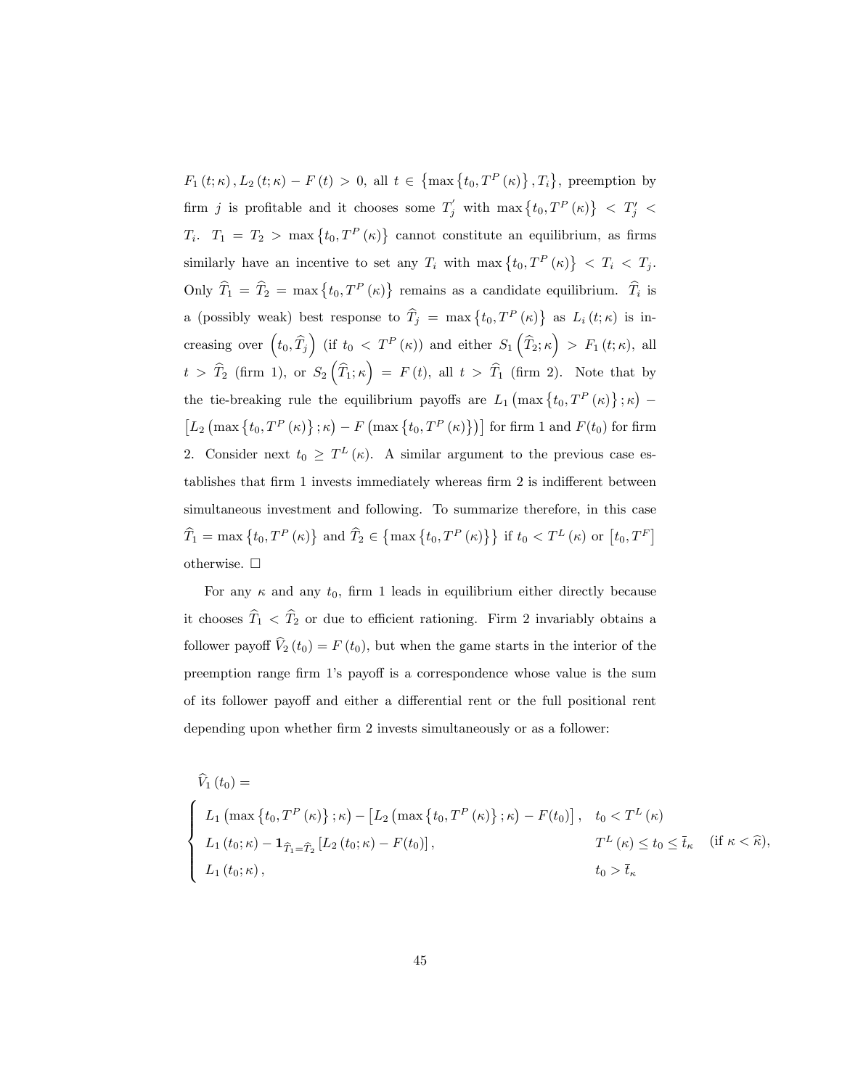$F_1(t;\kappa)$ ,  $L_2(t;\kappa) - F(t) > 0$ , all  $t \in \{\max\{t_0, T^P(\kappa)\}, T_i\}$ , preemption by firm j is profitable and it chooses some  $T'_j$  with  $\max\{t_0, T^P(\kappa)\} < T'_j$  $T_i$ .  $T_1 = T_2 > \max\{t_0, T^P(\kappa)\}\)$  cannot constitute an equilibrium, as firms similarly have an incentive to set any  $T_i$  with max  $\{t_0, T^P(\kappa)\} < T_i < T_j$ . Only  $\hat{T}_1 = \hat{T}_2 = \max\{t_0, T^P(\kappa)\}\)$  remains as a candidate equilibrium.  $\hat{T}_i$  is a (possibly weak) best response to  $\hat{T}_j = \max\{t_0, T^P(\kappa)\}\$ as  $L_i(t;\kappa)$  is increasing over  $(t_0, \hat{T}_j)$  (if  $t_0 < T^P(\kappa)$ ) and either  $S_1(\hat{T}_2; \kappa) > F_1(t; \kappa)$ , all  $t > \hat{T}_2$  (firm 1), or  $S_2(\hat{T}_1; \kappa) = F(t)$ , all  $t > \hat{T}_1$  (firm 2). Note that by the tie-breaking rule the equilibrium payoffs are  $L_1\left(\max\left\{t_0,T^P\left(\kappa\right)\right\};\kappa\right)$  –  $\left[L_{2}\left(\max\left\{t_{0},T^{P}\left(\kappa\right)\right\};\kappa\right)-F\left(\max\left\{t_{0},T^{P}\left(\kappa\right)\right\}\right)\right]$  for firm 1 and  $F(t_{0})$  for firm 2. Consider next  $t_0 \geq T^L(\kappa)$ . A similar argument to the previous case establishes that firm 1 invests immediately whereas firm 2 is indifferent between simultaneous investment and following. To summarize therefore, in this case  $\widehat{T}_1 = \max \left\{ t_0, T^P \left( \kappa \right) \right\}$  and  $\widehat{T}_2 \in \left\{ \max \left\{ t_0, T^P \left( \kappa \right) \right\} \right\}$  if  $t_0 < T^L(\kappa)$  or  $\left[ t_0, T^F \right]$ otherwise.  $\square$ 

For any  $\kappa$  and any  $t_0$ , firm 1 leads in equilibrium either directly because it chooses  $\widehat{T}_1 < \widehat{T}_2$  or due to efficient rationing. Firm 2 invariably obtains a follower payoff  $\hat{V}_2(t_0) = F(t_0)$ , but when the game starts in the interior of the preemption range firm 1's payoff is a correspondence whose value is the sum of its follower payoff and either a differential rent or the full positional rent depending upon whether firm 2 invests simultaneously or as a follower:

$$
\widehat{V}_{1}(t_{0}) = \begin{cases}\nL_{1} \left( \max \left\{ t_{0}, T^{P} \left( \kappa \right) \right\} ; \kappa \right) - \left[ L_{2} \left( \max \left\{ t_{0}, T^{P} \left( \kappa \right) \right\} ; \kappa \right) - F(t_{0}) \right], & t_{0} < T^{L} \left( \kappa \right) \\
L_{1} \left( t_{0}; \kappa \right) - \mathbf{1}_{\widehat{T}_{1} = \widehat{T}_{2}} \left[ L_{2} \left( t_{0}; \kappa \right) - F(t_{0}) \right], & T^{L} \left( \kappa \right) \leq t_{0} \leq \overline{t}_{\kappa} \quad (\text{if } \kappa < \widehat{\kappa}), \\
L_{1} \left( t_{0}; \kappa \right), & t_{0} > \overline{t}_{\kappa}\n\end{cases}
$$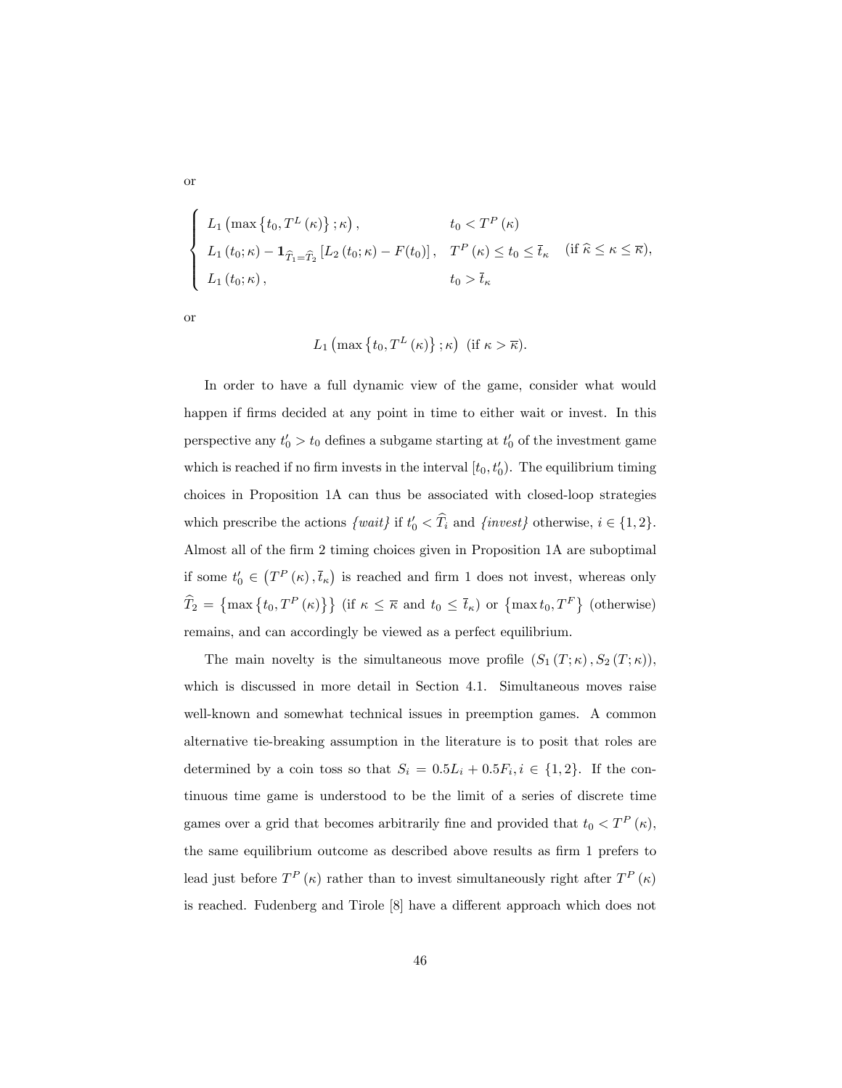$$
\begin{cases}\nL_1\left(\max\left\{t_0, T^L\left(\kappa\right)\right\}; \kappa\right), & t_0 < T^P\left(\kappa\right) \\
L_1\left(t_0; \kappa\right) - \mathbf{1}_{\widehat{T}_1 = \widehat{T}_2}\left[L_2\left(t_0; \kappa\right) - F(t_0)\right], & T^P\left(\kappa\right) \le t_0 \le \overline{t}_{\kappa} \quad (\text{if } \widehat{\kappa} \le \kappa \le \overline{\kappa}), \\
L_1\left(t_0; \kappa\right), & t_0 > \overline{t}_{\kappa}\n\end{cases}
$$

or

or

$$
L_1 \left( \max \left\{ t_0, T^L \left( \kappa \right) \right\}; \kappa \right) \text{ (if } \kappa > \overline{\kappa} \text{).}
$$

In order to have a full dynamic view of the game, consider what would happen if firms decided at any point in time to either wait or invest. In this perspective any  $t'_0 > t_0$  defines a subgame starting at  $t'_0$  of the investment game which is reached if no firm invests in the interval  $[t_0, t'_0)$ . The equilibrium timing choices in Proposition 1A can thus be associated with closed-loop strategies which prescribe the actions  $\{wait\}$  if  $t'_0 < T_i$  and  $\{invest\}$  otherwise,  $i \in \{1, 2\}$ . Almost all of the firm 2 timing choices given in Proposition 1A are suboptimal if some  $t'_0 \in (T^P(\kappa), \overline{t}_\kappa)$  is reached and firm 1 does not invest, whereas only  $\widehat{T}_2 = \{\max\{t_0, T^P(\kappa)\}\}\$  (if  $\kappa \leq \overline{\kappa}$  and  $t_0 \leq \overline{t}_{\kappa}$ ) or  $\{\max t_0, T^F\}$  (otherwise) remains, and can accordingly be viewed as a perfect equilibrium.

The main novelty is the simultaneous move profile  $(S_1(T; \kappa), S_2(T; \kappa)),$ which is discussed in more detail in Section 4.1. Simultaneous moves raise well-known and somewhat technical issues in preemption games. A common alternative tie-breaking assumption in the literature is to posit that roles are determined by a coin toss so that  $S_i = 0.5L_i + 0.5F_i, i \in \{1,2\}$ . If the continuous time game is understood to be the limit of a series of discrete time games over a grid that becomes arbitrarily fine and provided that  $t_0 < T<sup>P</sup>(\kappa)$ , the same equilibrium outcome as described above results as firm 1 prefers to lead just before  $T^{P}(\kappa)$  rather than to invest simultaneously right after  $T^{P}(\kappa)$ is reached. Fudenberg and Tirole [8] have a different approach which does not

46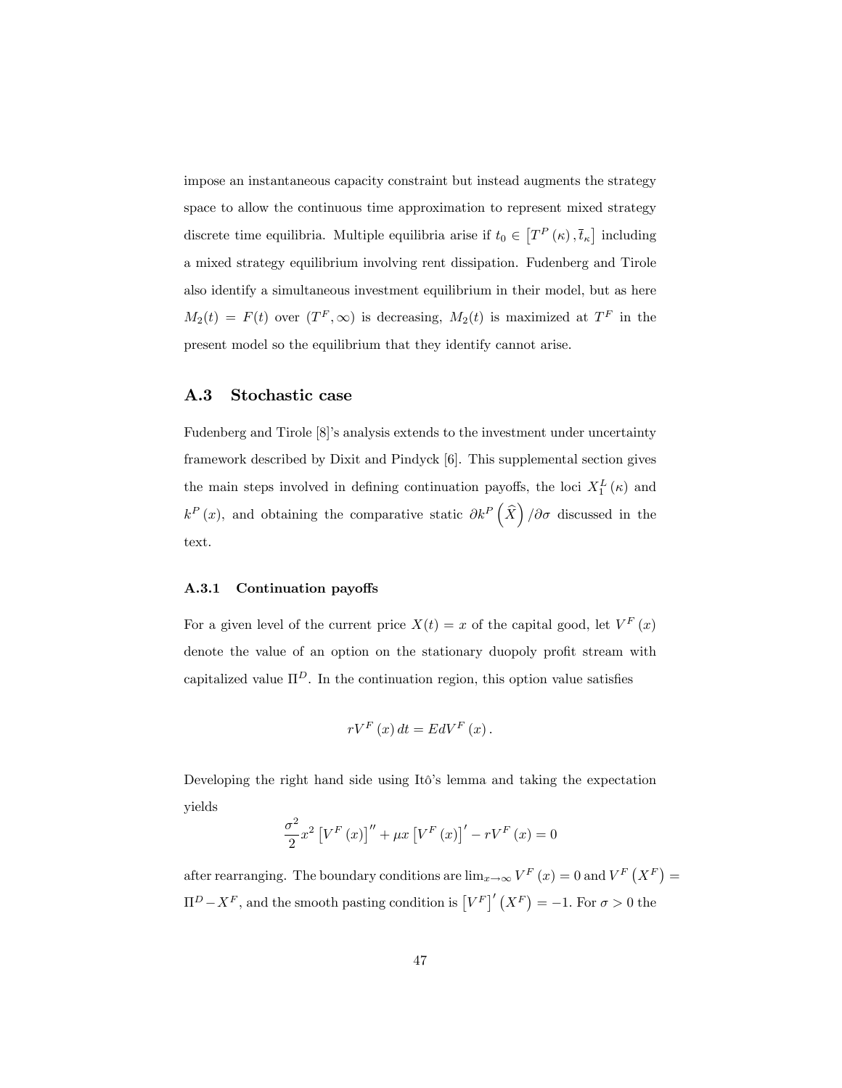impose an instantaneous capacity constraint but instead augments the strategy space to allow the continuous time approximation to represent mixed strategy discrete time equilibria. Multiple equilibria arise if  $t_0 \in [T^P(\kappa), \overline{t}_\kappa]$  including a mixed strategy equilibrium involving rent dissipation. Fudenberg and Tirole also identify a simultaneous investment equilibrium in their model, but as here  $M_2(t) = F(t)$  over  $(T^F, \infty)$  is decreasing,  $M_2(t)$  is maximized at  $T^F$  in the present model so the equilibrium that they identify cannot arise.

## A.3 Stochastic case

Fudenberg and Tirole [8]ís analysis extends to the investment under uncertainty framework described by Dixit and Pindyck [6]. This supplemental section gives the main steps involved in defining continuation payoffs, the loci  $X_1^L(\kappa)$  and  $k^P(x)$ , and obtaining the comparative static  $\partial k^P(\hat{X})/\partial \sigma$  discussed in the text.

#### A.3.1 Continuation payoffs

For a given level of the current price  $X(t) = x$  of the capital good, let  $V^F(x)$ denote the value of an option on the stationary duopoly profit stream with capitalized value  $\Pi^D$ . In the continuation region, this option value satisfies

$$
rV^F(x) dt = EdV^F(x).
$$

Developing the right hand side using Itô's lemma and taking the expectation yields

$$
\frac{\sigma^2}{2}x^2 \left[ V^F(x) \right]'' + \mu x \left[ V^F(x) \right]' - rV^F(x) = 0
$$

after rearranging. The boundary conditions are  $\lim_{x\to\infty} V^F(x) = 0$  and  $V^F(X^F) =$  $\Pi^D - X^F$ , and the smooth pasting condition is  $[V^F]'(X^F) = -1$ . For  $\sigma > 0$  the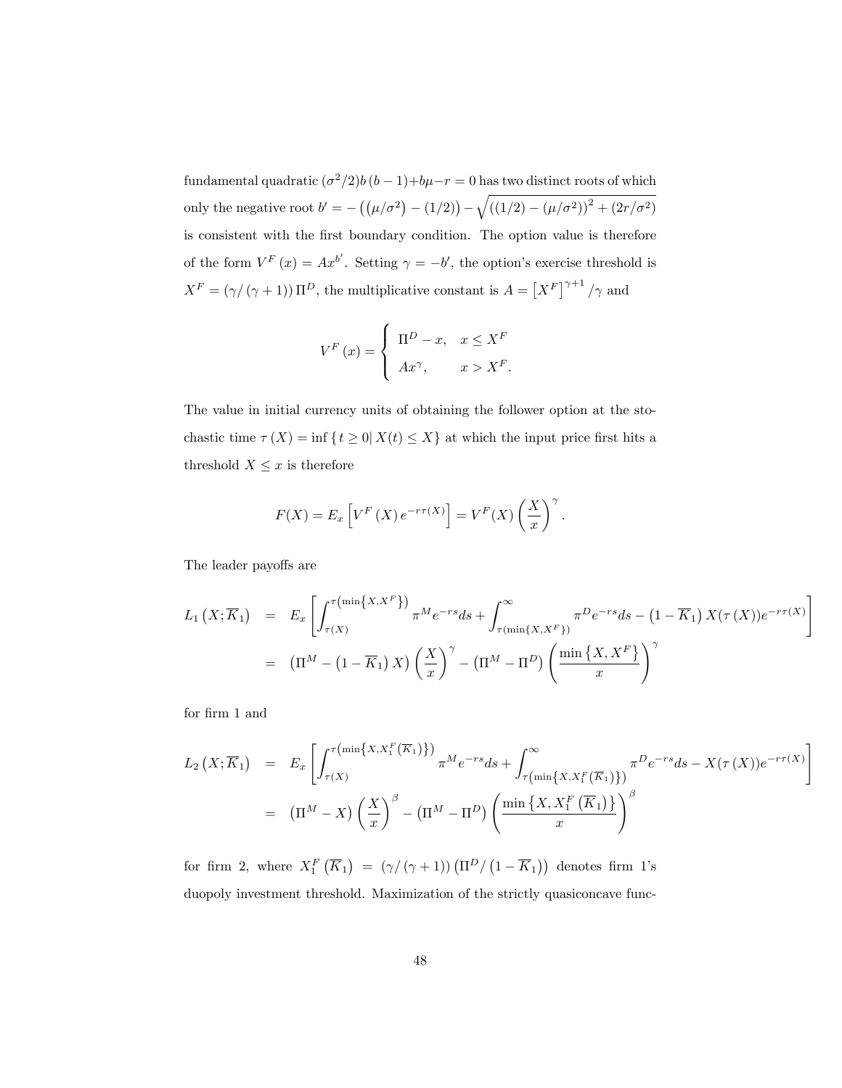fundamental quadratic  $(\sigma^2/2)b(b-1)+b\mu-r=0$  has two distinct roots of which only the negative root  $b' = -((\mu/\sigma^2) - (1/2))$  –  $\sqrt{((1/2) - (\mu/\sigma^2))^2 + (2r/\sigma^2)}$ is consistent with the first boundary condition. The option value is therefore of the form  $V^F(x) = Ax^{b'}$ . Setting  $\gamma = -b'$ , the option's exercise threshold is  $X^F = (\gamma/(\gamma+1)) \Pi^D$ , the multiplicative constant is  $A = [X^F]^{\gamma+1}/\gamma$  and

$$
V^{F}(x) = \begin{cases} \Pi^{D} - x, & x \leq X^{F} \\ Ax^{\gamma}, & x > X^{F}. \end{cases}
$$

The value in initial currency units of obtaining the follower option at the stochastic time  $\tau(X) = \inf \{ t \geq 0 | X(t) \leq X \}$  at which the input price first hits a threshold  $X \leq x$  is therefore

$$
F(X) = E_x \left[ V^F(X) e^{-r\tau(X)} \right] = V^F(X) \left( \frac{X}{x} \right)^{\gamma}.
$$

The leader payoffs are

$$
L_1(X; \overline{K}_1) = E_x \left[ \int_{\tau(X)}^{\tau(\min\{X, X^F\})} \pi^M e^{-rs} ds + \int_{\tau(\min\{X, X^F\})}^{\infty} \pi^D e^{-rs} ds - (1 - \overline{K}_1) X(\tau(X)) e^{-r\tau(X)} \right]
$$
  
=  $(\Pi^M - (1 - \overline{K}_1) X) \left(\frac{X}{x}\right)^{\gamma} - (\Pi^M - \Pi^D) \left(\frac{\min\{X, X^F\}}{x}\right)^{\gamma}$ 

for firm 1 and

$$
L_2(X;\overline{K}_1) = E_x \left[ \int_{\tau(X)}^{\tau(\min\{X, X_1^F(\overline{K}_1)\})} \pi^M e^{-rs} ds + \int_{\tau(\min\{X, X_1^F(\overline{K}_1)\})}^{\infty} \pi^D e^{-rs} ds - X(\tau(X)) e^{-r\tau(X)} \right]
$$
  
=  $(\Pi^M - X) \left(\frac{X}{x}\right)^{\beta} - (\Pi^M - \Pi^D) \left(\frac{\min\{X, X_1^F(\overline{K}_1)\}}{x}\right)^{\beta}$ 

for firm 2, where  $X_1^F(\overline{K}_1) = (\gamma/(\gamma+1))(\Pi^D/(1-\overline{K}_1))$  denotes firm 1's duopoly investment threshold. Maximization of the strictly quasiconcave func-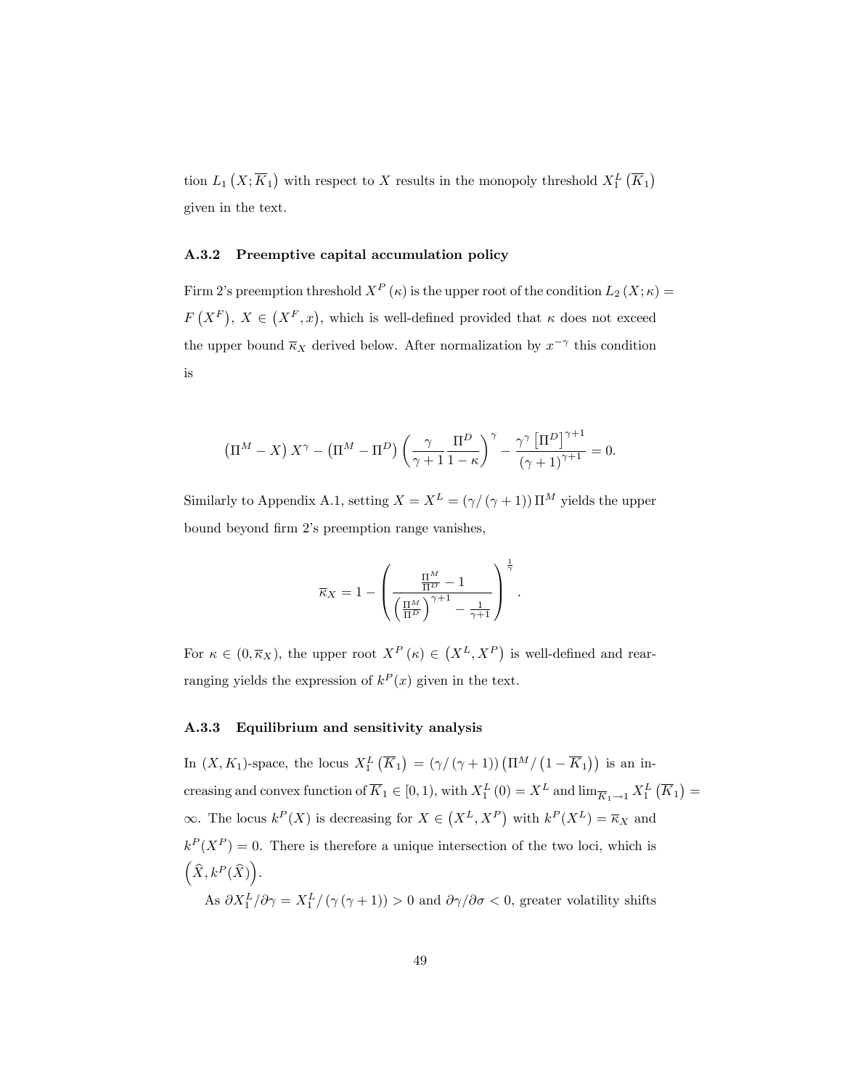tion  $L_1(X; \overline{K}_1)$  with respect to X results in the monopoly threshold  $X_1^L(\overline{K}_1)$ given in the text.

#### A.3.2 Preemptive capital accumulation policy

Firm 2's preemption threshold  $X^P(\kappa)$  is the upper root of the condition  $L_2(X;\kappa) =$  $F(X^F)$ ,  $X \in (X^F, x)$ , which is well-defined provided that  $\kappa$  does not exceed the upper bound  $\overline{\kappa}_X$  derived below. After normalization by  $x^{-\gamma}$  this condition is

$$
\left(\Pi^M - X\right)X^{\gamma} - \left(\Pi^M - \Pi^D\right)\left(\frac{\gamma}{\gamma + 1}\frac{\Pi^D}{1 - \kappa}\right)^{\gamma} - \frac{\gamma^{\gamma}\left[\Pi^D\right]^{\gamma + 1}}{\left(\gamma + 1\right)^{\gamma + 1}} = 0.
$$

Similarly to Appendix A.1, setting  $X = X^L = (\gamma/(\gamma + 1)) \Pi^M$  yields the upper bound beyond firm 2's preemption range vanishes,

$$
\overline{\kappa}_X = 1 - \left(\frac{\frac{\Pi^M}{\Pi^D} - 1}{\left(\frac{\Pi^M}{\Pi^D}\right)^{\gamma+1} - \frac{1}{\gamma+1}}\right)^{\frac{1}{\gamma}}.
$$

For  $\kappa \in (0, \overline{\kappa}_X)$ , the upper root  $X^P(\kappa) \in (X^L, X^P)$  is well-defined and rearranging yields the expression of  $k^P(x)$  given in the text.

## A.3.3 Equilibrium and sensitivity analysis

In  $(X, K_1)$ -space, the locus  $X_1^L(\overline{K}_1) = (\gamma/(\gamma+1))(\Pi^M/(1-\overline{K}_1))$  is an increasing and convex function of  $\overline{K}_1 \in [0,1)$ , with  $X_1^L(0) = X^L$  and  $\lim_{\overline{K}_1 \to 1} X_1^L(\overline{K}_1) =$  $\infty$ . The locus  $k^P(X)$  is decreasing for  $X \in (X^L, X^P)$  with  $k^P(X^L) = \overline{\kappa}_X$  and  $k^P(X^P) = 0$ . There is therefore a unique intersection of the two loci, which is  $\left( \widehat{X}, k^P(\widehat{X}) \right)$ . As  $\partial X_1^L/\partial \gamma = X_1^L/(\gamma (\gamma + 1)) > 0$  and  $\partial \gamma/\partial \sigma < 0$ , greater volatility shifts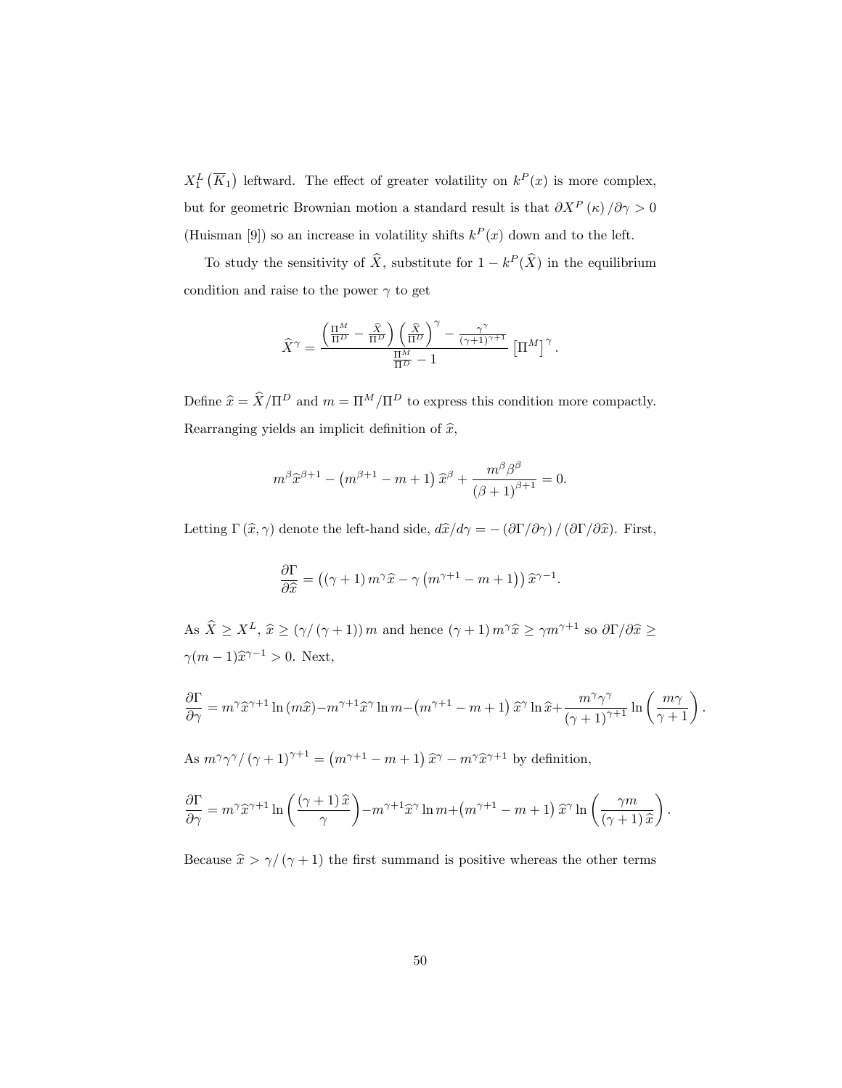$X_1^L(\overline{K}_1)$  leftward. The effect of greater volatility on  $k^P(x)$  is more complex, but for geometric Brownian motion a standard result is that  $\partial X^P(\kappa)/\partial \gamma > 0$ (Huisman [9]) so an increase in volatility shifts  $k^P(x)$  down and to the left.

To study the sensitivity of  $\hat{X}$ , substitute for  $1 - k^P(\hat{X})$  in the equilibrium condition and raise to the power  $\gamma$  to get

$$
\widehat{X}^{\gamma} = \frac{\left(\frac{\Pi^M}{\Pi^D} - \frac{\widehat{X}}{\Pi^D}\right) \left(\frac{\widehat{X}}{\Pi^D}\right)^{\gamma} - \frac{\gamma^{\gamma}}{(\gamma + 1)^{\gamma + 1}}}{\frac{\Pi^M}{\Pi^D} - 1} \left[\Pi^M\right]^{\gamma}.
$$

Define  $\widehat{x} = \widehat{X}/\Pi^D$  and  $m = \Pi^M/\Pi^D$  to express this condition more compactly. Rearranging yields an implicit definition of  $\hat{x}$ ,

$$
m^{\beta} \widehat{x}^{\beta+1} - \left(m^{\beta+1}-m+1\right) \widehat{x}^{\beta} + \frac{m^{\beta} \beta^{\beta}}{\left(\beta+1\right)^{\beta+1}} = 0.
$$

Letting  $\Gamma(\hat{x}, \gamma)$  denote the left-hand side,  $d\hat{x}/d\gamma = -(\partial \Gamma/\partial \gamma) / (\partial \Gamma/\partial \hat{x})$ . First,

$$
\frac{\partial \Gamma}{\partial \hat{x}} = ((\gamma + 1) m^{\gamma} \hat{x} - \gamma (m^{\gamma + 1} - m + 1)) \hat{x}^{\gamma - 1}.
$$

As  $\hat{X} \ge X^L$ ,  $\hat{x} \ge (\gamma/(\gamma+1)) m$  and hence  $(\gamma+1) m^{\gamma} \hat{x} \ge \gamma m^{\gamma+1}$  so  $\partial \Gamma / \partial \hat{x} \ge$  $\gamma(m-1)\hat{x}^{\gamma-1} > 0.$  Next,

$$
\frac{\partial \Gamma}{\partial \gamma} = m^{\gamma} \hat{x}^{\gamma+1} \ln(m\hat{x}) - m^{\gamma+1} \hat{x}^{\gamma} \ln m - (m^{\gamma+1} - m + 1) \hat{x}^{\gamma} \ln \hat{x} + \frac{m^{\gamma} \gamma^{\gamma}}{(\gamma+1)^{\gamma+1}} \ln \left(\frac{m\gamma}{\gamma+1}\right).
$$

As  $m^{\gamma}\gamma^{\gamma}/(\gamma+1)^{\gamma+1} = (m^{\gamma+1}-m+1)\,\widehat{x}^{\gamma} - m^{\gamma}\widehat{x}^{\gamma+1}$  by definition,

$$
\frac{\partial \Gamma}{\partial \gamma} = m^{\gamma} \widehat{x}^{\gamma+1} \ln \left( \frac{(\gamma+1)\widehat{x}}{\gamma} \right) - m^{\gamma+1} \widehat{x}^{\gamma} \ln m + (m^{\gamma+1} - m + 1) \widehat{x}^{\gamma} \ln \left( \frac{\gamma m}{(\gamma+1)\widehat{x}} \right).
$$

Because  $\widehat{x} > \gamma/\left(\gamma + 1\right)$  the first summand is positive whereas the other terms